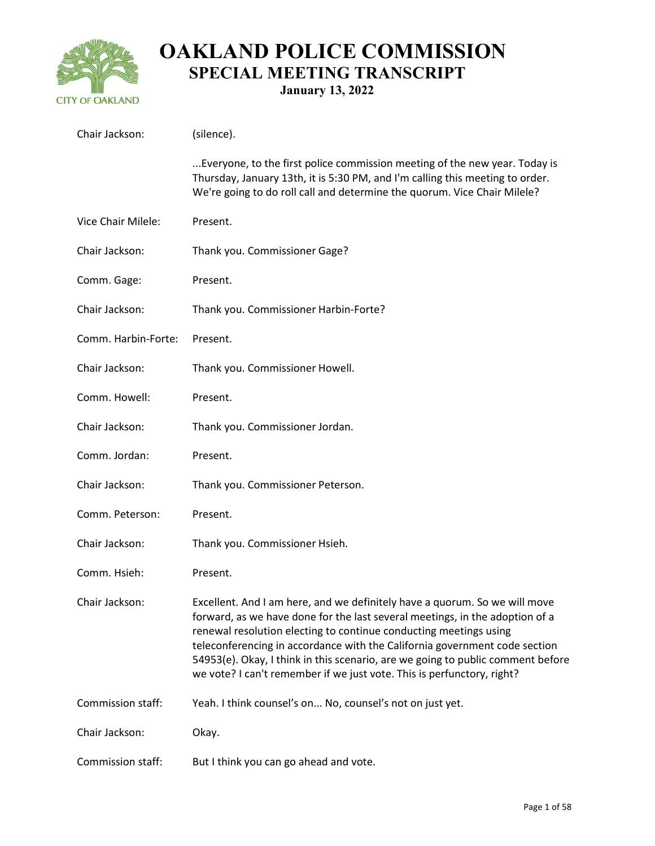

**January 13, 2022**

| Chair Jackson:      | (silence).                                                                                                                                                                                                                                                                                                                                                                                                                                                                 |
|---------------------|----------------------------------------------------------------------------------------------------------------------------------------------------------------------------------------------------------------------------------------------------------------------------------------------------------------------------------------------------------------------------------------------------------------------------------------------------------------------------|
|                     | Everyone, to the first police commission meeting of the new year. Today is<br>Thursday, January 13th, it is 5:30 PM, and I'm calling this meeting to order.<br>We're going to do roll call and determine the quorum. Vice Chair Milele?                                                                                                                                                                                                                                    |
| Vice Chair Milele:  | Present.                                                                                                                                                                                                                                                                                                                                                                                                                                                                   |
| Chair Jackson:      | Thank you. Commissioner Gage?                                                                                                                                                                                                                                                                                                                                                                                                                                              |
| Comm. Gage:         | Present.                                                                                                                                                                                                                                                                                                                                                                                                                                                                   |
| Chair Jackson:      | Thank you. Commissioner Harbin-Forte?                                                                                                                                                                                                                                                                                                                                                                                                                                      |
| Comm. Harbin-Forte: | Present.                                                                                                                                                                                                                                                                                                                                                                                                                                                                   |
| Chair Jackson:      | Thank you. Commissioner Howell.                                                                                                                                                                                                                                                                                                                                                                                                                                            |
| Comm. Howell:       | Present.                                                                                                                                                                                                                                                                                                                                                                                                                                                                   |
| Chair Jackson:      | Thank you. Commissioner Jordan.                                                                                                                                                                                                                                                                                                                                                                                                                                            |
| Comm. Jordan:       | Present.                                                                                                                                                                                                                                                                                                                                                                                                                                                                   |
| Chair Jackson:      | Thank you. Commissioner Peterson.                                                                                                                                                                                                                                                                                                                                                                                                                                          |
| Comm. Peterson:     | Present.                                                                                                                                                                                                                                                                                                                                                                                                                                                                   |
| Chair Jackson:      | Thank you. Commissioner Hsieh.                                                                                                                                                                                                                                                                                                                                                                                                                                             |
| Comm. Hsieh:        | Present.                                                                                                                                                                                                                                                                                                                                                                                                                                                                   |
| Chair Jackson:      | Excellent. And I am here, and we definitely have a quorum. So we will move<br>forward, as we have done for the last several meetings, in the adoption of a<br>renewal resolution electing to continue conducting meetings using<br>teleconferencing in accordance with the California government code section<br>54953(e). Okay, I think in this scenario, are we going to public comment before<br>we vote? I can't remember if we just vote. This is perfunctory, right? |
| Commission staff:   | Yeah. I think counsel's on No, counsel's not on just yet.                                                                                                                                                                                                                                                                                                                                                                                                                  |
| Chair Jackson:      | Okay.                                                                                                                                                                                                                                                                                                                                                                                                                                                                      |
| Commission staff:   | But I think you can go ahead and vote.                                                                                                                                                                                                                                                                                                                                                                                                                                     |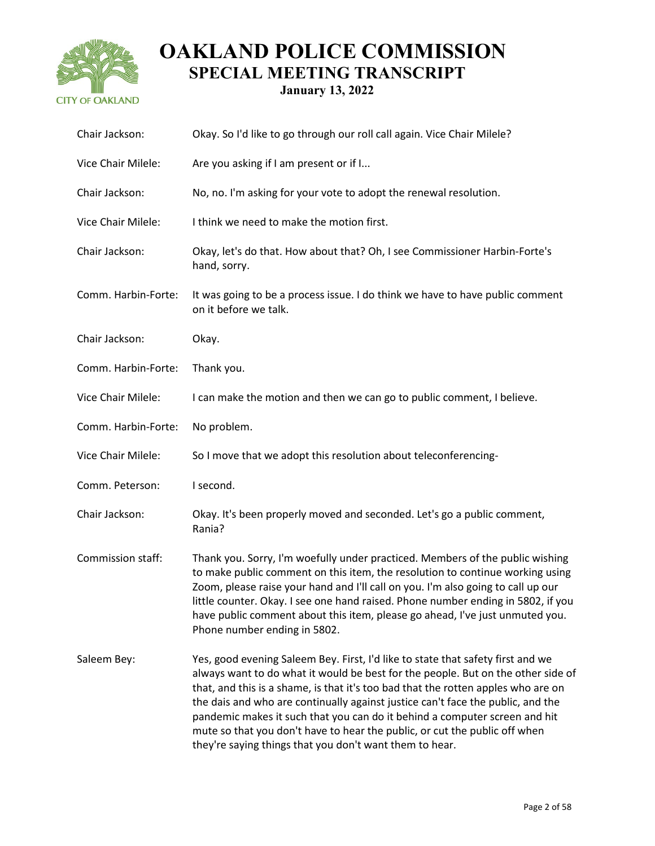

| Chair Jackson:      | Okay. So I'd like to go through our roll call again. Vice Chair Milele?                                                                                                                                                                                                                                                                                                                                                                                                                                                                                            |
|---------------------|--------------------------------------------------------------------------------------------------------------------------------------------------------------------------------------------------------------------------------------------------------------------------------------------------------------------------------------------------------------------------------------------------------------------------------------------------------------------------------------------------------------------------------------------------------------------|
| Vice Chair Milele:  | Are you asking if I am present or if I                                                                                                                                                                                                                                                                                                                                                                                                                                                                                                                             |
| Chair Jackson:      | No, no. I'm asking for your vote to adopt the renewal resolution.                                                                                                                                                                                                                                                                                                                                                                                                                                                                                                  |
| Vice Chair Milele:  | I think we need to make the motion first.                                                                                                                                                                                                                                                                                                                                                                                                                                                                                                                          |
| Chair Jackson:      | Okay, let's do that. How about that? Oh, I see Commissioner Harbin-Forte's<br>hand, sorry.                                                                                                                                                                                                                                                                                                                                                                                                                                                                         |
| Comm. Harbin-Forte: | It was going to be a process issue. I do think we have to have public comment<br>on it before we talk.                                                                                                                                                                                                                                                                                                                                                                                                                                                             |
| Chair Jackson:      | Okay.                                                                                                                                                                                                                                                                                                                                                                                                                                                                                                                                                              |
| Comm. Harbin-Forte: | Thank you.                                                                                                                                                                                                                                                                                                                                                                                                                                                                                                                                                         |
| Vice Chair Milele:  | I can make the motion and then we can go to public comment, I believe.                                                                                                                                                                                                                                                                                                                                                                                                                                                                                             |
| Comm. Harbin-Forte: | No problem.                                                                                                                                                                                                                                                                                                                                                                                                                                                                                                                                                        |
| Vice Chair Milele:  | So I move that we adopt this resolution about teleconferencing-                                                                                                                                                                                                                                                                                                                                                                                                                                                                                                    |
| Comm. Peterson:     | I second.                                                                                                                                                                                                                                                                                                                                                                                                                                                                                                                                                          |
| Chair Jackson:      | Okay. It's been properly moved and seconded. Let's go a public comment,<br>Rania?                                                                                                                                                                                                                                                                                                                                                                                                                                                                                  |
| Commission staff:   | Thank you. Sorry, I'm woefully under practiced. Members of the public wishing<br>to make public comment on this item, the resolution to continue working using<br>Zoom, please raise your hand and I'll call on you. I'm also going to call up our<br>little counter. Okay. I see one hand raised. Phone number ending in 5802, if you<br>have public comment about this item, please go ahead, I've just unmuted you.<br>Phone number ending in 5802.                                                                                                             |
| Saleem Bey:         | Yes, good evening Saleem Bey. First, I'd like to state that safety first and we<br>always want to do what it would be best for the people. But on the other side of<br>that, and this is a shame, is that it's too bad that the rotten apples who are on<br>the dais and who are continually against justice can't face the public, and the<br>pandemic makes it such that you can do it behind a computer screen and hit<br>mute so that you don't have to hear the public, or cut the public off when<br>they're saying things that you don't want them to hear. |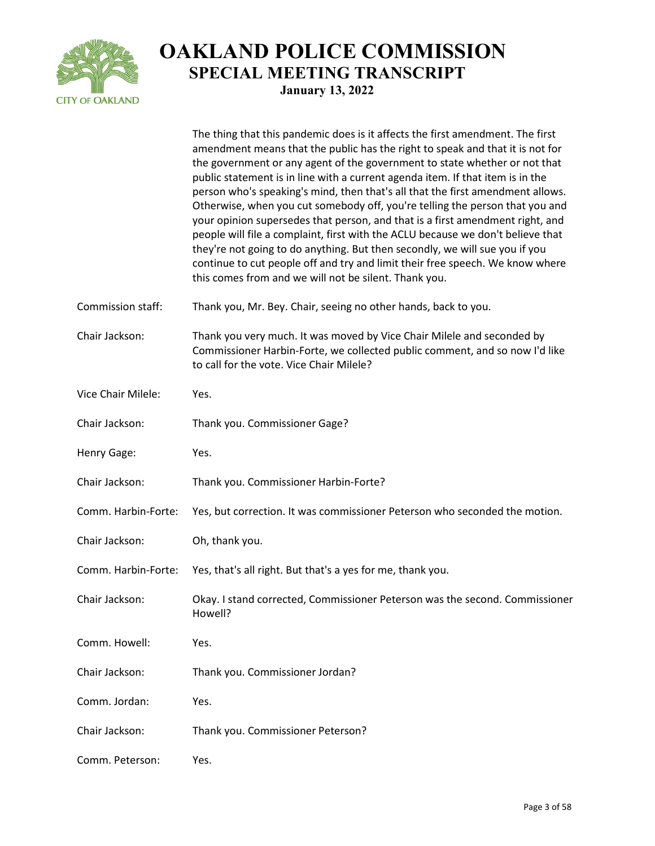

|                     | The thing that this pandemic does is it affects the first amendment. The first<br>amendment means that the public has the right to speak and that it is not for<br>the government or any agent of the government to state whether or not that<br>public statement is in line with a current agenda item. If that item is in the<br>person who's speaking's mind, then that's all that the first amendment allows.<br>Otherwise, when you cut somebody off, you're telling the person that you and<br>your opinion supersedes that person, and that is a first amendment right, and<br>people will file a complaint, first with the ACLU because we don't believe that<br>they're not going to do anything. But then secondly, we will sue you if you<br>continue to cut people off and try and limit their free speech. We know where<br>this comes from and we will not be silent. Thank you. |
|---------------------|------------------------------------------------------------------------------------------------------------------------------------------------------------------------------------------------------------------------------------------------------------------------------------------------------------------------------------------------------------------------------------------------------------------------------------------------------------------------------------------------------------------------------------------------------------------------------------------------------------------------------------------------------------------------------------------------------------------------------------------------------------------------------------------------------------------------------------------------------------------------------------------------|
| Commission staff:   | Thank you, Mr. Bey. Chair, seeing no other hands, back to you.                                                                                                                                                                                                                                                                                                                                                                                                                                                                                                                                                                                                                                                                                                                                                                                                                                 |
| Chair Jackson:      | Thank you very much. It was moved by Vice Chair Milele and seconded by<br>Commissioner Harbin-Forte, we collected public comment, and so now I'd like<br>to call for the vote. Vice Chair Milele?                                                                                                                                                                                                                                                                                                                                                                                                                                                                                                                                                                                                                                                                                              |
| Vice Chair Milele:  | Yes.                                                                                                                                                                                                                                                                                                                                                                                                                                                                                                                                                                                                                                                                                                                                                                                                                                                                                           |
| Chair Jackson:      | Thank you. Commissioner Gage?                                                                                                                                                                                                                                                                                                                                                                                                                                                                                                                                                                                                                                                                                                                                                                                                                                                                  |
| Henry Gage:         | Yes.                                                                                                                                                                                                                                                                                                                                                                                                                                                                                                                                                                                                                                                                                                                                                                                                                                                                                           |
| Chair Jackson:      | Thank you. Commissioner Harbin-Forte?                                                                                                                                                                                                                                                                                                                                                                                                                                                                                                                                                                                                                                                                                                                                                                                                                                                          |
| Comm. Harbin-Forte: | Yes, but correction. It was commissioner Peterson who seconded the motion.                                                                                                                                                                                                                                                                                                                                                                                                                                                                                                                                                                                                                                                                                                                                                                                                                     |
| Chair Jackson:      | Oh, thank you.                                                                                                                                                                                                                                                                                                                                                                                                                                                                                                                                                                                                                                                                                                                                                                                                                                                                                 |
| Comm. Harbin-Forte: | Yes, that's all right. But that's a yes for me, thank you.                                                                                                                                                                                                                                                                                                                                                                                                                                                                                                                                                                                                                                                                                                                                                                                                                                     |
| Chair Jackson:      | Okay. I stand corrected, Commissioner Peterson was the second. Commissioner<br>Howell?                                                                                                                                                                                                                                                                                                                                                                                                                                                                                                                                                                                                                                                                                                                                                                                                         |
| Comm. Howell:       | Yes.                                                                                                                                                                                                                                                                                                                                                                                                                                                                                                                                                                                                                                                                                                                                                                                                                                                                                           |
| Chair Jackson:      | Thank you. Commissioner Jordan?                                                                                                                                                                                                                                                                                                                                                                                                                                                                                                                                                                                                                                                                                                                                                                                                                                                                |
| Comm. Jordan:       | Yes.                                                                                                                                                                                                                                                                                                                                                                                                                                                                                                                                                                                                                                                                                                                                                                                                                                                                                           |
| Chair Jackson:      | Thank you. Commissioner Peterson?                                                                                                                                                                                                                                                                                                                                                                                                                                                                                                                                                                                                                                                                                                                                                                                                                                                              |
| Comm. Peterson:     | Yes.                                                                                                                                                                                                                                                                                                                                                                                                                                                                                                                                                                                                                                                                                                                                                                                                                                                                                           |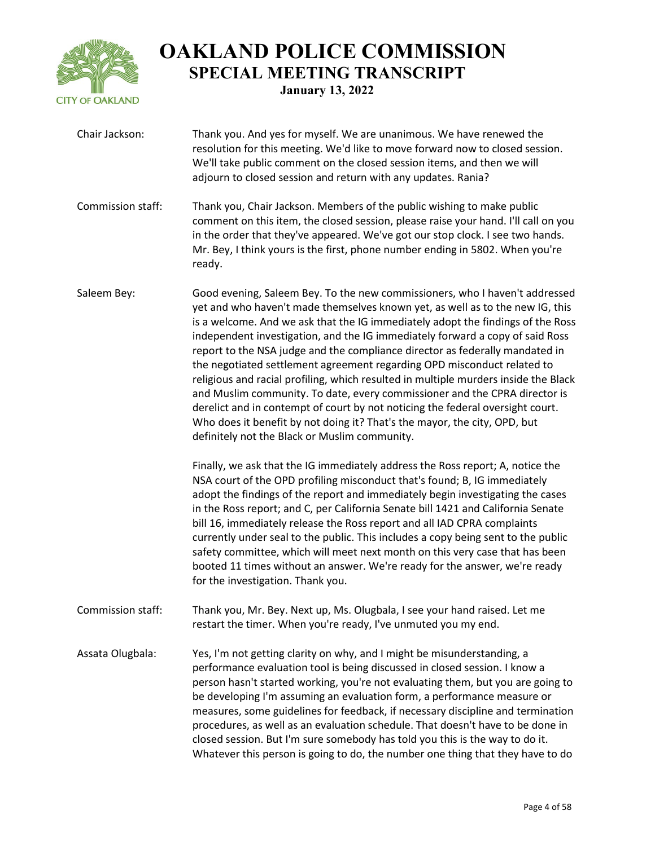

| Chair Jackson:    | Thank you. And yes for myself. We are unanimous. We have renewed the<br>resolution for this meeting. We'd like to move forward now to closed session.<br>We'll take public comment on the closed session items, and then we will<br>adjourn to closed session and return with any updates. Rania?                                                                                                                                                                                                                                                                                                                                                                                                                                                                                                                                                                                                                                                                                                                                                                                                                                                                                                                                                                                                                                                                                      |
|-------------------|----------------------------------------------------------------------------------------------------------------------------------------------------------------------------------------------------------------------------------------------------------------------------------------------------------------------------------------------------------------------------------------------------------------------------------------------------------------------------------------------------------------------------------------------------------------------------------------------------------------------------------------------------------------------------------------------------------------------------------------------------------------------------------------------------------------------------------------------------------------------------------------------------------------------------------------------------------------------------------------------------------------------------------------------------------------------------------------------------------------------------------------------------------------------------------------------------------------------------------------------------------------------------------------------------------------------------------------------------------------------------------------|
| Commission staff: | Thank you, Chair Jackson. Members of the public wishing to make public<br>comment on this item, the closed session, please raise your hand. I'll call on you<br>in the order that they've appeared. We've got our stop clock. I see two hands.<br>Mr. Bey, I think yours is the first, phone number ending in 5802. When you're<br>ready.                                                                                                                                                                                                                                                                                                                                                                                                                                                                                                                                                                                                                                                                                                                                                                                                                                                                                                                                                                                                                                              |
| Saleem Bey:       | Good evening, Saleem Bey. To the new commissioners, who I haven't addressed<br>yet and who haven't made themselves known yet, as well as to the new IG, this<br>is a welcome. And we ask that the IG immediately adopt the findings of the Ross<br>independent investigation, and the IG immediately forward a copy of said Ross<br>report to the NSA judge and the compliance director as federally mandated in<br>the negotiated settlement agreement regarding OPD misconduct related to<br>religious and racial profiling, which resulted in multiple murders inside the Black<br>and Muslim community. To date, every commissioner and the CPRA director is<br>derelict and in contempt of court by not noticing the federal oversight court.<br>Who does it benefit by not doing it? That's the mayor, the city, OPD, but<br>definitely not the Black or Muslim community.<br>Finally, we ask that the IG immediately address the Ross report; A, notice the<br>NSA court of the OPD profiling misconduct that's found; B, IG immediately<br>adopt the findings of the report and immediately begin investigating the cases<br>in the Ross report; and C, per California Senate bill 1421 and California Senate<br>bill 16, immediately release the Ross report and all IAD CPRA complaints<br>currently under seal to the public. This includes a copy being sent to the public |
|                   | safety committee, which will meet next month on this very case that has been<br>booted 11 times without an answer. We're ready for the answer, we're ready<br>for the investigation. Thank you.                                                                                                                                                                                                                                                                                                                                                                                                                                                                                                                                                                                                                                                                                                                                                                                                                                                                                                                                                                                                                                                                                                                                                                                        |
| Commission staff: | Thank you, Mr. Bey. Next up, Ms. Olugbala, I see your hand raised. Let me<br>restart the timer. When you're ready, I've unmuted you my end.                                                                                                                                                                                                                                                                                                                                                                                                                                                                                                                                                                                                                                                                                                                                                                                                                                                                                                                                                                                                                                                                                                                                                                                                                                            |
| Assata Olugbala:  | Yes, I'm not getting clarity on why, and I might be misunderstanding, a<br>performance evaluation tool is being discussed in closed session. I know a<br>person hasn't started working, you're not evaluating them, but you are going to<br>be developing I'm assuming an evaluation form, a performance measure or<br>measures, some guidelines for feedback, if necessary discipline and termination<br>procedures, as well as an evaluation schedule. That doesn't have to be done in<br>closed session. But I'm sure somebody has told you this is the way to do it.<br>Whatever this person is going to do, the number one thing that they have to do                                                                                                                                                                                                                                                                                                                                                                                                                                                                                                                                                                                                                                                                                                                             |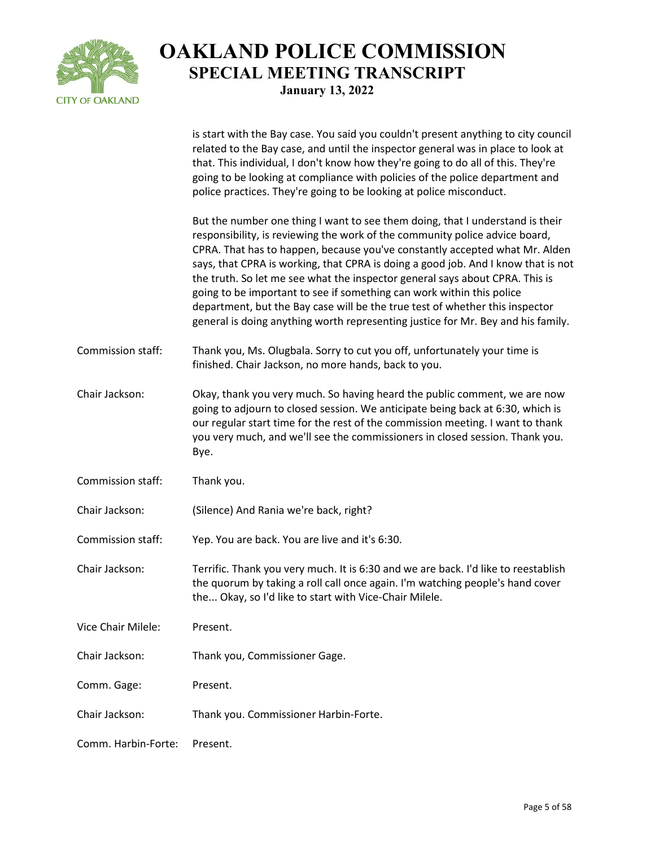

|                     | is start with the Bay case. You said you couldn't present anything to city council<br>related to the Bay case, and until the inspector general was in place to look at<br>that. This individual, I don't know how they're going to do all of this. They're<br>going to be looking at compliance with policies of the police department and<br>police practices. They're going to be looking at police misconduct.                                                                                                                                                                                                                                             |
|---------------------|---------------------------------------------------------------------------------------------------------------------------------------------------------------------------------------------------------------------------------------------------------------------------------------------------------------------------------------------------------------------------------------------------------------------------------------------------------------------------------------------------------------------------------------------------------------------------------------------------------------------------------------------------------------|
|                     | But the number one thing I want to see them doing, that I understand is their<br>responsibility, is reviewing the work of the community police advice board,<br>CPRA. That has to happen, because you've constantly accepted what Mr. Alden<br>says, that CPRA is working, that CPRA is doing a good job. And I know that is not<br>the truth. So let me see what the inspector general says about CPRA. This is<br>going to be important to see if something can work within this police<br>department, but the Bay case will be the true test of whether this inspector<br>general is doing anything worth representing justice for Mr. Bey and his family. |
| Commission staff:   | Thank you, Ms. Olugbala. Sorry to cut you off, unfortunately your time is<br>finished. Chair Jackson, no more hands, back to you.                                                                                                                                                                                                                                                                                                                                                                                                                                                                                                                             |
| Chair Jackson:      | Okay, thank you very much. So having heard the public comment, we are now<br>going to adjourn to closed session. We anticipate being back at 6:30, which is<br>our regular start time for the rest of the commission meeting. I want to thank<br>you very much, and we'll see the commissioners in closed session. Thank you.<br>Bye.                                                                                                                                                                                                                                                                                                                         |
| Commission staff:   | Thank you.                                                                                                                                                                                                                                                                                                                                                                                                                                                                                                                                                                                                                                                    |
| Chair Jackson:      | (Silence) And Rania we're back, right?                                                                                                                                                                                                                                                                                                                                                                                                                                                                                                                                                                                                                        |
| Commission staff:   | Yep. You are back. You are live and it's 6:30.                                                                                                                                                                                                                                                                                                                                                                                                                                                                                                                                                                                                                |
| Chair Jackson:      | Terrific. Thank you very much. It is 6:30 and we are back. I'd like to reestablish<br>the quorum by taking a roll call once again. I'm watching people's hand cover<br>the Okay, so I'd like to start with Vice-Chair Milele.                                                                                                                                                                                                                                                                                                                                                                                                                                 |
| Vice Chair Milele:  | Present.                                                                                                                                                                                                                                                                                                                                                                                                                                                                                                                                                                                                                                                      |
| Chair Jackson:      | Thank you, Commissioner Gage.                                                                                                                                                                                                                                                                                                                                                                                                                                                                                                                                                                                                                                 |
| Comm. Gage:         | Present.                                                                                                                                                                                                                                                                                                                                                                                                                                                                                                                                                                                                                                                      |
| Chair Jackson:      | Thank you. Commissioner Harbin-Forte.                                                                                                                                                                                                                                                                                                                                                                                                                                                                                                                                                                                                                         |
| Comm. Harbin-Forte: | Present.                                                                                                                                                                                                                                                                                                                                                                                                                                                                                                                                                                                                                                                      |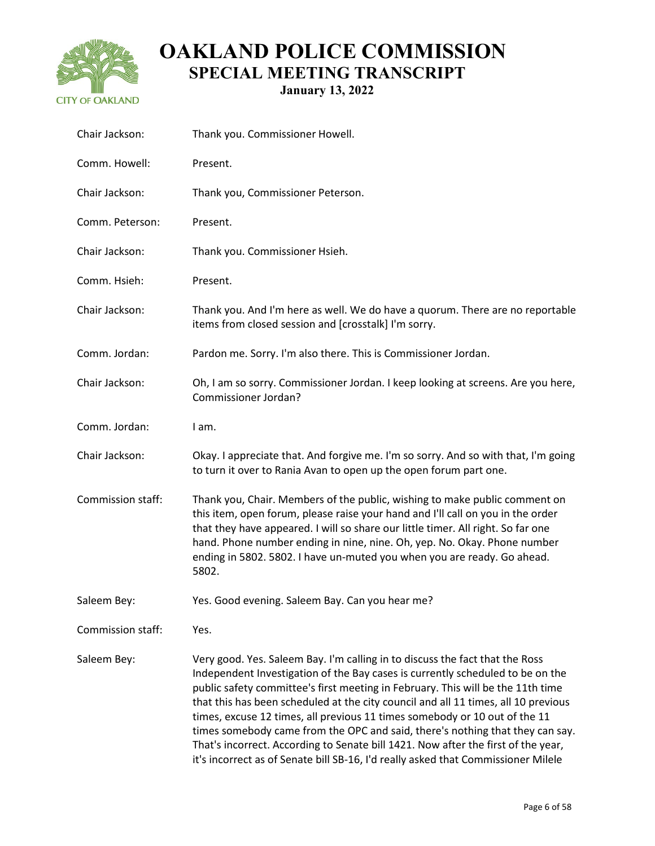

| Chair Jackson:    | Thank you. Commissioner Howell.                                                                                                                                                                                                                                                                                                                                                                                                                                                                                                                                                                                                                                                  |
|-------------------|----------------------------------------------------------------------------------------------------------------------------------------------------------------------------------------------------------------------------------------------------------------------------------------------------------------------------------------------------------------------------------------------------------------------------------------------------------------------------------------------------------------------------------------------------------------------------------------------------------------------------------------------------------------------------------|
| Comm. Howell:     | Present.                                                                                                                                                                                                                                                                                                                                                                                                                                                                                                                                                                                                                                                                         |
| Chair Jackson:    | Thank you, Commissioner Peterson.                                                                                                                                                                                                                                                                                                                                                                                                                                                                                                                                                                                                                                                |
| Comm. Peterson:   | Present.                                                                                                                                                                                                                                                                                                                                                                                                                                                                                                                                                                                                                                                                         |
| Chair Jackson:    | Thank you. Commissioner Hsieh.                                                                                                                                                                                                                                                                                                                                                                                                                                                                                                                                                                                                                                                   |
| Comm. Hsieh:      | Present.                                                                                                                                                                                                                                                                                                                                                                                                                                                                                                                                                                                                                                                                         |
| Chair Jackson:    | Thank you. And I'm here as well. We do have a quorum. There are no reportable<br>items from closed session and [crosstalk] I'm sorry.                                                                                                                                                                                                                                                                                                                                                                                                                                                                                                                                            |
| Comm. Jordan:     | Pardon me. Sorry. I'm also there. This is Commissioner Jordan.                                                                                                                                                                                                                                                                                                                                                                                                                                                                                                                                                                                                                   |
| Chair Jackson:    | Oh, I am so sorry. Commissioner Jordan. I keep looking at screens. Are you here,<br>Commissioner Jordan?                                                                                                                                                                                                                                                                                                                                                                                                                                                                                                                                                                         |
| Comm. Jordan:     | I am.                                                                                                                                                                                                                                                                                                                                                                                                                                                                                                                                                                                                                                                                            |
| Chair Jackson:    | Okay. I appreciate that. And forgive me. I'm so sorry. And so with that, I'm going<br>to turn it over to Rania Avan to open up the open forum part one.                                                                                                                                                                                                                                                                                                                                                                                                                                                                                                                          |
| Commission staff: | Thank you, Chair. Members of the public, wishing to make public comment on<br>this item, open forum, please raise your hand and I'll call on you in the order<br>that they have appeared. I will so share our little timer. All right. So far one<br>hand. Phone number ending in nine, nine. Oh, yep. No. Okay. Phone number<br>ending in 5802. 5802. I have un-muted you when you are ready. Go ahead.<br>5802.                                                                                                                                                                                                                                                                |
| Saleem Bey:       | Yes. Good evening. Saleem Bay. Can you hear me?                                                                                                                                                                                                                                                                                                                                                                                                                                                                                                                                                                                                                                  |
| Commission staff: | Yes.                                                                                                                                                                                                                                                                                                                                                                                                                                                                                                                                                                                                                                                                             |
| Saleem Bey:       | Very good. Yes. Saleem Bay. I'm calling in to discuss the fact that the Ross<br>Independent Investigation of the Bay cases is currently scheduled to be on the<br>public safety committee's first meeting in February. This will be the 11th time<br>that this has been scheduled at the city council and all 11 times, all 10 previous<br>times, excuse 12 times, all previous 11 times somebody or 10 out of the 11<br>times somebody came from the OPC and said, there's nothing that they can say.<br>That's incorrect. According to Senate bill 1421. Now after the first of the year,<br>it's incorrect as of Senate bill SB-16, I'd really asked that Commissioner Milele |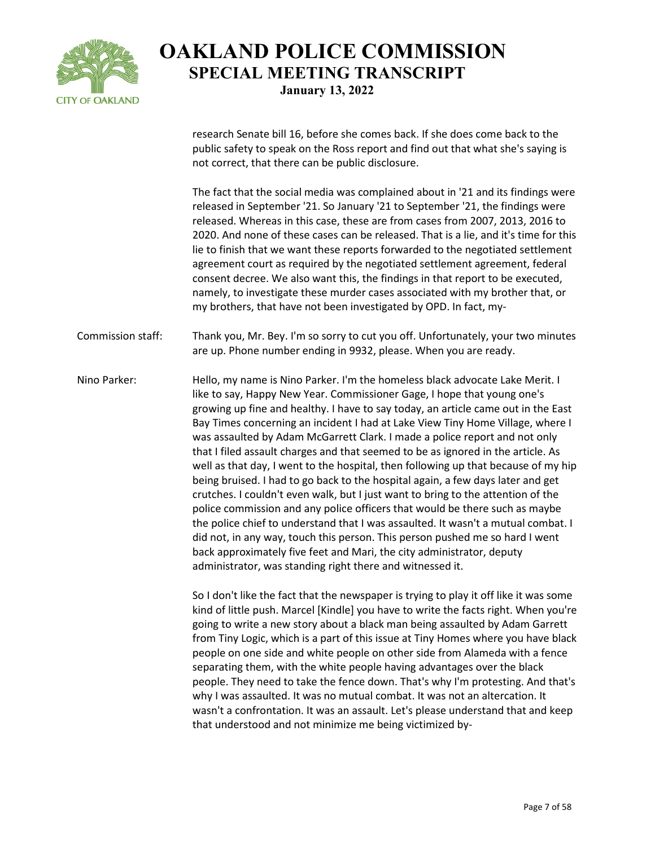

research Senate bill 16, before she comes back. If she does come back to the public safety to speak on the Ross report and find out that what she's saying is not correct, that there can be public disclosure.

The fact that the social media was complained about in '21 and its findings were released in September '21. So January '21 to September '21, the findings were released. Whereas in this case, these are from cases from 2007, 2013, 2016 to 2020. And none of these cases can be released. That is a lie, and it's time for this lie to finish that we want these reports forwarded to the negotiated settlement agreement court as required by the negotiated settlement agreement, federal consent decree. We also want this, the findings in that report to be executed, namely, to investigate these murder cases associated with my brother that, or my brothers, that have not been investigated by OPD. In fact, my-

Commission staff: Thank you, Mr. Bey. I'm so sorry to cut you off. Unfortunately, your two minutes are up. Phone number ending in 9932, please. When you are ready.

Nino Parker: Hello, my name is Nino Parker. I'm the homeless black advocate Lake Merit. I like to say, Happy New Year. Commissioner Gage, I hope that young one's growing up fine and healthy. I have to say today, an article came out in the East Bay Times concerning an incident I had at Lake View Tiny Home Village, where I was assaulted by Adam McGarrett Clark. I made a police report and not only that I filed assault charges and that seemed to be as ignored in the article. As well as that day, I went to the hospital, then following up that because of my hip being bruised. I had to go back to the hospital again, a few days later and get crutches. I couldn't even walk, but I just want to bring to the attention of the police commission and any police officers that would be there such as maybe the police chief to understand that I was assaulted. It wasn't a mutual combat. I did not, in any way, touch this person. This person pushed me so hard I went back approximately five feet and Mari, the city administrator, deputy administrator, was standing right there and witnessed it.

> So I don't like the fact that the newspaper is trying to play it off like it was some kind of little push. Marcel [Kindle] you have to write the facts right. When you're going to write a new story about a black man being assaulted by Adam Garrett from Tiny Logic, which is a part of this issue at Tiny Homes where you have black people on one side and white people on other side from Alameda with a fence separating them, with the white people having advantages over the black people. They need to take the fence down. That's why I'm protesting. And that's why I was assaulted. It was no mutual combat. It was not an altercation. It wasn't a confrontation. It was an assault. Let's please understand that and keep that understood and not minimize me being victimized by-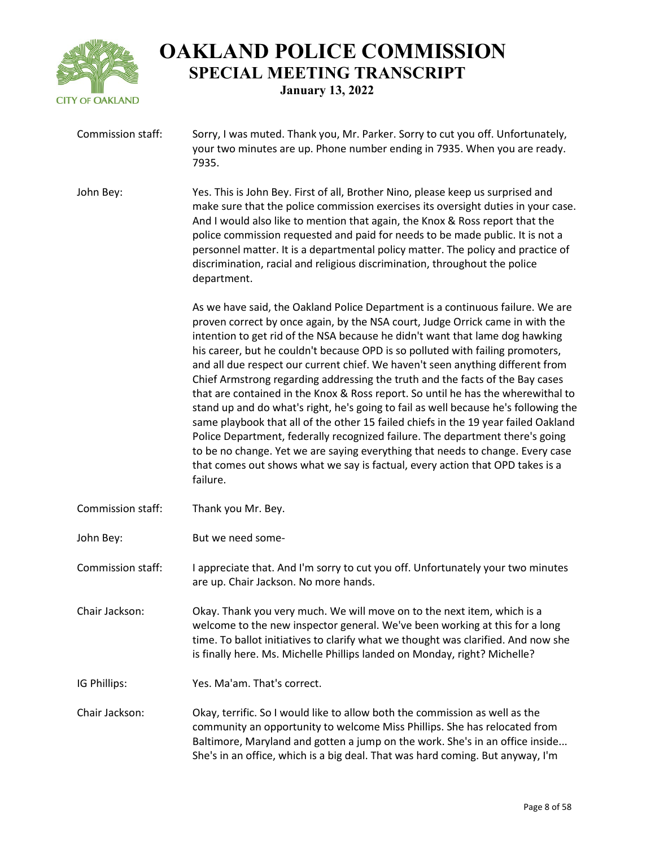

| Commission staff: | Sorry, I was muted. Thank you, Mr. Parker. Sorry to cut you off. Unfortunately,<br>your two minutes are up. Phone number ending in 7935. When you are ready.<br>7935.                                                                                                                                                                                                                                                                                                                                                                                                                                                                                                                                                                                                                                                                                                                                                                                                                                                                 |
|-------------------|---------------------------------------------------------------------------------------------------------------------------------------------------------------------------------------------------------------------------------------------------------------------------------------------------------------------------------------------------------------------------------------------------------------------------------------------------------------------------------------------------------------------------------------------------------------------------------------------------------------------------------------------------------------------------------------------------------------------------------------------------------------------------------------------------------------------------------------------------------------------------------------------------------------------------------------------------------------------------------------------------------------------------------------|
| John Bey:         | Yes. This is John Bey. First of all, Brother Nino, please keep us surprised and<br>make sure that the police commission exercises its oversight duties in your case.<br>And I would also like to mention that again, the Knox & Ross report that the<br>police commission requested and paid for needs to be made public. It is not a<br>personnel matter. It is a departmental policy matter. The policy and practice of<br>discrimination, racial and religious discrimination, throughout the police<br>department.                                                                                                                                                                                                                                                                                                                                                                                                                                                                                                                |
|                   | As we have said, the Oakland Police Department is a continuous failure. We are<br>proven correct by once again, by the NSA court, Judge Orrick came in with the<br>intention to get rid of the NSA because he didn't want that lame dog hawking<br>his career, but he couldn't because OPD is so polluted with failing promoters,<br>and all due respect our current chief. We haven't seen anything different from<br>Chief Armstrong regarding addressing the truth and the facts of the Bay cases<br>that are contained in the Knox & Ross report. So until he has the wherewithal to<br>stand up and do what's right, he's going to fail as well because he's following the<br>same playbook that all of the other 15 failed chiefs in the 19 year failed Oakland<br>Police Department, federally recognized failure. The department there's going<br>to be no change. Yet we are saying everything that needs to change. Every case<br>that comes out shows what we say is factual, every action that OPD takes is a<br>failure. |
| Commission staff: | Thank you Mr. Bey.                                                                                                                                                                                                                                                                                                                                                                                                                                                                                                                                                                                                                                                                                                                                                                                                                                                                                                                                                                                                                    |
| John Bey:         | But we need some-                                                                                                                                                                                                                                                                                                                                                                                                                                                                                                                                                                                                                                                                                                                                                                                                                                                                                                                                                                                                                     |
| Commission staff: | I appreciate that. And I'm sorry to cut you off. Unfortunately your two minutes<br>are up. Chair Jackson. No more hands.                                                                                                                                                                                                                                                                                                                                                                                                                                                                                                                                                                                                                                                                                                                                                                                                                                                                                                              |
| Chair Jackson:    | Okay. Thank you very much. We will move on to the next item, which is a<br>welcome to the new inspector general. We've been working at this for a long<br>time. To ballot initiatives to clarify what we thought was clarified. And now she<br>is finally here. Ms. Michelle Phillips landed on Monday, right? Michelle?                                                                                                                                                                                                                                                                                                                                                                                                                                                                                                                                                                                                                                                                                                              |
| IG Phillips:      | Yes. Ma'am. That's correct.                                                                                                                                                                                                                                                                                                                                                                                                                                                                                                                                                                                                                                                                                                                                                                                                                                                                                                                                                                                                           |
| Chair Jackson:    | Okay, terrific. So I would like to allow both the commission as well as the<br>community an opportunity to welcome Miss Phillips. She has relocated from<br>Baltimore, Maryland and gotten a jump on the work. She's in an office inside<br>She's in an office, which is a big deal. That was hard coming. But anyway, I'm                                                                                                                                                                                                                                                                                                                                                                                                                                                                                                                                                                                                                                                                                                            |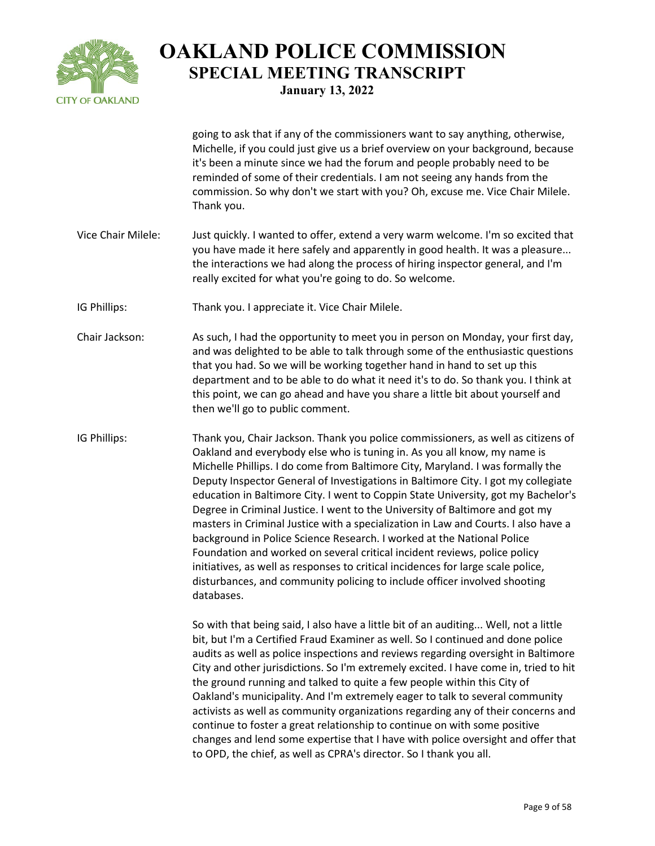

|                    | going to ask that if any of the commissioners want to say anything, otherwise,<br>Michelle, if you could just give us a brief overview on your background, because<br>it's been a minute since we had the forum and people probably need to be<br>reminded of some of their credentials. I am not seeing any hands from the<br>commission. So why don't we start with you? Oh, excuse me. Vice Chair Milele.<br>Thank you.                                                                                                                                                                                                                                                                                                                                                                                                                                                                                                           |
|--------------------|--------------------------------------------------------------------------------------------------------------------------------------------------------------------------------------------------------------------------------------------------------------------------------------------------------------------------------------------------------------------------------------------------------------------------------------------------------------------------------------------------------------------------------------------------------------------------------------------------------------------------------------------------------------------------------------------------------------------------------------------------------------------------------------------------------------------------------------------------------------------------------------------------------------------------------------|
| Vice Chair Milele: | Just quickly. I wanted to offer, extend a very warm welcome. I'm so excited that<br>you have made it here safely and apparently in good health. It was a pleasure<br>the interactions we had along the process of hiring inspector general, and I'm<br>really excited for what you're going to do. So welcome.                                                                                                                                                                                                                                                                                                                                                                                                                                                                                                                                                                                                                       |
| IG Phillips:       | Thank you. I appreciate it. Vice Chair Milele.                                                                                                                                                                                                                                                                                                                                                                                                                                                                                                                                                                                                                                                                                                                                                                                                                                                                                       |
| Chair Jackson:     | As such, I had the opportunity to meet you in person on Monday, your first day,<br>and was delighted to be able to talk through some of the enthusiastic questions<br>that you had. So we will be working together hand in hand to set up this<br>department and to be able to do what it need it's to do. So thank you. I think at<br>this point, we can go ahead and have you share a little bit about yourself and<br>then we'll go to public comment.                                                                                                                                                                                                                                                                                                                                                                                                                                                                            |
| IG Phillips:       | Thank you, Chair Jackson. Thank you police commissioners, as well as citizens of<br>Oakland and everybody else who is tuning in. As you all know, my name is<br>Michelle Phillips. I do come from Baltimore City, Maryland. I was formally the<br>Deputy Inspector General of Investigations in Baltimore City. I got my collegiate<br>education in Baltimore City. I went to Coppin State University, got my Bachelor's<br>Degree in Criminal Justice. I went to the University of Baltimore and got my<br>masters in Criminal Justice with a specialization in Law and Courts. I also have a<br>background in Police Science Research. I worked at the National Police<br>Foundation and worked on several critical incident reviews, police policy<br>initiatives, as well as responses to critical incidences for large scale police,<br>disturbances, and community policing to include officer involved shooting<br>databases. |
|                    | So with that being said, I also have a little bit of an auditing Well, not a little<br>bit, but I'm a Certified Fraud Examiner as well. So I continued and done police<br>audits as well as police inspections and reviews regarding oversight in Baltimore<br>City and other jurisdictions. So I'm extremely excited. I have come in, tried to hit<br>the ground running and talked to quite a few people within this City of<br>Oakland's municipality. And I'm extremely eager to talk to several community<br>activists as well as community organizations regarding any of their concerns and<br>continue to foster a great relationship to continue on with some positive<br>changes and lend some expertise that I have with police oversight and offer that<br>to OPD, the chief, as well as CPRA's director. So I thank you all.                                                                                            |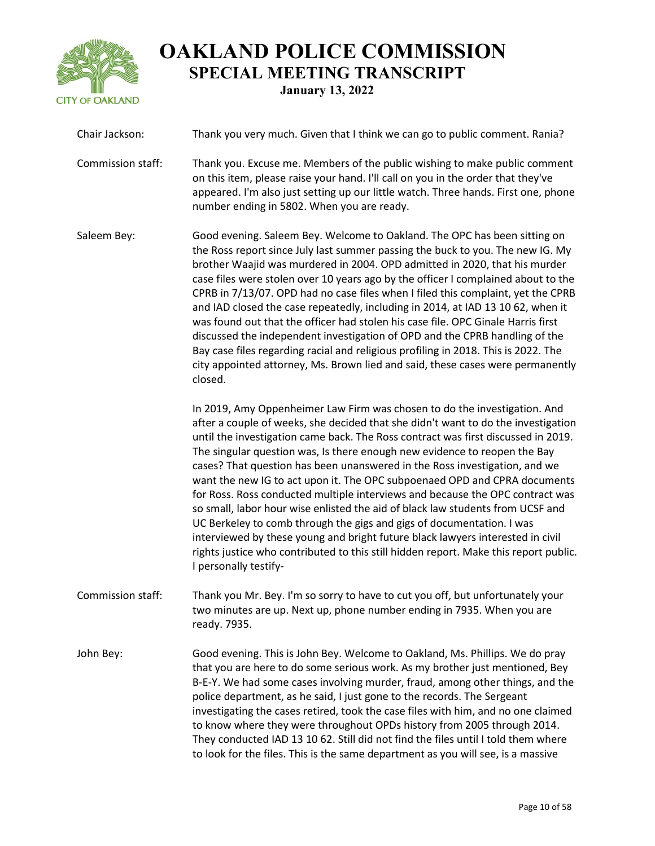

| Chair Jackson:    | Thank you very much. Given that I think we can go to public comment. Rania?                                                                                                                                                                                                                                                                                                                                                                                                                                                                                                                                                                                                                                                                                                                                                                                                                                                                |
|-------------------|--------------------------------------------------------------------------------------------------------------------------------------------------------------------------------------------------------------------------------------------------------------------------------------------------------------------------------------------------------------------------------------------------------------------------------------------------------------------------------------------------------------------------------------------------------------------------------------------------------------------------------------------------------------------------------------------------------------------------------------------------------------------------------------------------------------------------------------------------------------------------------------------------------------------------------------------|
| Commission staff: | Thank you. Excuse me. Members of the public wishing to make public comment<br>on this item, please raise your hand. I'll call on you in the order that they've<br>appeared. I'm also just setting up our little watch. Three hands. First one, phone<br>number ending in 5802. When you are ready.                                                                                                                                                                                                                                                                                                                                                                                                                                                                                                                                                                                                                                         |
| Saleem Bey:       | Good evening. Saleem Bey. Welcome to Oakland. The OPC has been sitting on<br>the Ross report since July last summer passing the buck to you. The new IG. My<br>brother Waajid was murdered in 2004. OPD admitted in 2020, that his murder<br>case files were stolen over 10 years ago by the officer I complained about to the<br>CPRB in 7/13/07. OPD had no case files when I filed this complaint, yet the CPRB<br>and IAD closed the case repeatedly, including in 2014, at IAD 13 10 62, when it<br>was found out that the officer had stolen his case file. OPC Ginale Harris first<br>discussed the independent investigation of OPD and the CPRB handling of the<br>Bay case files regarding racial and religious profiling in 2018. This is 2022. The<br>city appointed attorney, Ms. Brown lied and said, these cases were permanently<br>closed.                                                                                |
|                   | In 2019, Amy Oppenheimer Law Firm was chosen to do the investigation. And<br>after a couple of weeks, she decided that she didn't want to do the investigation<br>until the investigation came back. The Ross contract was first discussed in 2019.<br>The singular question was, Is there enough new evidence to reopen the Bay<br>cases? That question has been unanswered in the Ross investigation, and we<br>want the new IG to act upon it. The OPC subpoenaed OPD and CPRA documents<br>for Ross. Ross conducted multiple interviews and because the OPC contract was<br>so small, labor hour wise enlisted the aid of black law students from UCSF and<br>UC Berkeley to comb through the gigs and gigs of documentation. I was<br>interviewed by these young and bright future black lawyers interested in civil<br>rights justice who contributed to this still hidden report. Make this report public.<br>I personally testify- |
| Commission staff: | Thank you Mr. Bey. I'm so sorry to have to cut you off, but unfortunately your<br>two minutes are up. Next up, phone number ending in 7935. When you are<br>ready. 7935.                                                                                                                                                                                                                                                                                                                                                                                                                                                                                                                                                                                                                                                                                                                                                                   |
| John Bey:         | Good evening. This is John Bey. Welcome to Oakland, Ms. Phillips. We do pray<br>that you are here to do some serious work. As my brother just mentioned, Bey<br>B-E-Y. We had some cases involving murder, fraud, among other things, and the<br>police department, as he said, I just gone to the records. The Sergeant<br>investigating the cases retired, took the case files with him, and no one claimed<br>to know where they were throughout OPDs history from 2005 through 2014.<br>They conducted IAD 13 10 62. Still did not find the files until I told them where<br>to look for the files. This is the same department as you will see, is a massive                                                                                                                                                                                                                                                                          |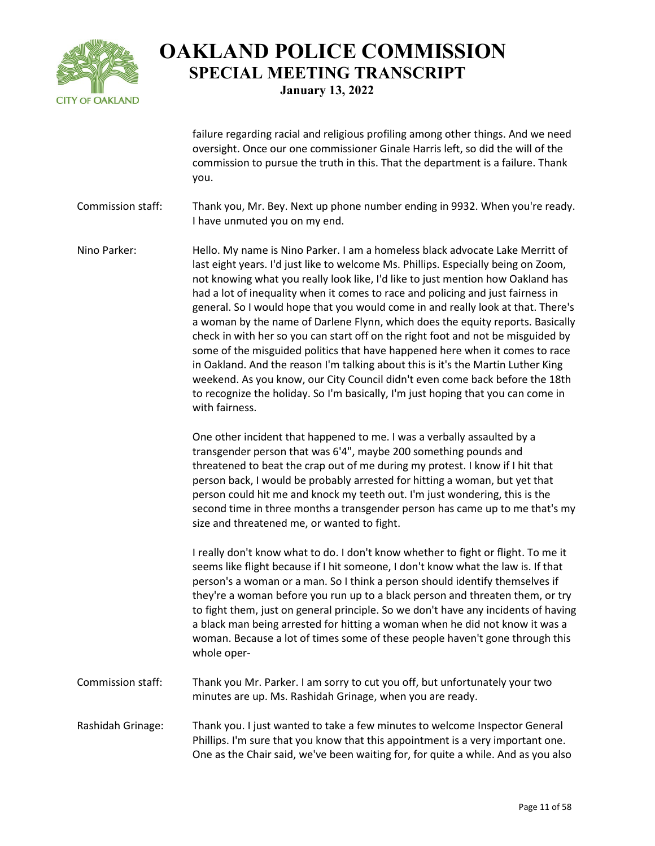

failure regarding racial and religious profiling among other things. And we need oversight. Once our one commissioner Ginale Harris left, so did the will of the commission to pursue the truth in this. That the department is a failure. Thank you.

Commission staff: Thank you, Mr. Bey. Next up phone number ending in 9932. When you're ready. I have unmuted you on my end.

Nino Parker: Hello. My name is Nino Parker. I am a homeless black advocate Lake Merritt of last eight years. I'd just like to welcome Ms. Phillips. Especially being on Zoom, not knowing what you really look like, I'd like to just mention how Oakland has had a lot of inequality when it comes to race and policing and just fairness in general. So I would hope that you would come in and really look at that. There's a woman by the name of Darlene Flynn, which does the equity reports. Basically check in with her so you can start off on the right foot and not be misguided by some of the misguided politics that have happened here when it comes to race in Oakland. And the reason I'm talking about this is it's the Martin Luther King weekend. As you know, our City Council didn't even come back before the 18th to recognize the holiday. So I'm basically, I'm just hoping that you can come in with fairness.

> One other incident that happened to me. I was a verbally assaulted by a transgender person that was 6'4", maybe 200 something pounds and threatened to beat the crap out of me during my protest. I know if I hit that person back, I would be probably arrested for hitting a woman, but yet that person could hit me and knock my teeth out. I'm just wondering, this is the second time in three months a transgender person has came up to me that's my size and threatened me, or wanted to fight.

> I really don't know what to do. I don't know whether to fight or flight. To me it seems like flight because if I hit someone, I don't know what the law is. If that person's a woman or a man. So I think a person should identify themselves if they're a woman before you run up to a black person and threaten them, or try to fight them, just on general principle. So we don't have any incidents of having a black man being arrested for hitting a woman when he did not know it was a woman. Because a lot of times some of these people haven't gone through this whole oper-

- Commission staff: Thank you Mr. Parker. I am sorry to cut you off, but unfortunately your two minutes are up. Ms. Rashidah Grinage, when you are ready.
- Rashidah Grinage: Thank you. I just wanted to take a few minutes to welcome Inspector General Phillips. I'm sure that you know that this appointment is a very important one. One as the Chair said, we've been waiting for, for quite a while. And as you also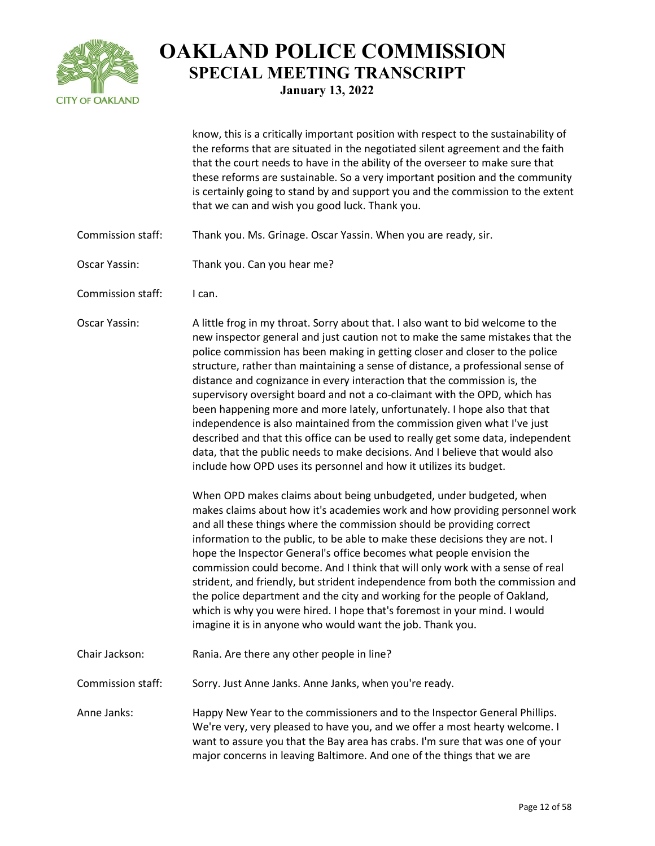

know, this is a critically important position with respect to the sustainability of the reforms that are situated in the negotiated silent agreement and the faith that the court needs to have in the ability of the overseer to make sure that these reforms are sustainable. So a very important position and the community is certainly going to stand by and support you and the commission to the extent that we can and wish you good luck. Thank you.

- Commission staff: Thank you. Ms. Grinage. Oscar Yassin. When you are ready, sir.
- Oscar Yassin: Thank you. Can you hear me?
- Commission staff: I can.

Oscar Yassin: A little frog in my throat. Sorry about that. I also want to bid welcome to the new inspector general and just caution not to make the same mistakes that the police commission has been making in getting closer and closer to the police structure, rather than maintaining a sense of distance, a professional sense of distance and cognizance in every interaction that the commission is, the supervisory oversight board and not a co-claimant with the OPD, which has been happening more and more lately, unfortunately. I hope also that that independence is also maintained from the commission given what I've just described and that this office can be used to really get some data, independent data, that the public needs to make decisions. And I believe that would also include how OPD uses its personnel and how it utilizes its budget.

> When OPD makes claims about being unbudgeted, under budgeted, when makes claims about how it's academies work and how providing personnel work and all these things where the commission should be providing correct information to the public, to be able to make these decisions they are not. I hope the Inspector General's office becomes what people envision the commission could become. And I think that will only work with a sense of real strident, and friendly, but strident independence from both the commission and the police department and the city and working for the people of Oakland, which is why you were hired. I hope that's foremost in your mind. I would imagine it is in anyone who would want the job. Thank you.

- Chair Jackson: Rania. Are there any other people in line?
- Commission staff: Sorry. Just Anne Janks. Anne Janks, when you're ready.

Anne Janks: Happy New Year to the commissioners and to the Inspector General Phillips. We're very, very pleased to have you, and we offer a most hearty welcome. I want to assure you that the Bay area has crabs. I'm sure that was one of your major concerns in leaving Baltimore. And one of the things that we are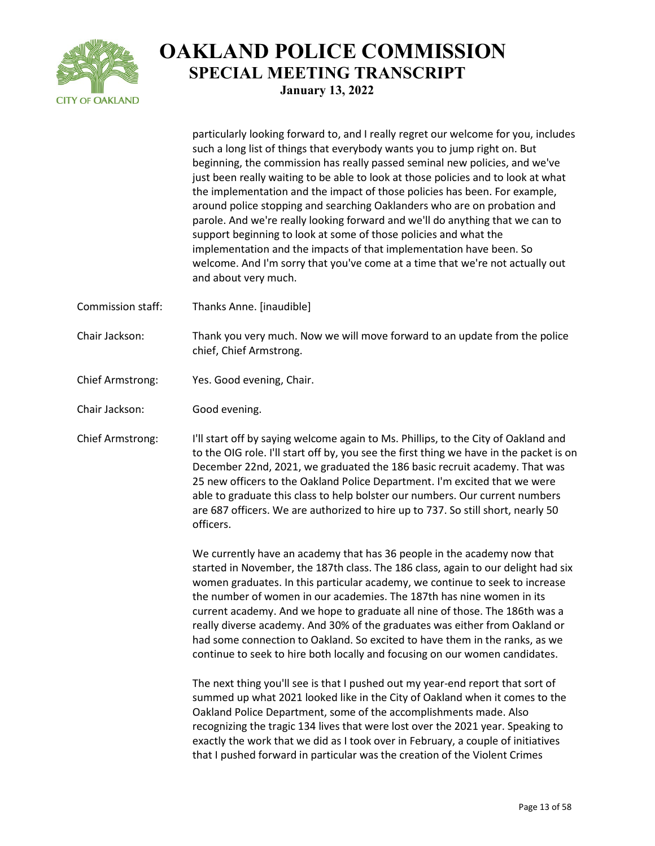

particularly looking forward to, and I really regret our welcome for you, includes such a long list of things that everybody wants you to jump right on. But beginning, the commission has really passed seminal new policies, and we've just been really waiting to be able to look at those policies and to look at what the implementation and the impact of those policies has been. For example, around police stopping and searching Oaklanders who are on probation and parole. And we're really looking forward and we'll do anything that we can to support beginning to look at some of those policies and what the implementation and the impacts of that implementation have been. So welcome. And I'm sorry that you've come at a time that we're not actually out and about very much. Commission staff: Thanks Anne. [inaudible] Chair Jackson: Thank you very much. Now we will move forward to an update from the police chief, Chief Armstrong. Chief Armstrong: Yes. Good evening, Chair. Chair Jackson: Good evening. Chief Armstrong: I'll start off by saying welcome again to Ms. Phillips, to the City of Oakland and to the OIG role. I'll start off by, you see the first thing we have in the packet is on December 22nd, 2021, we graduated the 186 basic recruit academy. That was 25 new officers to the Oakland Police Department. I'm excited that we were able to graduate this class to help bolster our numbers. Our current numbers are 687 officers. We are authorized to hire up to 737. So still short, nearly 50 officers. We currently have an academy that has 36 people in the academy now that started in November, the 187th class. The 186 class, again to our delight had six women graduates. In this particular academy, we continue to seek to increase the number of women in our academies. The 187th has nine women in its

current academy. And we hope to graduate all nine of those. The 186th was a really diverse academy. And 30% of the graduates was either from Oakland or had some connection to Oakland. So excited to have them in the ranks, as we continue to seek to hire both locally and focusing on our women candidates.

The next thing you'll see is that I pushed out my year-end report that sort of summed up what 2021 looked like in the City of Oakland when it comes to the Oakland Police Department, some of the accomplishments made. Also recognizing the tragic 134 lives that were lost over the 2021 year. Speaking to exactly the work that we did as I took over in February, a couple of initiatives that I pushed forward in particular was the creation of the Violent Crimes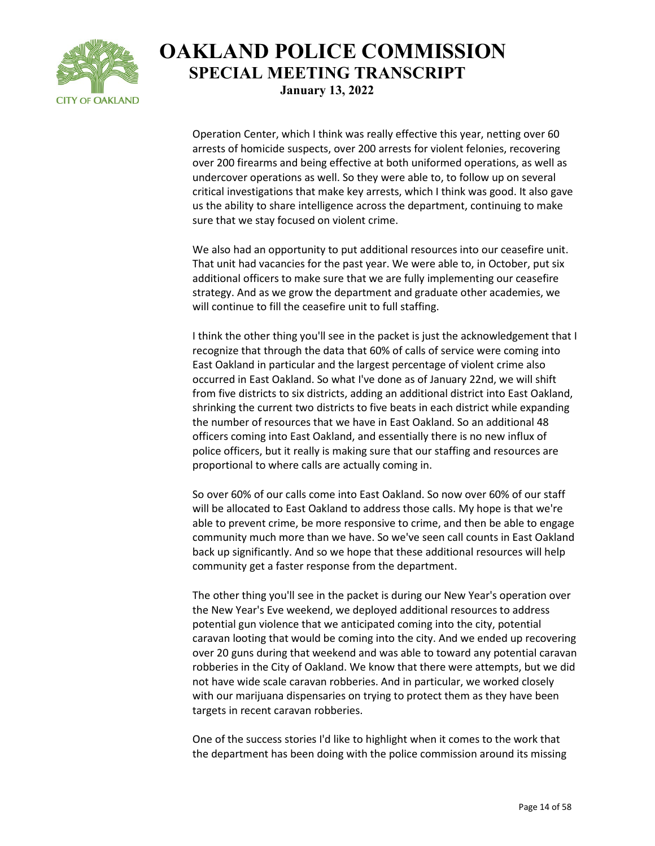

Operation Center, which I think was really effective this year, netting over 60 arrests of homicide suspects, over 200 arrests for violent felonies, recovering over 200 firearms and being effective at both uniformed operations, as well as undercover operations as well. So they were able to, to follow up on several critical investigations that make key arrests, which I think was good. It also gave us the ability to share intelligence across the department, continuing to make sure that we stay focused on violent crime.

We also had an opportunity to put additional resources into our ceasefire unit. That unit had vacancies for the past year. We were able to, in October, put six additional officers to make sure that we are fully implementing our ceasefire strategy. And as we grow the department and graduate other academies, we will continue to fill the ceasefire unit to full staffing.

I think the other thing you'll see in the packet is just the acknowledgement that I recognize that through the data that 60% of calls of service were coming into East Oakland in particular and the largest percentage of violent crime also occurred in East Oakland. So what I've done as of January 22nd, we will shift from five districts to six districts, adding an additional district into East Oakland, shrinking the current two districts to five beats in each district while expanding the number of resources that we have in East Oakland. So an additional 48 officers coming into East Oakland, and essentially there is no new influx of police officers, but it really is making sure that our staffing and resources are proportional to where calls are actually coming in.

So over 60% of our calls come into East Oakland. So now over 60% of our staff will be allocated to East Oakland to address those calls. My hope is that we're able to prevent crime, be more responsive to crime, and then be able to engage community much more than we have. So we've seen call counts in East Oakland back up significantly. And so we hope that these additional resources will help community get a faster response from the department.

The other thing you'll see in the packet is during our New Year's operation over the New Year's Eve weekend, we deployed additional resources to address potential gun violence that we anticipated coming into the city, potential caravan looting that would be coming into the city. And we ended up recovering over 20 guns during that weekend and was able to toward any potential caravan robberies in the City of Oakland. We know that there were attempts, but we did not have wide scale caravan robberies. And in particular, we worked closely with our marijuana dispensaries on trying to protect them as they have been targets in recent caravan robberies.

One of the success stories I'd like to highlight when it comes to the work that the department has been doing with the police commission around its missing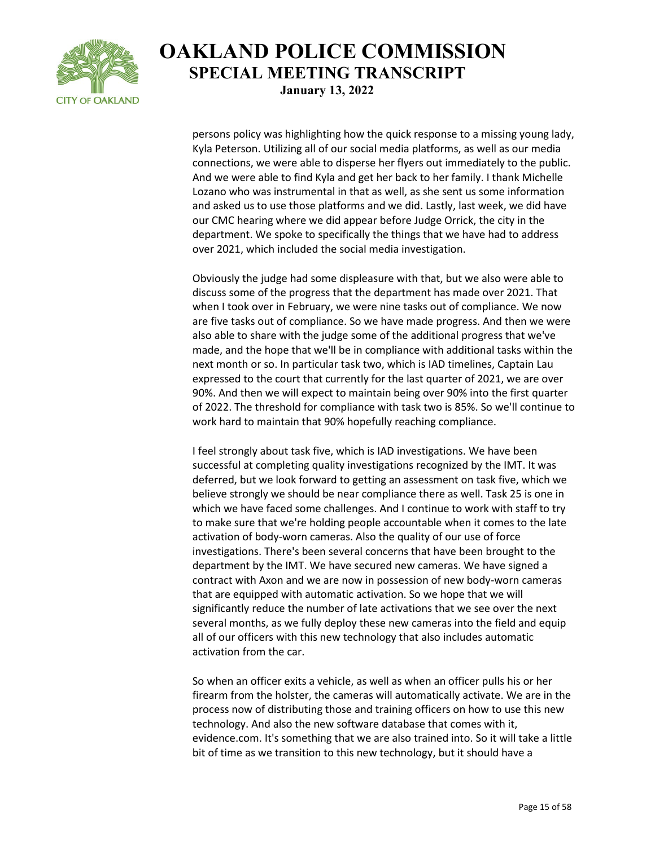

persons policy was highlighting how the quick response to a missing young lady, Kyla Peterson. Utilizing all of our social media platforms, as well as our media connections, we were able to disperse her flyers out immediately to the public. And we were able to find Kyla and get her back to her family. I thank Michelle Lozano who was instrumental in that as well, as she sent us some information and asked us to use those platforms and we did. Lastly, last week, we did have our CMC hearing where we did appear before Judge Orrick, the city in the department. We spoke to specifically the things that we have had to address over 2021, which included the social media investigation.

Obviously the judge had some displeasure with that, but we also were able to discuss some of the progress that the department has made over 2021. That when I took over in February, we were nine tasks out of compliance. We now are five tasks out of compliance. So we have made progress. And then we were also able to share with the judge some of the additional progress that we've made, and the hope that we'll be in compliance with additional tasks within the next month or so. In particular task two, which is IAD timelines, Captain Lau expressed to the court that currently for the last quarter of 2021, we are over 90%. And then we will expect to maintain being over 90% into the first quarter of 2022. The threshold for compliance with task two is 85%. So we'll continue to work hard to maintain that 90% hopefully reaching compliance.

I feel strongly about task five, which is IAD investigations. We have been successful at completing quality investigations recognized by the IMT. It was deferred, but we look forward to getting an assessment on task five, which we believe strongly we should be near compliance there as well. Task 25 is one in which we have faced some challenges. And I continue to work with staff to try to make sure that we're holding people accountable when it comes to the late activation of body-worn cameras. Also the quality of our use of force investigations. There's been several concerns that have been brought to the department by the IMT. We have secured new cameras. We have signed a contract with Axon and we are now in possession of new body-worn cameras that are equipped with automatic activation. So we hope that we will significantly reduce the number of late activations that we see over the next several months, as we fully deploy these new cameras into the field and equip all of our officers with this new technology that also includes automatic activation from the car.

So when an officer exits a vehicle, as well as when an officer pulls his or her firearm from the holster, the cameras will automatically activate. We are in the process now of distributing those and training officers on how to use this new technology. And also the new software database that comes with it, evidence.com. It's something that we are also trained into. So it will take a little bit of time as we transition to this new technology, but it should have a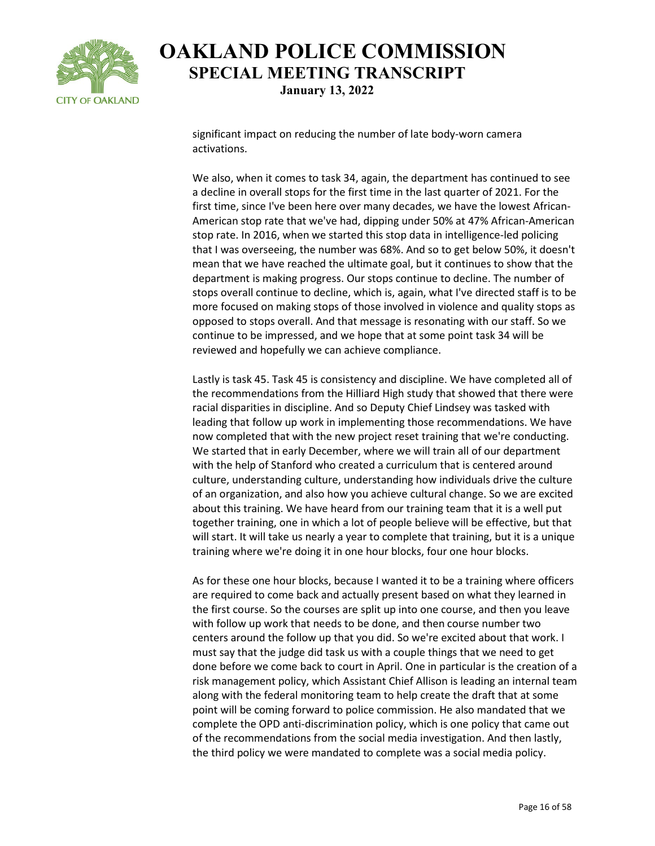

significant impact on reducing the number of late body-worn camera activations.

We also, when it comes to task 34, again, the department has continued to see a decline in overall stops for the first time in the last quarter of 2021. For the first time, since I've been here over many decades, we have the lowest African-American stop rate that we've had, dipping under 50% at 47% African-American stop rate. In 2016, when we started this stop data in intelligence-led policing that I was overseeing, the number was 68%. And so to get below 50%, it doesn't mean that we have reached the ultimate goal, but it continues to show that the department is making progress. Our stops continue to decline. The number of stops overall continue to decline, which is, again, what I've directed staff is to be more focused on making stops of those involved in violence and quality stops as opposed to stops overall. And that message is resonating with our staff. So we continue to be impressed, and we hope that at some point task 34 will be reviewed and hopefully we can achieve compliance.

Lastly is task 45. Task 45 is consistency and discipline. We have completed all of the recommendations from the Hilliard High study that showed that there were racial disparities in discipline. And so Deputy Chief Lindsey was tasked with leading that follow up work in implementing those recommendations. We have now completed that with the new project reset training that we're conducting. We started that in early December, where we will train all of our department with the help of Stanford who created a curriculum that is centered around culture, understanding culture, understanding how individuals drive the culture of an organization, and also how you achieve cultural change. So we are excited about this training. We have heard from our training team that it is a well put together training, one in which a lot of people believe will be effective, but that will start. It will take us nearly a year to complete that training, but it is a unique training where we're doing it in one hour blocks, four one hour blocks.

As for these one hour blocks, because I wanted it to be a training where officers are required to come back and actually present based on what they learned in the first course. So the courses are split up into one course, and then you leave with follow up work that needs to be done, and then course number two centers around the follow up that you did. So we're excited about that work. I must say that the judge did task us with a couple things that we need to get done before we come back to court in April. One in particular is the creation of a risk management policy, which Assistant Chief Allison is leading an internal team along with the federal monitoring team to help create the draft that at some point will be coming forward to police commission. He also mandated that we complete the OPD anti-discrimination policy, which is one policy that came out of the recommendations from the social media investigation. And then lastly, the third policy we were mandated to complete was a social media policy.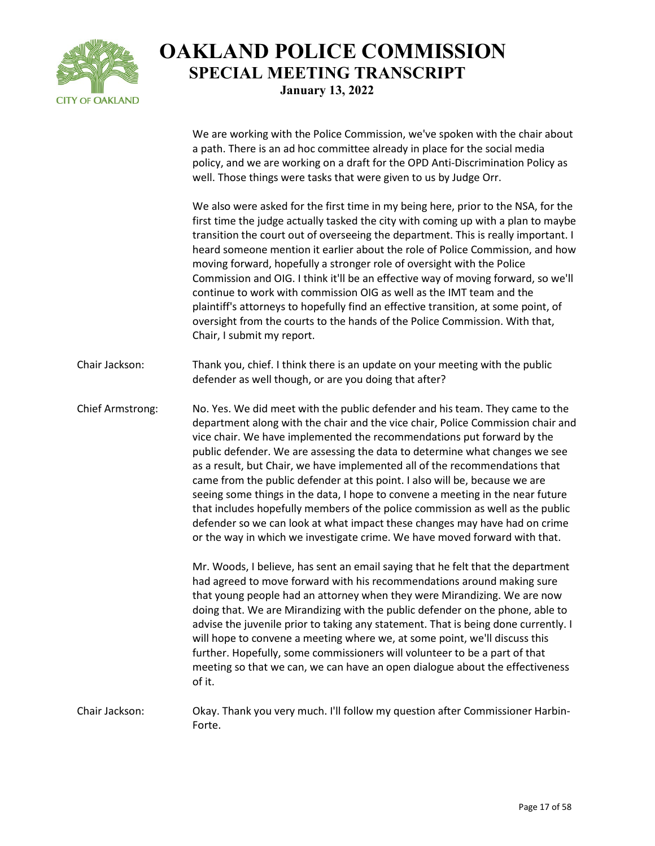

We are working with the Police Commission, we've spoken with the chair about a path. There is an ad hoc committee already in place for the social media policy, and we are working on a draft for the OPD Anti-Discrimination Policy as well. Those things were tasks that were given to us by Judge Orr.

We also were asked for the first time in my being here, prior to the NSA, for the first time the judge actually tasked the city with coming up with a plan to maybe transition the court out of overseeing the department. This is really important. I heard someone mention it earlier about the role of Police Commission, and how moving forward, hopefully a stronger role of oversight with the Police Commission and OIG. I think it'll be an effective way of moving forward, so we'll continue to work with commission OIG as well as the IMT team and the plaintiff's attorneys to hopefully find an effective transition, at some point, of oversight from the courts to the hands of the Police Commission. With that, Chair, I submit my report.

Chair Jackson: Thank you, chief. I think there is an update on your meeting with the public defender as well though, or are you doing that after?

Chief Armstrong: No. Yes. We did meet with the public defender and his team. They came to the department along with the chair and the vice chair, Police Commission chair and vice chair. We have implemented the recommendations put forward by the public defender. We are assessing the data to determine what changes we see as a result, but Chair, we have implemented all of the recommendations that came from the public defender at this point. I also will be, because we are seeing some things in the data, I hope to convene a meeting in the near future that includes hopefully members of the police commission as well as the public defender so we can look at what impact these changes may have had on crime or the way in which we investigate crime. We have moved forward with that.

> Mr. Woods, I believe, has sent an email saying that he felt that the department had agreed to move forward with his recommendations around making sure that young people had an attorney when they were Mirandizing. We are now doing that. We are Mirandizing with the public defender on the phone, able to advise the juvenile prior to taking any statement. That is being done currently. I will hope to convene a meeting where we, at some point, we'll discuss this further. Hopefully, some commissioners will volunteer to be a part of that meeting so that we can, we can have an open dialogue about the effectiveness of it.

Chair Jackson: Okay. Thank you very much. I'll follow my question after Commissioner Harbin-Forte.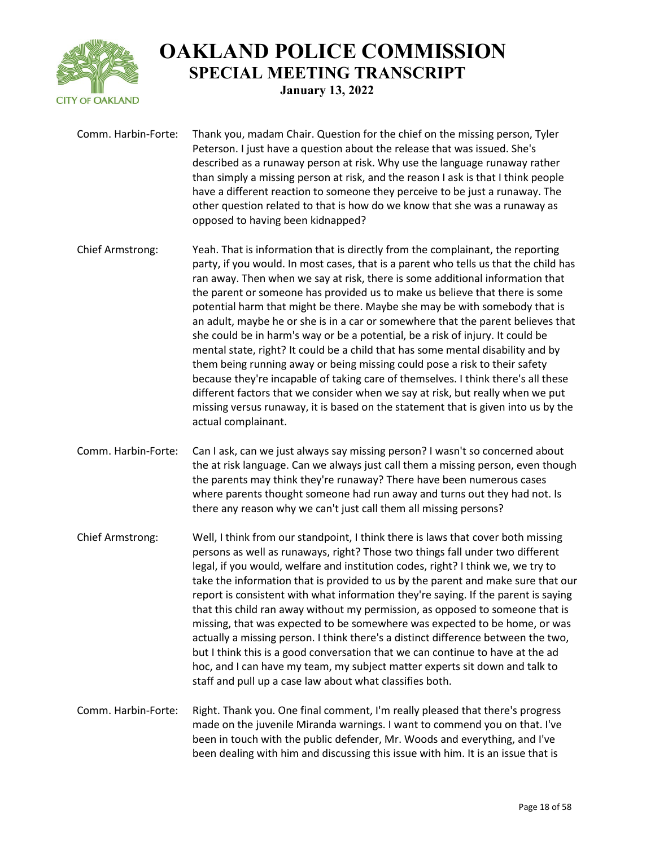

Comm. Harbin-Forte: Thank you, madam Chair. Question for the chief on the missing person, Tyler Peterson. I just have a question about the release that was issued. She's described as a runaway person at risk. Why use the language runaway rather than simply a missing person at risk, and the reason I ask is that I think people have a different reaction to someone they perceive to be just a runaway. The other question related to that is how do we know that she was a runaway as opposed to having been kidnapped?

Chief Armstrong: Yeah. That is information that is directly from the complainant, the reporting party, if you would. In most cases, that is a parent who tells us that the child has ran away. Then when we say at risk, there is some additional information that the parent or someone has provided us to make us believe that there is some potential harm that might be there. Maybe she may be with somebody that is an adult, maybe he or she is in a car or somewhere that the parent believes that she could be in harm's way or be a potential, be a risk of injury. It could be mental state, right? It could be a child that has some mental disability and by them being running away or being missing could pose a risk to their safety because they're incapable of taking care of themselves. I think there's all these different factors that we consider when we say at risk, but really when we put missing versus runaway, it is based on the statement that is given into us by the actual complainant.

Comm. Harbin-Forte: Can I ask, can we just always say missing person? I wasn't so concerned about the at risk language. Can we always just call them a missing person, even though the parents may think they're runaway? There have been numerous cases where parents thought someone had run away and turns out they had not. Is there any reason why we can't just call them all missing persons?

Chief Armstrong: Well, I think from our standpoint, I think there is laws that cover both missing persons as well as runaways, right? Those two things fall under two different legal, if you would, welfare and institution codes, right? I think we, we try to take the information that is provided to us by the parent and make sure that our report is consistent with what information they're saying. If the parent is saying that this child ran away without my permission, as opposed to someone that is missing, that was expected to be somewhere was expected to be home, or was actually a missing person. I think there's a distinct difference between the two, but I think this is a good conversation that we can continue to have at the ad hoc, and I can have my team, my subject matter experts sit down and talk to staff and pull up a case law about what classifies both.

Comm. Harbin-Forte: Right. Thank you. One final comment, I'm really pleased that there's progress made on the juvenile Miranda warnings. I want to commend you on that. I've been in touch with the public defender, Mr. Woods and everything, and I've been dealing with him and discussing this issue with him. It is an issue that is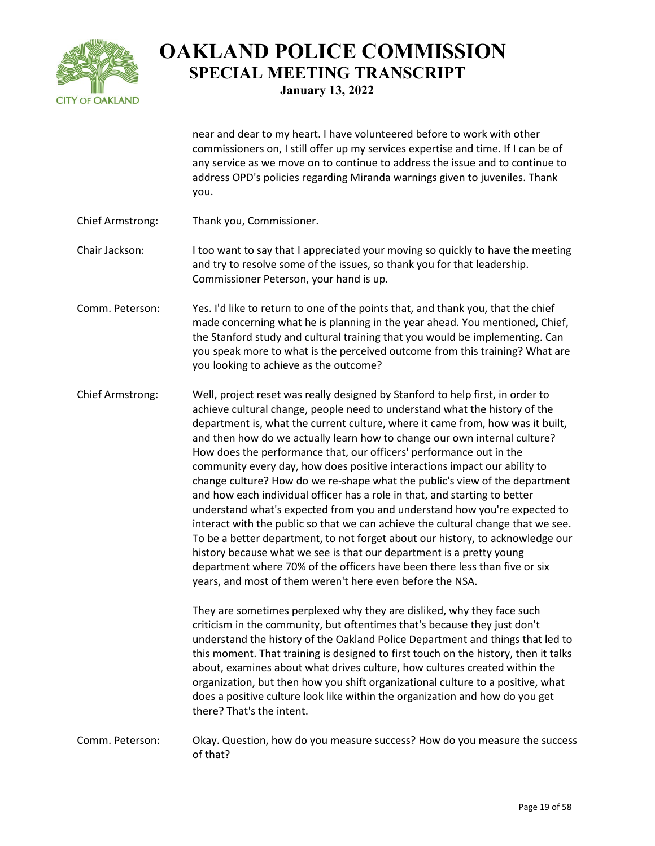

near and dear to my heart. I have volunteered before to work with other commissioners on, I still offer up my services expertise and time. If I can be of any service as we move on to continue to address the issue and to continue to address OPD's policies regarding Miranda warnings given to juveniles. Thank you.

Chief Armstrong: Thank you, Commissioner.

Chair Jackson: I too want to say that I appreciated your moving so quickly to have the meeting and try to resolve some of the issues, so thank you for that leadership. Commissioner Peterson, your hand is up.

Comm. Peterson: Yes. I'd like to return to one of the points that, and thank you, that the chief made concerning what he is planning in the year ahead. You mentioned, Chief, the Stanford study and cultural training that you would be implementing. Can you speak more to what is the perceived outcome from this training? What are you looking to achieve as the outcome?

Chief Armstrong: Well, project reset was really designed by Stanford to help first, in order to achieve cultural change, people need to understand what the history of the department is, what the current culture, where it came from, how was it built, and then how do we actually learn how to change our own internal culture? How does the performance that, our officers' performance out in the community every day, how does positive interactions impact our ability to change culture? How do we re-shape what the public's view of the department and how each individual officer has a role in that, and starting to better understand what's expected from you and understand how you're expected to interact with the public so that we can achieve the cultural change that we see. To be a better department, to not forget about our history, to acknowledge our history because what we see is that our department is a pretty young department where 70% of the officers have been there less than five or six years, and most of them weren't here even before the NSA.

> They are sometimes perplexed why they are disliked, why they face such criticism in the community, but oftentimes that's because they just don't understand the history of the Oakland Police Department and things that led to this moment. That training is designed to first touch on the history, then it talks about, examines about what drives culture, how cultures created within the organization, but then how you shift organizational culture to a positive, what does a positive culture look like within the organization and how do you get there? That's the intent.

Comm. Peterson: Okay. Question, how do you measure success? How do you measure the success of that?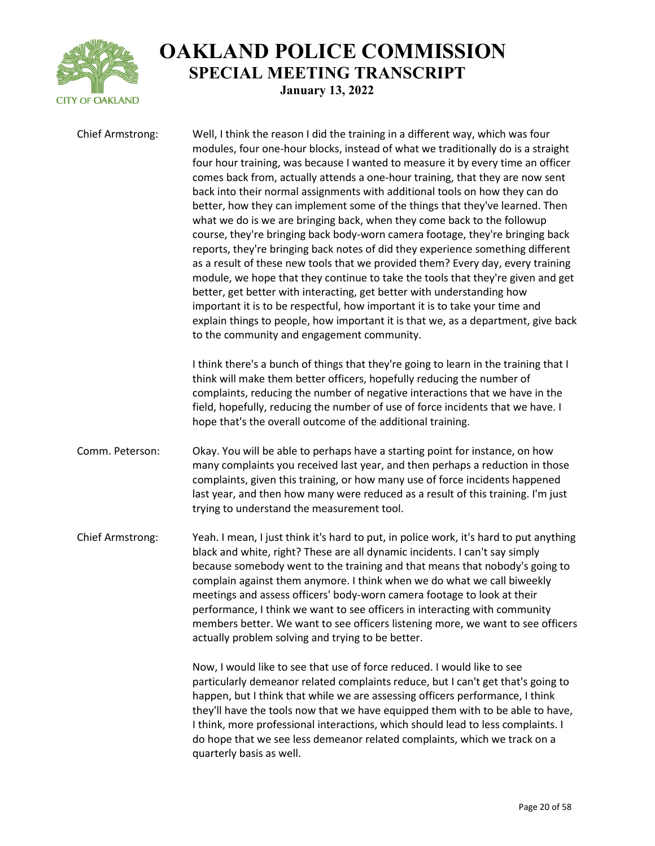

| <b>Chief Armstrong:</b> | Well, I think the reason I did the training in a different way, which was four<br>modules, four one-hour blocks, instead of what we traditionally do is a straight<br>four hour training, was because I wanted to measure it by every time an officer<br>comes back from, actually attends a one-hour training, that they are now sent<br>back into their normal assignments with additional tools on how they can do<br>better, how they can implement some of the things that they've learned. Then<br>what we do is we are bringing back, when they come back to the followup<br>course, they're bringing back body-worn camera footage, they're bringing back<br>reports, they're bringing back notes of did they experience something different<br>as a result of these new tools that we provided them? Every day, every training<br>module, we hope that they continue to take the tools that they're given and get<br>better, get better with interacting, get better with understanding how<br>important it is to be respectful, how important it is to take your time and<br>explain things to people, how important it is that we, as a department, give back<br>to the community and engagement community. |
|-------------------------|------------------------------------------------------------------------------------------------------------------------------------------------------------------------------------------------------------------------------------------------------------------------------------------------------------------------------------------------------------------------------------------------------------------------------------------------------------------------------------------------------------------------------------------------------------------------------------------------------------------------------------------------------------------------------------------------------------------------------------------------------------------------------------------------------------------------------------------------------------------------------------------------------------------------------------------------------------------------------------------------------------------------------------------------------------------------------------------------------------------------------------------------------------------------------------------------------------------------|
|                         | I think there's a bunch of things that they're going to learn in the training that I<br>think will make them better officers, hopefully reducing the number of<br>complaints, reducing the number of negative interactions that we have in the<br>field, hopefully, reducing the number of use of force incidents that we have. I<br>hope that's the overall outcome of the additional training.                                                                                                                                                                                                                                                                                                                                                                                                                                                                                                                                                                                                                                                                                                                                                                                                                       |
| Comm. Peterson:         | Okay. You will be able to perhaps have a starting point for instance, on how<br>many complaints you received last year, and then perhaps a reduction in those<br>complaints, given this training, or how many use of force incidents happened<br>last year, and then how many were reduced as a result of this training. I'm just<br>trying to understand the measurement tool.                                                                                                                                                                                                                                                                                                                                                                                                                                                                                                                                                                                                                                                                                                                                                                                                                                        |
| Chief Armstrong:        | Yeah. I mean, I just think it's hard to put, in police work, it's hard to put anything<br>black and white, right? These are all dynamic incidents. I can't say simply<br>because somebody went to the training and that means that nobody's going to<br>complain against them anymore. I think when we do what we call biweekly<br>meetings and assess officers' body-worn camera footage to look at their<br>performance, I think we want to see officers in interacting with community<br>members better. We want to see officers listening more, we want to see officers<br>actually problem solving and trying to be better.                                                                                                                                                                                                                                                                                                                                                                                                                                                                                                                                                                                       |
|                         | Now, I would like to see that use of force reduced. I would like to see<br>particularly demeanor related complaints reduce, but I can't get that's going to<br>happen, but I think that while we are assessing officers performance, I think<br>they'll have the tools now that we have equipped them with to be able to have,<br>I think, more professional interactions, which should lead to less complaints. I<br>do hope that we see less demeanor related complaints, which we track on a<br>quarterly basis as well.                                                                                                                                                                                                                                                                                                                                                                                                                                                                                                                                                                                                                                                                                            |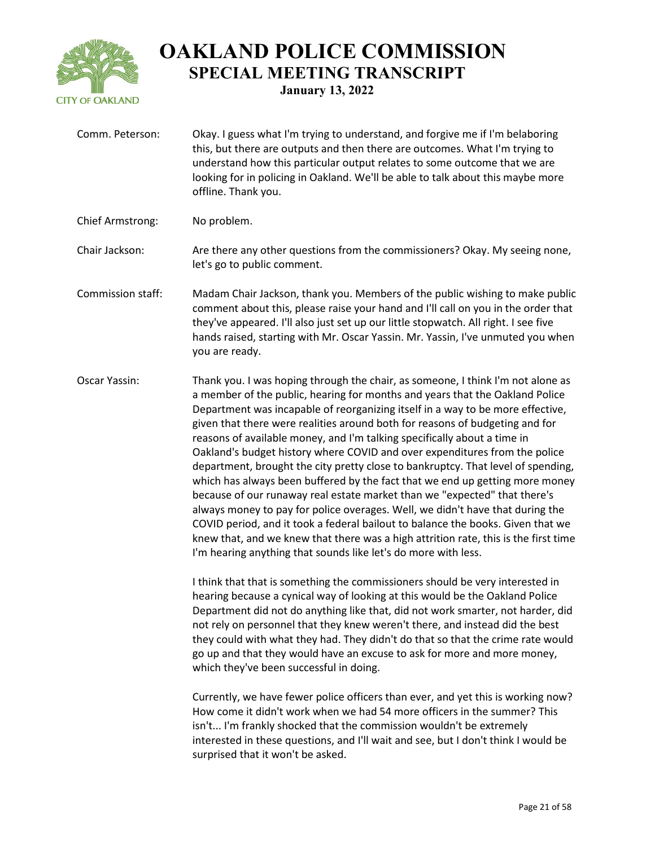

**January 13, 2022**

Comm. Peterson: Okay. I guess what I'm trying to understand, and forgive me if I'm belaboring this, but there are outputs and then there are outcomes. What I'm trying to understand how this particular output relates to some outcome that we are looking for in policing in Oakland. We'll be able to talk about this maybe more offline. Thank you. Chief Armstrong: No problem. Chair Jackson: Are there any other questions from the commissioners? Okay. My seeing none, let's go to public comment. Commission staff: Madam Chair Jackson, thank you. Members of the public wishing to make public comment about this, please raise your hand and I'll call on you in the order that they've appeared. I'll also just set up our little stopwatch. All right. I see five hands raised, starting with Mr. Oscar Yassin. Mr. Yassin, I've unmuted you when you are ready. Oscar Yassin: Thank you. I was hoping through the chair, as someone, I think I'm not alone as a member of the public, hearing for months and years that the Oakland Police Department was incapable of reorganizing itself in a way to be more effective, given that there were realities around both for reasons of budgeting and for reasons of available money, and I'm talking specifically about a time in Oakland's budget history where COVID and over expenditures from the police department, brought the city pretty close to bankruptcy. That level of spending, which has always been buffered by the fact that we end up getting more money because of our runaway real estate market than we "expected" that there's always money to pay for police overages. Well, we didn't have that during the COVID period, and it took a federal bailout to balance the books. Given that we knew that, and we knew that there was a high attrition rate, this is the first time I'm hearing anything that sounds like let's do more with less. I think that that is something the commissioners should be very interested in hearing because a cynical way of looking at this would be the Oakland Police Department did not do anything like that, did not work smarter, not harder, did not rely on personnel that they knew weren't there, and instead did the best they could with what they had. They didn't do that so that the crime rate would go up and that they would have an excuse to ask for more and more money, which they've been successful in doing. Currently, we have fewer police officers than ever, and yet this is working now? How come it didn't work when we had 54 more officers in the summer? This isn't... I'm frankly shocked that the commission wouldn't be extremely interested in these questions, and I'll wait and see, but I don't think I would be surprised that it won't be asked.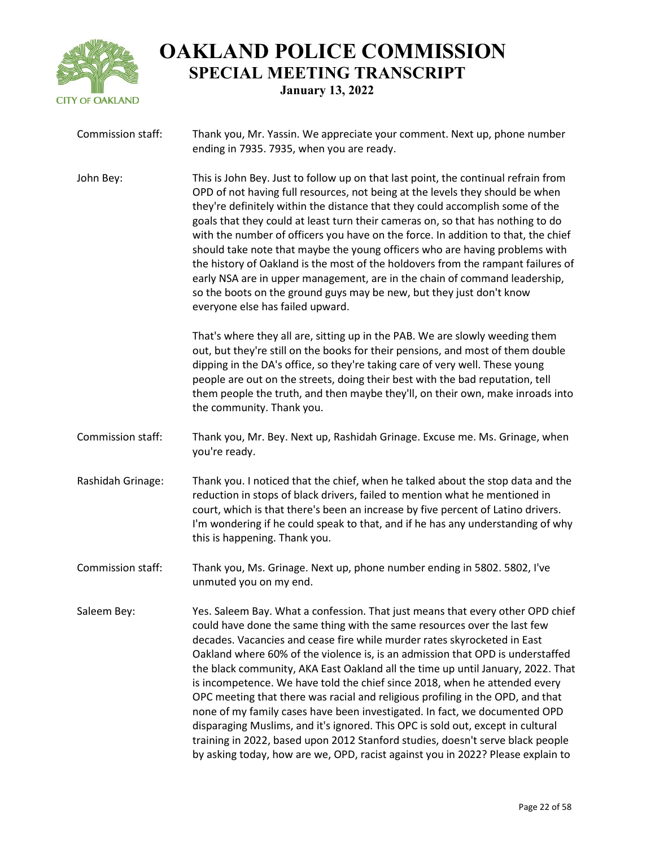

| Commission staff: | Thank you, Mr. Yassin. We appreciate your comment. Next up, phone number<br>ending in 7935. 7935, when you are ready.                                                                                                                                                                                                                                                                                                                                                                                                                                                                                                                                                                                                                                                                                                                                                                                             |
|-------------------|-------------------------------------------------------------------------------------------------------------------------------------------------------------------------------------------------------------------------------------------------------------------------------------------------------------------------------------------------------------------------------------------------------------------------------------------------------------------------------------------------------------------------------------------------------------------------------------------------------------------------------------------------------------------------------------------------------------------------------------------------------------------------------------------------------------------------------------------------------------------------------------------------------------------|
| John Bey:         | This is John Bey. Just to follow up on that last point, the continual refrain from<br>OPD of not having full resources, not being at the levels they should be when<br>they're definitely within the distance that they could accomplish some of the<br>goals that they could at least turn their cameras on, so that has nothing to do<br>with the number of officers you have on the force. In addition to that, the chief<br>should take note that maybe the young officers who are having problems with<br>the history of Oakland is the most of the holdovers from the rampant failures of<br>early NSA are in upper management, are in the chain of command leadership,<br>so the boots on the ground guys may be new, but they just don't know<br>everyone else has failed upward.                                                                                                                         |
|                   | That's where they all are, sitting up in the PAB. We are slowly weeding them<br>out, but they're still on the books for their pensions, and most of them double<br>dipping in the DA's office, so they're taking care of very well. These young<br>people are out on the streets, doing their best with the bad reputation, tell<br>them people the truth, and then maybe they'll, on their own, make inroads into<br>the community. Thank you.                                                                                                                                                                                                                                                                                                                                                                                                                                                                   |
| Commission staff: | Thank you, Mr. Bey. Next up, Rashidah Grinage. Excuse me. Ms. Grinage, when<br>you're ready.                                                                                                                                                                                                                                                                                                                                                                                                                                                                                                                                                                                                                                                                                                                                                                                                                      |
| Rashidah Grinage: | Thank you. I noticed that the chief, when he talked about the stop data and the<br>reduction in stops of black drivers, failed to mention what he mentioned in<br>court, which is that there's been an increase by five percent of Latino drivers.<br>I'm wondering if he could speak to that, and if he has any understanding of why<br>this is happening. Thank you.                                                                                                                                                                                                                                                                                                                                                                                                                                                                                                                                            |
| Commission staff: | Thank you, Ms. Grinage. Next up, phone number ending in 5802. 5802, I've<br>unmuted you on my end.                                                                                                                                                                                                                                                                                                                                                                                                                                                                                                                                                                                                                                                                                                                                                                                                                |
| Saleem Bey:       | Yes. Saleem Bay. What a confession. That just means that every other OPD chief<br>could have done the same thing with the same resources over the last few<br>decades. Vacancies and cease fire while murder rates skyrocketed in East<br>Oakland where 60% of the violence is, is an admission that OPD is understaffed<br>the black community, AKA East Oakland all the time up until January, 2022. That<br>is incompetence. We have told the chief since 2018, when he attended every<br>OPC meeting that there was racial and religious profiling in the OPD, and that<br>none of my family cases have been investigated. In fact, we documented OPD<br>disparaging Muslims, and it's ignored. This OPC is sold out, except in cultural<br>training in 2022, based upon 2012 Stanford studies, doesn't serve black people<br>by asking today, how are we, OPD, racist against you in 2022? Please explain to |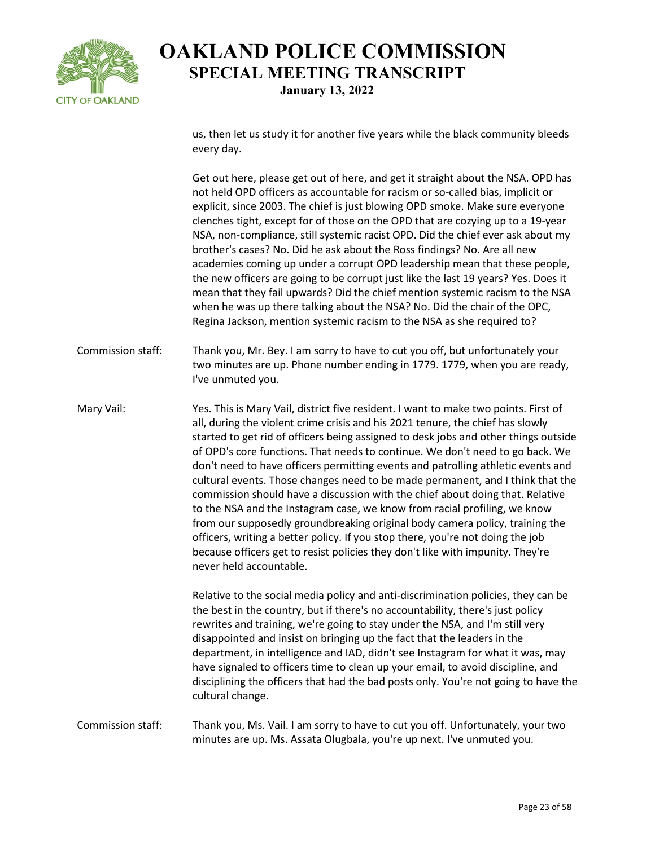

us, then let us study it for another five years while the black community bleeds every day.

Get out here, please get out of here, and get it straight about the NSA. OPD has not held OPD officers as accountable for racism or so-called bias, implicit or explicit, since 2003. The chief is just blowing OPD smoke. Make sure everyone clenches tight, except for of those on the OPD that are cozying up to a 19-year NSA, non-compliance, still systemic racist OPD. Did the chief ever ask about my brother's cases? No. Did he ask about the Ross findings? No. Are all new academies coming up under a corrupt OPD leadership mean that these people, the new officers are going to be corrupt just like the last 19 years? Yes. Does it mean that they fail upwards? Did the chief mention systemic racism to the NSA when he was up there talking about the NSA? No. Did the chair of the OPC, Regina Jackson, mention systemic racism to the NSA as she required to?

- Commission staff: Thank you, Mr. Bey. I am sorry to have to cut you off, but unfortunately your two minutes are up. Phone number ending in 1779. 1779, when you are ready, I've unmuted you.
- Mary Vail: Yes. This is Mary Vail, district five resident. I want to make two points. First of all, during the violent crime crisis and his 2021 tenure, the chief has slowly started to get rid of officers being assigned to desk jobs and other things outside of OPD's core functions. That needs to continue. We don't need to go back. We don't need to have officers permitting events and patrolling athletic events and cultural events. Those changes need to be made permanent, and I think that the commission should have a discussion with the chief about doing that. Relative to the NSA and the Instagram case, we know from racial profiling, we know from our supposedly groundbreaking original body camera policy, training the officers, writing a better policy. If you stop there, you're not doing the job because officers get to resist policies they don't like with impunity. They're never held accountable.

Relative to the social media policy and anti-discrimination policies, they can be the best in the country, but if there's no accountability, there's just policy rewrites and training, we're going to stay under the NSA, and I'm still very disappointed and insist on bringing up the fact that the leaders in the department, in intelligence and IAD, didn't see Instagram for what it was, may have signaled to officers time to clean up your email, to avoid discipline, and disciplining the officers that had the bad posts only. You're not going to have the cultural change.

#### Commission staff: Thank you, Ms. Vail. I am sorry to have to cut you off. Unfortunately, your two minutes are up. Ms. Assata Olugbala, you're up next. I've unmuted you.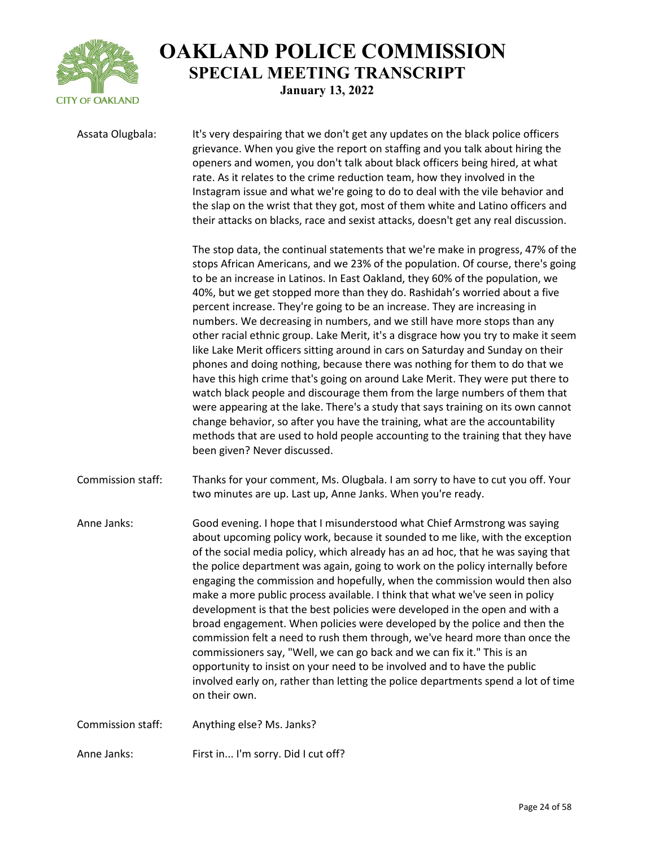

Assata Olugbala: It's very despairing that we don't get any updates on the black police officers grievance. When you give the report on staffing and you talk about hiring the openers and women, you don't talk about black officers being hired, at what rate. As it relates to the crime reduction team, how they involved in the Instagram issue and what we're going to do to deal with the vile behavior and the slap on the wrist that they got, most of them white and Latino officers and their attacks on blacks, race and sexist attacks, doesn't get any real discussion.

> The stop data, the continual statements that we're make in progress, 47% of the stops African Americans, and we 23% of the population. Of course, there's going to be an increase in Latinos. In East Oakland, they 60% of the population, we 40%, but we get stopped more than they do. Rashidah's worried about a five percent increase. They're going to be an increase. They are increasing in numbers. We decreasing in numbers, and we still have more stops than any other racial ethnic group. Lake Merit, it's a disgrace how you try to make it seem like Lake Merit officers sitting around in cars on Saturday and Sunday on their phones and doing nothing, because there was nothing for them to do that we have this high crime that's going on around Lake Merit. They were put there to watch black people and discourage them from the large numbers of them that were appearing at the lake. There's a study that says training on its own cannot change behavior, so after you have the training, what are the accountability methods that are used to hold people accounting to the training that they have been given? Never discussed.

Commission staff: Thanks for your comment, Ms. Olugbala. I am sorry to have to cut you off. Your two minutes are up. Last up, Anne Janks. When you're ready.

Anne Janks: Good evening. I hope that I misunderstood what Chief Armstrong was saying about upcoming policy work, because it sounded to me like, with the exception of the social media policy, which already has an ad hoc, that he was saying that the police department was again, going to work on the policy internally before engaging the commission and hopefully, when the commission would then also make a more public process available. I think that what we've seen in policy development is that the best policies were developed in the open and with a broad engagement. When policies were developed by the police and then the commission felt a need to rush them through, we've heard more than once the commissioners say, "Well, we can go back and we can fix it." This is an opportunity to insist on your need to be involved and to have the public involved early on, rather than letting the police departments spend a lot of time on their own.

Commission staff: Anything else? Ms. Janks?

Anne Janks: First in... I'm sorry. Did I cut off?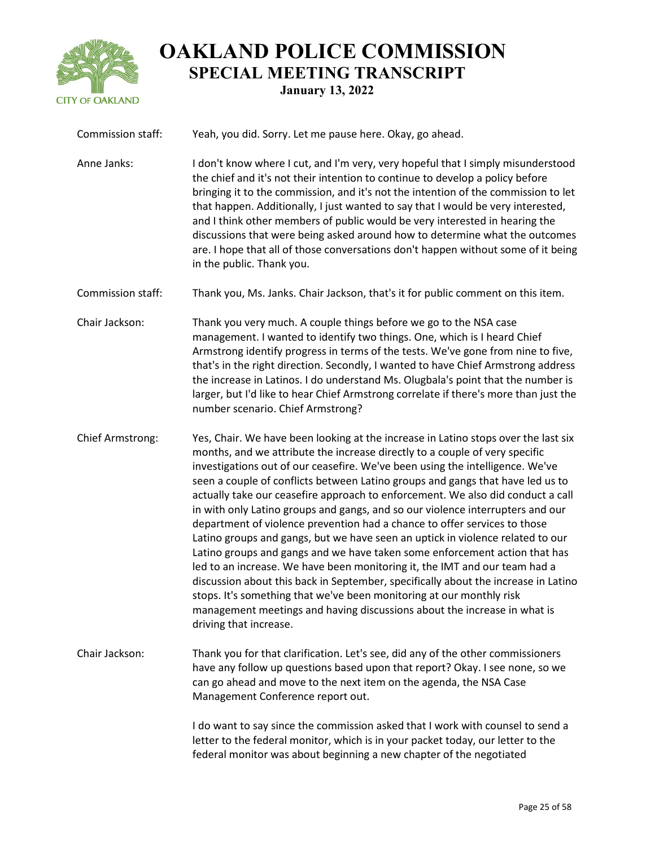

Commission staff: Yeah, you did. Sorry. Let me pause here. Okay, go ahead. Anne Janks: I don't know where I cut, and I'm very, very hopeful that I simply misunderstood the chief and it's not their intention to continue to develop a policy before bringing it to the commission, and it's not the intention of the commission to let that happen. Additionally, I just wanted to say that I would be very interested, and I think other members of public would be very interested in hearing the discussions that were being asked around how to determine what the outcomes are. I hope that all of those conversations don't happen without some of it being in the public. Thank you. Commission staff: Thank you, Ms. Janks. Chair Jackson, that's it for public comment on this item. Chair Jackson: Thank you very much. A couple things before we go to the NSA case management. I wanted to identify two things. One, which is I heard Chief Armstrong identify progress in terms of the tests. We've gone from nine to five, that's in the right direction. Secondly, I wanted to have Chief Armstrong address the increase in Latinos. I do understand Ms. Olugbala's point that the number is larger, but I'd like to hear Chief Armstrong correlate if there's more than just the number scenario. Chief Armstrong? Chief Armstrong: Yes, Chair. We have been looking at the increase in Latino stops over the last six months, and we attribute the increase directly to a couple of very specific investigations out of our ceasefire. We've been using the intelligence. We've seen a couple of conflicts between Latino groups and gangs that have led us to actually take our ceasefire approach to enforcement. We also did conduct a call in with only Latino groups and gangs, and so our violence interrupters and our department of violence prevention had a chance to offer services to those Latino groups and gangs, but we have seen an uptick in violence related to our Latino groups and gangs and we have taken some enforcement action that has led to an increase. We have been monitoring it, the IMT and our team had a discussion about this back in September, specifically about the increase in Latino stops. It's something that we've been monitoring at our monthly risk management meetings and having discussions about the increase in what is driving that increase. Chair Jackson: Thank you for that clarification. Let's see, did any of the other commissioners have any follow up questions based upon that report? Okay. I see none, so we can go ahead and move to the next item on the agenda, the NSA Case Management Conference report out. I do want to say since the commission asked that I work with counsel to send a

letter to the federal monitor, which is in your packet today, our letter to the federal monitor was about beginning a new chapter of the negotiated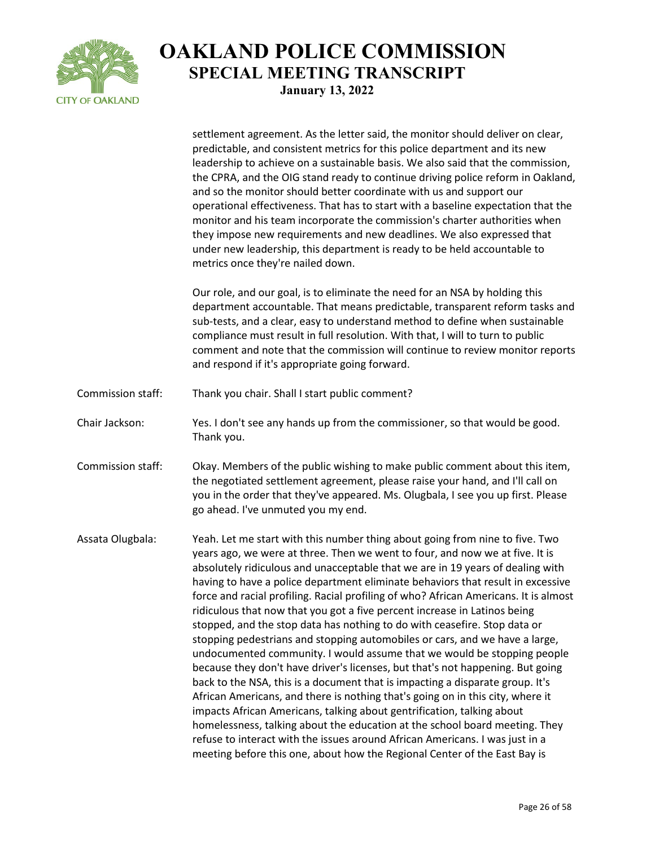

|                   | settlement agreement. As the letter said, the monitor should deliver on clear,<br>predictable, and consistent metrics for this police department and its new<br>leadership to achieve on a sustainable basis. We also said that the commission,<br>the CPRA, and the OIG stand ready to continue driving police reform in Oakland,<br>and so the monitor should better coordinate with us and support our<br>operational effectiveness. That has to start with a baseline expectation that the<br>monitor and his team incorporate the commission's charter authorities when<br>they impose new requirements and new deadlines. We also expressed that<br>under new leadership, this department is ready to be held accountable to<br>metrics once they're nailed down.                                                                                                                                                                                                                                                                                                                                                                                                                                                                                                                                                  |
|-------------------|--------------------------------------------------------------------------------------------------------------------------------------------------------------------------------------------------------------------------------------------------------------------------------------------------------------------------------------------------------------------------------------------------------------------------------------------------------------------------------------------------------------------------------------------------------------------------------------------------------------------------------------------------------------------------------------------------------------------------------------------------------------------------------------------------------------------------------------------------------------------------------------------------------------------------------------------------------------------------------------------------------------------------------------------------------------------------------------------------------------------------------------------------------------------------------------------------------------------------------------------------------------------------------------------------------------------------|
|                   | Our role, and our goal, is to eliminate the need for an NSA by holding this<br>department accountable. That means predictable, transparent reform tasks and<br>sub-tests, and a clear, easy to understand method to define when sustainable<br>compliance must result in full resolution. With that, I will to turn to public<br>comment and note that the commission will continue to review monitor reports<br>and respond if it's appropriate going forward.                                                                                                                                                                                                                                                                                                                                                                                                                                                                                                                                                                                                                                                                                                                                                                                                                                                          |
| Commission staff: | Thank you chair. Shall I start public comment?                                                                                                                                                                                                                                                                                                                                                                                                                                                                                                                                                                                                                                                                                                                                                                                                                                                                                                                                                                                                                                                                                                                                                                                                                                                                           |
| Chair Jackson:    | Yes. I don't see any hands up from the commissioner, so that would be good.<br>Thank you.                                                                                                                                                                                                                                                                                                                                                                                                                                                                                                                                                                                                                                                                                                                                                                                                                                                                                                                                                                                                                                                                                                                                                                                                                                |
| Commission staff: | Okay. Members of the public wishing to make public comment about this item,<br>the negotiated settlement agreement, please raise your hand, and I'll call on<br>you in the order that they've appeared. Ms. Olugbala, I see you up first. Please<br>go ahead. I've unmuted you my end.                                                                                                                                                                                                                                                                                                                                                                                                                                                                                                                                                                                                                                                                                                                                                                                                                                                                                                                                                                                                                                   |
| Assata Olugbala:  | Yeah. Let me start with this number thing about going from nine to five. Two<br>years ago, we were at three. Then we went to four, and now we at five. It is<br>absolutely ridiculous and unacceptable that we are in 19 years of dealing with<br>having to have a police department eliminate behaviors that result in excessive<br>force and racial profiling. Racial profiling of who? African Americans. It is almost<br>ridiculous that now that you got a five percent increase in Latinos being<br>stopped, and the stop data has nothing to do with ceasefire. Stop data or<br>stopping pedestrians and stopping automobiles or cars, and we have a large,<br>undocumented community. I would assume that we would be stopping people<br>because they don't have driver's licenses, but that's not happening. But going<br>back to the NSA, this is a document that is impacting a disparate group. It's<br>African Americans, and there is nothing that's going on in this city, where it<br>impacts African Americans, talking about gentrification, talking about<br>homelessness, talking about the education at the school board meeting. They<br>refuse to interact with the issues around African Americans. I was just in a<br>meeting before this one, about how the Regional Center of the East Bay is |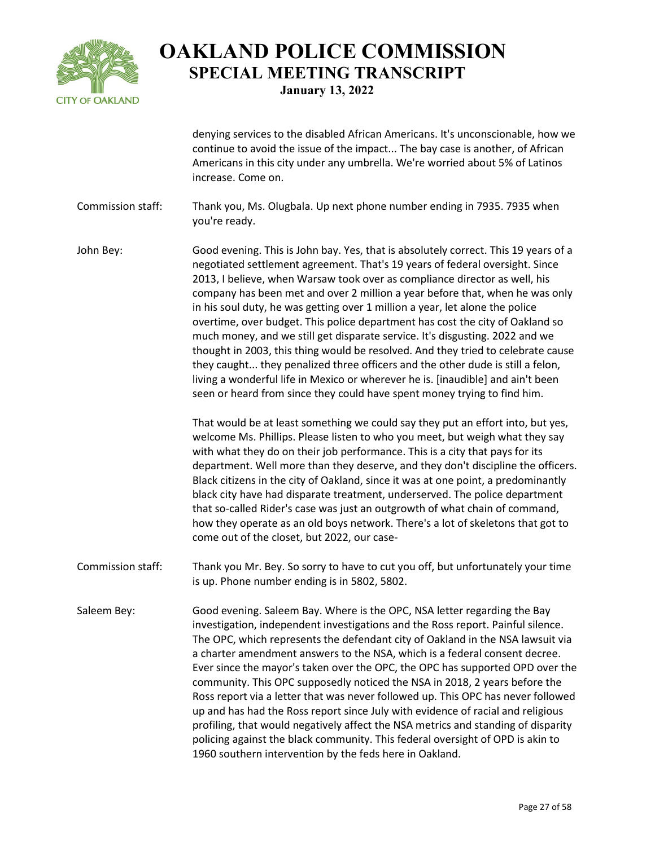

denying services to the disabled African Americans. It's unconscionable, how we continue to avoid the issue of the impact... The bay case is another, of African Americans in this city under any umbrella. We're worried about 5% of Latinos increase. Come on.

Commission staff: Thank you, Ms. Olugbala. Up next phone number ending in 7935. 7935 when you're ready.

John Bey: Good evening. This is John bay. Yes, that is absolutely correct. This 19 years of a negotiated settlement agreement. That's 19 years of federal oversight. Since 2013, I believe, when Warsaw took over as compliance director as well, his company has been met and over 2 million a year before that, when he was only in his soul duty, he was getting over 1 million a year, let alone the police overtime, over budget. This police department has cost the city of Oakland so much money, and we still get disparate service. It's disgusting. 2022 and we thought in 2003, this thing would be resolved. And they tried to celebrate cause they caught... they penalized three officers and the other dude is still a felon, living a wonderful life in Mexico or wherever he is. [inaudible] and ain't been seen or heard from since they could have spent money trying to find him.

> That would be at least something we could say they put an effort into, but yes, welcome Ms. Phillips. Please listen to who you meet, but weigh what they say with what they do on their job performance. This is a city that pays for its department. Well more than they deserve, and they don't discipline the officers. Black citizens in the city of Oakland, since it was at one point, a predominantly black city have had disparate treatment, underserved. The police department that so-called Rider's case was just an outgrowth of what chain of command, how they operate as an old boys network. There's a lot of skeletons that got to come out of the closet, but 2022, our case-

- Commission staff: Thank you Mr. Bey. So sorry to have to cut you off, but unfortunately your time is up. Phone number ending is in 5802, 5802.
- Saleem Bey: Good evening. Saleem Bay. Where is the OPC, NSA letter regarding the Bay investigation, independent investigations and the Ross report. Painful silence. The OPC, which represents the defendant city of Oakland in the NSA lawsuit via a charter amendment answers to the NSA, which is a federal consent decree. Ever since the mayor's taken over the OPC, the OPC has supported OPD over the community. This OPC supposedly noticed the NSA in 2018, 2 years before the Ross report via a letter that was never followed up. This OPC has never followed up and has had the Ross report since July with evidence of racial and religious profiling, that would negatively affect the NSA metrics and standing of disparity policing against the black community. This federal oversight of OPD is akin to 1960 southern intervention by the feds here in Oakland.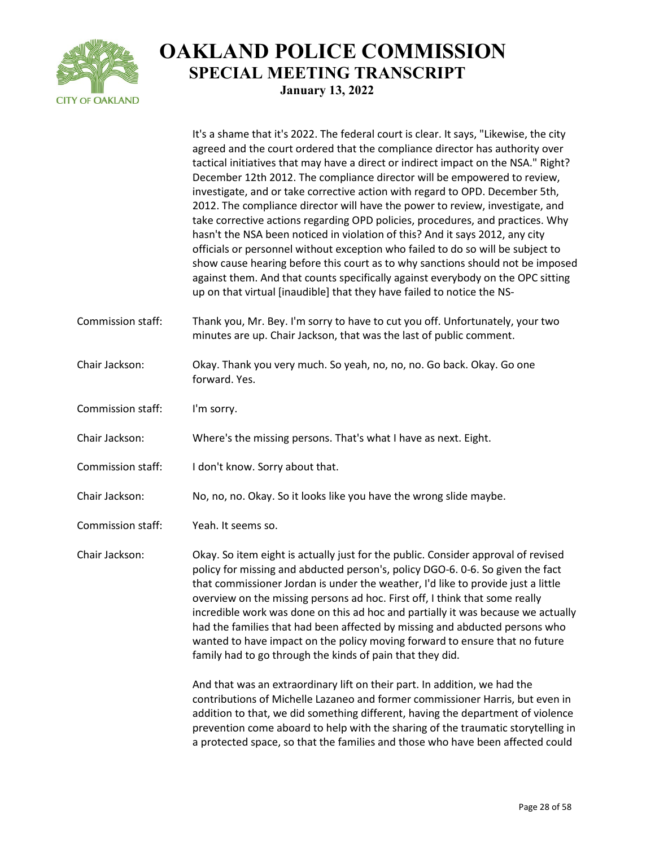

|                   | It's a shame that it's 2022. The federal court is clear. It says, "Likewise, the city<br>agreed and the court ordered that the compliance director has authority over<br>tactical initiatives that may have a direct or indirect impact on the NSA." Right?<br>December 12th 2012. The compliance director will be empowered to review,<br>investigate, and or take corrective action with regard to OPD. December 5th,<br>2012. The compliance director will have the power to review, investigate, and<br>take corrective actions regarding OPD policies, procedures, and practices. Why<br>hasn't the NSA been noticed in violation of this? And it says 2012, any city<br>officials or personnel without exception who failed to do so will be subject to<br>show cause hearing before this court as to why sanctions should not be imposed<br>against them. And that counts specifically against everybody on the OPC sitting<br>up on that virtual [inaudible] that they have failed to notice the NS- |
|-------------------|--------------------------------------------------------------------------------------------------------------------------------------------------------------------------------------------------------------------------------------------------------------------------------------------------------------------------------------------------------------------------------------------------------------------------------------------------------------------------------------------------------------------------------------------------------------------------------------------------------------------------------------------------------------------------------------------------------------------------------------------------------------------------------------------------------------------------------------------------------------------------------------------------------------------------------------------------------------------------------------------------------------|
| Commission staff: | Thank you, Mr. Bey. I'm sorry to have to cut you off. Unfortunately, your two<br>minutes are up. Chair Jackson, that was the last of public comment.                                                                                                                                                                                                                                                                                                                                                                                                                                                                                                                                                                                                                                                                                                                                                                                                                                                         |
| Chair Jackson:    | Okay. Thank you very much. So yeah, no, no, no. Go back. Okay. Go one<br>forward. Yes.                                                                                                                                                                                                                                                                                                                                                                                                                                                                                                                                                                                                                                                                                                                                                                                                                                                                                                                       |
| Commission staff: | I'm sorry.                                                                                                                                                                                                                                                                                                                                                                                                                                                                                                                                                                                                                                                                                                                                                                                                                                                                                                                                                                                                   |
| Chair Jackson:    | Where's the missing persons. That's what I have as next. Eight.                                                                                                                                                                                                                                                                                                                                                                                                                                                                                                                                                                                                                                                                                                                                                                                                                                                                                                                                              |
| Commission staff: | I don't know. Sorry about that.                                                                                                                                                                                                                                                                                                                                                                                                                                                                                                                                                                                                                                                                                                                                                                                                                                                                                                                                                                              |
| Chair Jackson:    | No, no, no. Okay. So it looks like you have the wrong slide maybe.                                                                                                                                                                                                                                                                                                                                                                                                                                                                                                                                                                                                                                                                                                                                                                                                                                                                                                                                           |
| Commission staff: | Yeah. It seems so.                                                                                                                                                                                                                                                                                                                                                                                                                                                                                                                                                                                                                                                                                                                                                                                                                                                                                                                                                                                           |
| Chair Jackson:    | Okay. So item eight is actually just for the public. Consider approval of revised<br>policy for missing and abducted person's, policy DGO-6. 0-6. So given the fact<br>that commissioner Jordan is under the weather, I'd like to provide just a little<br>overview on the missing persons ad hoc. First off, I think that some really<br>incredible work was done on this ad hoc and partially it was because we actually<br>had the families that had been affected by missing and abducted persons who<br>wanted to have impact on the policy moving forward to ensure that no future<br>family had to go through the kinds of pain that they did.                                                                                                                                                                                                                                                                                                                                                        |
|                   | And that was an extraordinary lift on their part. In addition, we had the<br>contributions of Michelle Lazaneo and former commissioner Harris, but even in<br>addition to that, we did something different, having the department of violence<br>prevention come aboard to help with the sharing of the traumatic storytelling in<br>a protected space, so that the families and those who have been affected could                                                                                                                                                                                                                                                                                                                                                                                                                                                                                                                                                                                          |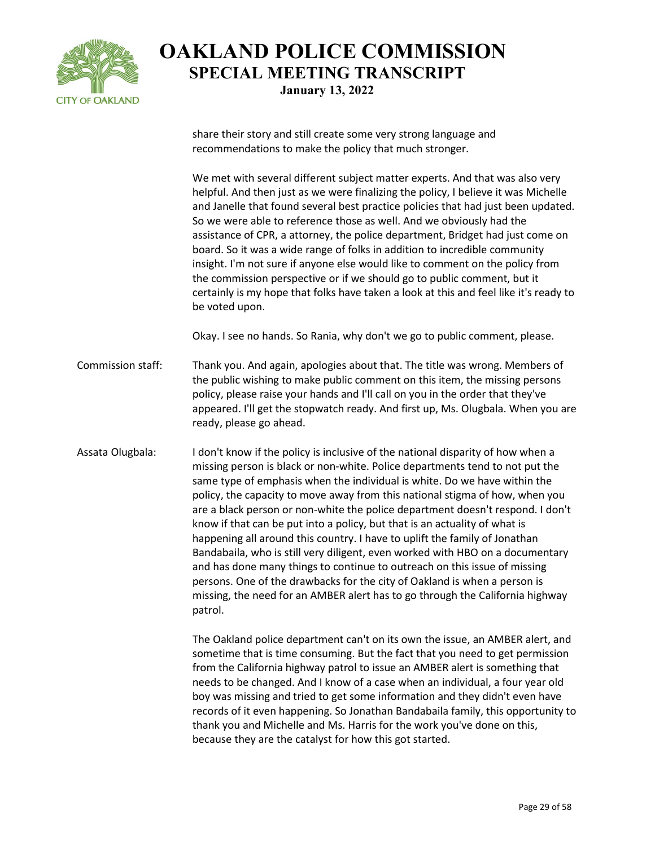

share their story and still create some very strong language and recommendations to make the policy that much stronger.

We met with several different subject matter experts. And that was also very helpful. And then just as we were finalizing the policy, I believe it was Michelle and Janelle that found several best practice policies that had just been updated. So we were able to reference those as well. And we obviously had the assistance of CPR, a attorney, the police department, Bridget had just come on board. So it was a wide range of folks in addition to incredible community insight. I'm not sure if anyone else would like to comment on the policy from the commission perspective or if we should go to public comment, but it certainly is my hope that folks have taken a look at this and feel like it's ready to be voted upon.

Okay. I see no hands. So Rania, why don't we go to public comment, please.

Commission staff: Thank you. And again, apologies about that. The title was wrong. Members of the public wishing to make public comment on this item, the missing persons policy, please raise your hands and I'll call on you in the order that they've appeared. I'll get the stopwatch ready. And first up, Ms. Olugbala. When you are ready, please go ahead.

Assata Olugbala: I don't know if the policy is inclusive of the national disparity of how when a missing person is black or non-white. Police departments tend to not put the same type of emphasis when the individual is white. Do we have within the policy, the capacity to move away from this national stigma of how, when you are a black person or non-white the police department doesn't respond. I don't know if that can be put into a policy, but that is an actuality of what is happening all around this country. I have to uplift the family of Jonathan Bandabaila, who is still very diligent, even worked with HBO on a documentary and has done many things to continue to outreach on this issue of missing persons. One of the drawbacks for the city of Oakland is when a person is missing, the need for an AMBER alert has to go through the California highway patrol.

> The Oakland police department can't on its own the issue, an AMBER alert, and sometime that is time consuming. But the fact that you need to get permission from the California highway patrol to issue an AMBER alert is something that needs to be changed. And I know of a case when an individual, a four year old boy was missing and tried to get some information and they didn't even have records of it even happening. So Jonathan Bandabaila family, this opportunity to thank you and Michelle and Ms. Harris for the work you've done on this, because they are the catalyst for how this got started.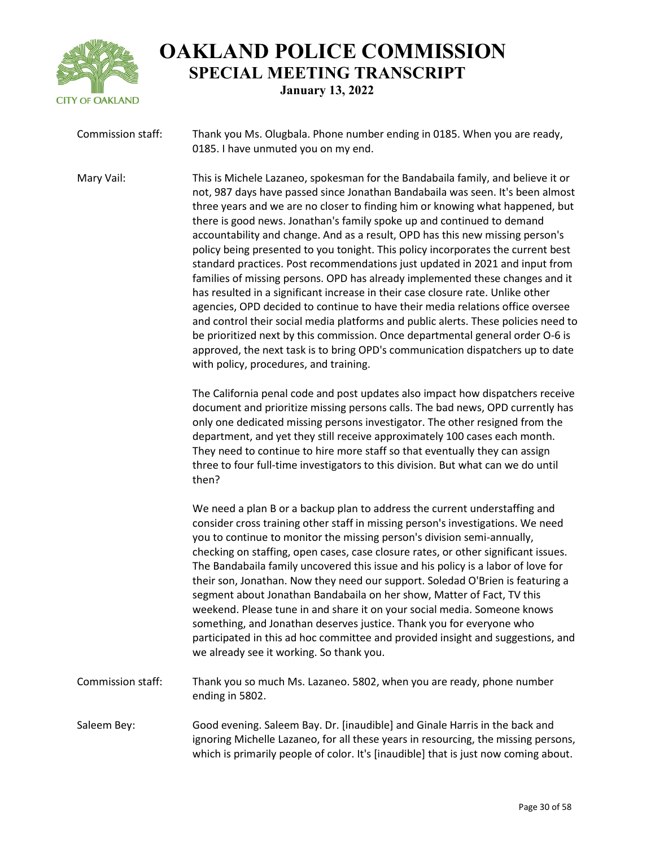

| Commission staff: | Thank you Ms. Olugbala. Phone number ending in 0185. When you are ready, |
|-------------------|--------------------------------------------------------------------------|
|                   | 0185. I have unmuted you on my end.                                      |

Mary Vail: This is Michele Lazaneo, spokesman for the Bandabaila family, and believe it or not, 987 days have passed since Jonathan Bandabaila was seen. It's been almost three years and we are no closer to finding him or knowing what happened, but there is good news. Jonathan's family spoke up and continued to demand accountability and change. And as a result, OPD has this new missing person's policy being presented to you tonight. This policy incorporates the current best standard practices. Post recommendations just updated in 2021 and input from families of missing persons. OPD has already implemented these changes and it has resulted in a significant increase in their case closure rate. Unlike other agencies, OPD decided to continue to have their media relations office oversee and control their social media platforms and public alerts. These policies need to be prioritized next by this commission. Once departmental general order O-6 is approved, the next task is to bring OPD's communication dispatchers up to date with policy, procedures, and training.

> The California penal code and post updates also impact how dispatchers receive document and prioritize missing persons calls. The bad news, OPD currently has only one dedicated missing persons investigator. The other resigned from the department, and yet they still receive approximately 100 cases each month. They need to continue to hire more staff so that eventually they can assign three to four full-time investigators to this division. But what can we do until then?

> We need a plan B or a backup plan to address the current understaffing and consider cross training other staff in missing person's investigations. We need you to continue to monitor the missing person's division semi-annually, checking on staffing, open cases, case closure rates, or other significant issues. The Bandabaila family uncovered this issue and his policy is a labor of love for their son, Jonathan. Now they need our support. Soledad O'Brien is featuring a segment about Jonathan Bandabaila on her show, Matter of Fact, TV this weekend. Please tune in and share it on your social media. Someone knows something, and Jonathan deserves justice. Thank you for everyone who participated in this ad hoc committee and provided insight and suggestions, and we already see it working. So thank you.

- Commission staff: Thank you so much Ms. Lazaneo. 5802, when you are ready, phone number ending in 5802.
- Saleem Bey: Good evening. Saleem Bay. Dr. [inaudible] and Ginale Harris in the back and ignoring Michelle Lazaneo, for all these years in resourcing, the missing persons, which is primarily people of color. It's [inaudible] that is just now coming about.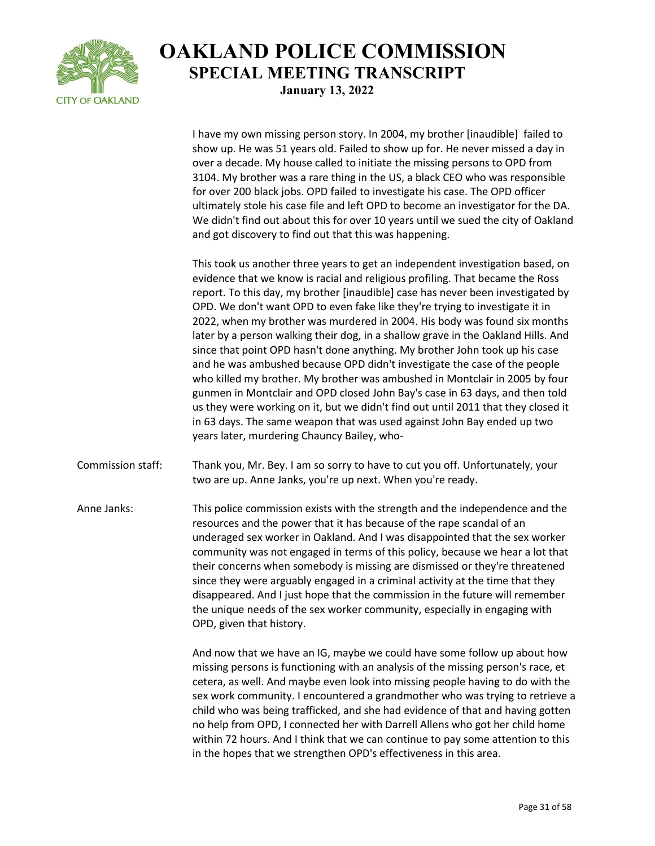

I have my own missing person story. In 2004, my brother [inaudible] failed to show up. He was 51 years old. Failed to show up for. He never missed a day in over a decade. My house called to initiate the missing persons to OPD from 3104. My brother was a rare thing in the US, a black CEO who was responsible for over 200 black jobs. OPD failed to investigate his case. The OPD officer ultimately stole his case file and left OPD to become an investigator for the DA. We didn't find out about this for over 10 years until we sued the city of Oakland and got discovery to find out that this was happening.

This took us another three years to get an independent investigation based, on evidence that we know is racial and religious profiling. That became the Ross report. To this day, my brother [inaudible] case has never been investigated by OPD. We don't want OPD to even fake like they're trying to investigate it in 2022, when my brother was murdered in 2004. His body was found six months later by a person walking their dog, in a shallow grave in the Oakland Hills. And since that point OPD hasn't done anything. My brother John took up his case and he was ambushed because OPD didn't investigate the case of the people who killed my brother. My brother was ambushed in Montclair in 2005 by four gunmen in Montclair and OPD closed John Bay's case in 63 days, and then told us they were working on it, but we didn't find out until 2011 that they closed it in 63 days. The same weapon that was used against John Bay ended up two years later, murdering Chauncy Bailey, who-

Commission staff: Thank you, Mr. Bey. I am so sorry to have to cut you off. Unfortunately, your two are up. Anne Janks, you're up next. When you're ready.

Anne Janks: This police commission exists with the strength and the independence and the resources and the power that it has because of the rape scandal of an underaged sex worker in Oakland. And I was disappointed that the sex worker community was not engaged in terms of this policy, because we hear a lot that their concerns when somebody is missing are dismissed or they're threatened since they were arguably engaged in a criminal activity at the time that they disappeared. And I just hope that the commission in the future will remember the unique needs of the sex worker community, especially in engaging with OPD, given that history.

> And now that we have an IG, maybe we could have some follow up about how missing persons is functioning with an analysis of the missing person's race, et cetera, as well. And maybe even look into missing people having to do with the sex work community. I encountered a grandmother who was trying to retrieve a child who was being trafficked, and she had evidence of that and having gotten no help from OPD, I connected her with Darrell Allens who got her child home within 72 hours. And I think that we can continue to pay some attention to this in the hopes that we strengthen OPD's effectiveness in this area.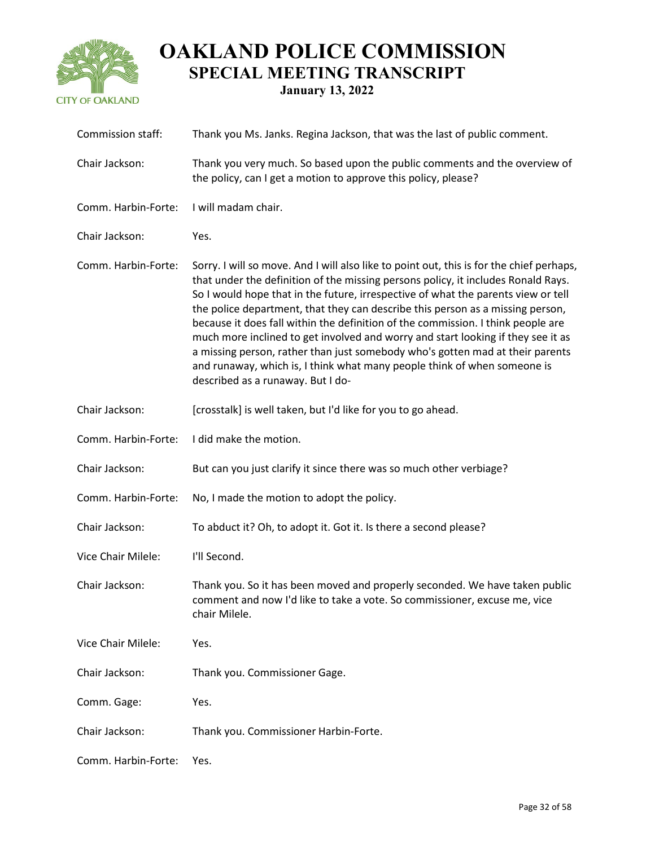

| Commission staff:   | Thank you Ms. Janks. Regina Jackson, that was the last of public comment.                                                                                                                                                                                                                                                                                                                                                                                                                                                                                                                                                                                                                                                      |
|---------------------|--------------------------------------------------------------------------------------------------------------------------------------------------------------------------------------------------------------------------------------------------------------------------------------------------------------------------------------------------------------------------------------------------------------------------------------------------------------------------------------------------------------------------------------------------------------------------------------------------------------------------------------------------------------------------------------------------------------------------------|
| Chair Jackson:      | Thank you very much. So based upon the public comments and the overview of<br>the policy, can I get a motion to approve this policy, please?                                                                                                                                                                                                                                                                                                                                                                                                                                                                                                                                                                                   |
| Comm. Harbin-Forte: | I will madam chair.                                                                                                                                                                                                                                                                                                                                                                                                                                                                                                                                                                                                                                                                                                            |
| Chair Jackson:      | Yes.                                                                                                                                                                                                                                                                                                                                                                                                                                                                                                                                                                                                                                                                                                                           |
| Comm. Harbin-Forte: | Sorry. I will so move. And I will also like to point out, this is for the chief perhaps,<br>that under the definition of the missing persons policy, it includes Ronald Rays.<br>So I would hope that in the future, irrespective of what the parents view or tell<br>the police department, that they can describe this person as a missing person,<br>because it does fall within the definition of the commission. I think people are<br>much more inclined to get involved and worry and start looking if they see it as<br>a missing person, rather than just somebody who's gotten mad at their parents<br>and runaway, which is, I think what many people think of when someone is<br>described as a runaway. But I do- |
| Chair Jackson:      | [crosstalk] is well taken, but I'd like for you to go ahead.                                                                                                                                                                                                                                                                                                                                                                                                                                                                                                                                                                                                                                                                   |
| Comm. Harbin-Forte: | I did make the motion.                                                                                                                                                                                                                                                                                                                                                                                                                                                                                                                                                                                                                                                                                                         |
| Chair Jackson:      | But can you just clarify it since there was so much other verbiage?                                                                                                                                                                                                                                                                                                                                                                                                                                                                                                                                                                                                                                                            |
| Comm. Harbin-Forte: | No, I made the motion to adopt the policy.                                                                                                                                                                                                                                                                                                                                                                                                                                                                                                                                                                                                                                                                                     |
| Chair Jackson:      | To abduct it? Oh, to adopt it. Got it. Is there a second please?                                                                                                                                                                                                                                                                                                                                                                                                                                                                                                                                                                                                                                                               |
| Vice Chair Milele:  | I'll Second.                                                                                                                                                                                                                                                                                                                                                                                                                                                                                                                                                                                                                                                                                                                   |
| Chair Jackson:      | Thank you. So it has been moved and properly seconded. We have taken public<br>comment and now I'd like to take a vote. So commissioner, excuse me, vice<br>chair Milele.                                                                                                                                                                                                                                                                                                                                                                                                                                                                                                                                                      |
| Vice Chair Milele:  | Yes.                                                                                                                                                                                                                                                                                                                                                                                                                                                                                                                                                                                                                                                                                                                           |
| Chair Jackson:      | Thank you. Commissioner Gage.                                                                                                                                                                                                                                                                                                                                                                                                                                                                                                                                                                                                                                                                                                  |
| Comm. Gage:         | Yes.                                                                                                                                                                                                                                                                                                                                                                                                                                                                                                                                                                                                                                                                                                                           |
| Chair Jackson:      | Thank you. Commissioner Harbin-Forte.                                                                                                                                                                                                                                                                                                                                                                                                                                                                                                                                                                                                                                                                                          |
| Comm. Harbin-Forte: | Yes.                                                                                                                                                                                                                                                                                                                                                                                                                                                                                                                                                                                                                                                                                                                           |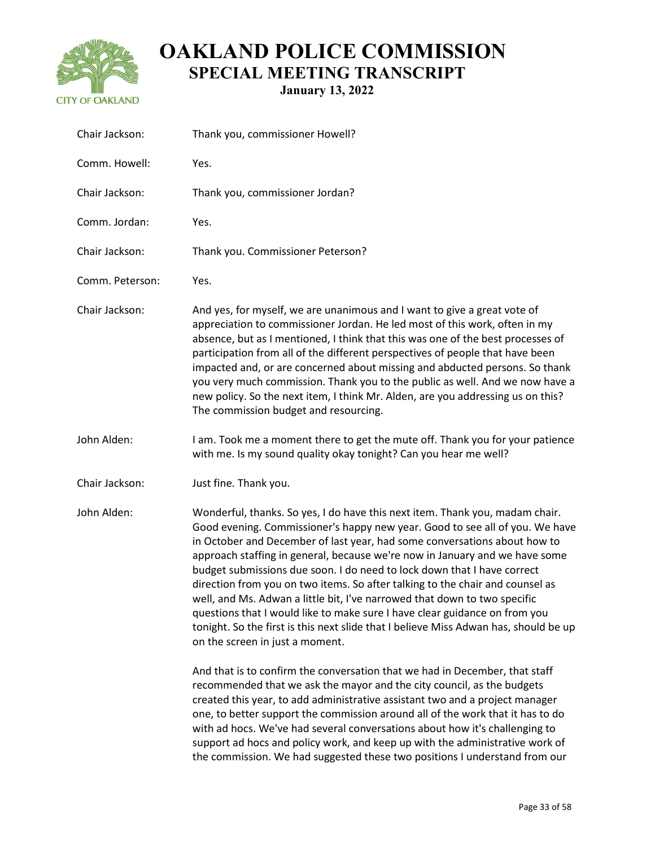

| Chair Jackson:  | Thank you, commissioner Howell?                                                                                                                                                                                                                                                                                                                                                                                                                                                                                                                                                                                                                                                                                                                                            |
|-----------------|----------------------------------------------------------------------------------------------------------------------------------------------------------------------------------------------------------------------------------------------------------------------------------------------------------------------------------------------------------------------------------------------------------------------------------------------------------------------------------------------------------------------------------------------------------------------------------------------------------------------------------------------------------------------------------------------------------------------------------------------------------------------------|
| Comm. Howell:   | Yes.                                                                                                                                                                                                                                                                                                                                                                                                                                                                                                                                                                                                                                                                                                                                                                       |
| Chair Jackson:  | Thank you, commissioner Jordan?                                                                                                                                                                                                                                                                                                                                                                                                                                                                                                                                                                                                                                                                                                                                            |
| Comm. Jordan:   | Yes.                                                                                                                                                                                                                                                                                                                                                                                                                                                                                                                                                                                                                                                                                                                                                                       |
| Chair Jackson:  | Thank you. Commissioner Peterson?                                                                                                                                                                                                                                                                                                                                                                                                                                                                                                                                                                                                                                                                                                                                          |
| Comm. Peterson: | Yes.                                                                                                                                                                                                                                                                                                                                                                                                                                                                                                                                                                                                                                                                                                                                                                       |
| Chair Jackson:  | And yes, for myself, we are unanimous and I want to give a great vote of<br>appreciation to commissioner Jordan. He led most of this work, often in my<br>absence, but as I mentioned, I think that this was one of the best processes of<br>participation from all of the different perspectives of people that have been<br>impacted and, or are concerned about missing and abducted persons. So thank<br>you very much commission. Thank you to the public as well. And we now have a<br>new policy. So the next item, I think Mr. Alden, are you addressing us on this?<br>The commission budget and resourcing.                                                                                                                                                      |
| John Alden:     | I am. Took me a moment there to get the mute off. Thank you for your patience<br>with me. Is my sound quality okay tonight? Can you hear me well?                                                                                                                                                                                                                                                                                                                                                                                                                                                                                                                                                                                                                          |
| Chair Jackson:  | Just fine. Thank you.                                                                                                                                                                                                                                                                                                                                                                                                                                                                                                                                                                                                                                                                                                                                                      |
| John Alden:     | Wonderful, thanks. So yes, I do have this next item. Thank you, madam chair.<br>Good evening. Commissioner's happy new year. Good to see all of you. We have<br>in October and December of last year, had some conversations about how to<br>approach staffing in general, because we're now in January and we have some<br>budget submissions due soon. I do need to lock down that I have correct<br>direction from you on two items. So after talking to the chair and counsel as<br>well, and Ms. Adwan a little bit, I've narrowed that down to two specific<br>questions that I would like to make sure I have clear guidance on from you<br>tonight. So the first is this next slide that I believe Miss Adwan has, should be up<br>on the screen in just a moment. |
|                 | And that is to confirm the conversation that we had in December, that staff<br>recommended that we ask the mayor and the city council, as the budgets<br>created this year, to add administrative assistant two and a project manager<br>one, to better support the commission around all of the work that it has to do<br>with ad hocs. We've had several conversations about how it's challenging to<br>support ad hocs and policy work, and keep up with the administrative work of                                                                                                                                                                                                                                                                                     |

the commission. We had suggested these two positions I understand from our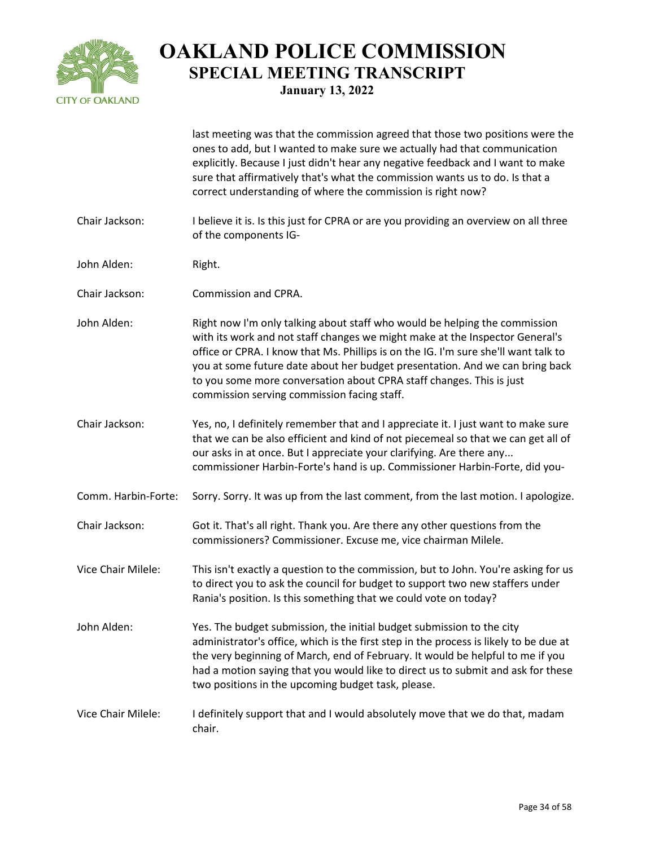

|                     | last meeting was that the commission agreed that those two positions were the<br>ones to add, but I wanted to make sure we actually had that communication<br>explicitly. Because I just didn't hear any negative feedback and I want to make<br>sure that affirmatively that's what the commission wants us to do. Is that a<br>correct understanding of where the commission is right now?                                                             |
|---------------------|----------------------------------------------------------------------------------------------------------------------------------------------------------------------------------------------------------------------------------------------------------------------------------------------------------------------------------------------------------------------------------------------------------------------------------------------------------|
| Chair Jackson:      | I believe it is. Is this just for CPRA or are you providing an overview on all three<br>of the components IG-                                                                                                                                                                                                                                                                                                                                            |
| John Alden:         | Right.                                                                                                                                                                                                                                                                                                                                                                                                                                                   |
| Chair Jackson:      | Commission and CPRA.                                                                                                                                                                                                                                                                                                                                                                                                                                     |
| John Alden:         | Right now I'm only talking about staff who would be helping the commission<br>with its work and not staff changes we might make at the Inspector General's<br>office or CPRA. I know that Ms. Phillips is on the IG. I'm sure she'll want talk to<br>you at some future date about her budget presentation. And we can bring back<br>to you some more conversation about CPRA staff changes. This is just<br>commission serving commission facing staff. |
| Chair Jackson:      | Yes, no, I definitely remember that and I appreciate it. I just want to make sure<br>that we can be also efficient and kind of not piecemeal so that we can get all of<br>our asks in at once. But I appreciate your clarifying. Are there any<br>commissioner Harbin-Forte's hand is up. Commissioner Harbin-Forte, did you-                                                                                                                            |
| Comm. Harbin-Forte: | Sorry. Sorry. It was up from the last comment, from the last motion. I apologize.                                                                                                                                                                                                                                                                                                                                                                        |
| Chair Jackson:      | Got it. That's all right. Thank you. Are there any other questions from the<br>commissioners? Commissioner. Excuse me, vice chairman Milele.                                                                                                                                                                                                                                                                                                             |
| Vice Chair Milele:  | This isn't exactly a question to the commission, but to John. You're asking for us<br>to direct you to ask the council for budget to support two new staffers under<br>Rania's position. Is this something that we could vote on today?                                                                                                                                                                                                                  |
| John Alden:         | Yes. The budget submission, the initial budget submission to the city<br>administrator's office, which is the first step in the process is likely to be due at<br>the very beginning of March, end of February. It would be helpful to me if you<br>had a motion saying that you would like to direct us to submit and ask for these<br>two positions in the upcoming budget task, please.                                                               |
| Vice Chair Milele:  | I definitely support that and I would absolutely move that we do that, madam<br>chair.                                                                                                                                                                                                                                                                                                                                                                   |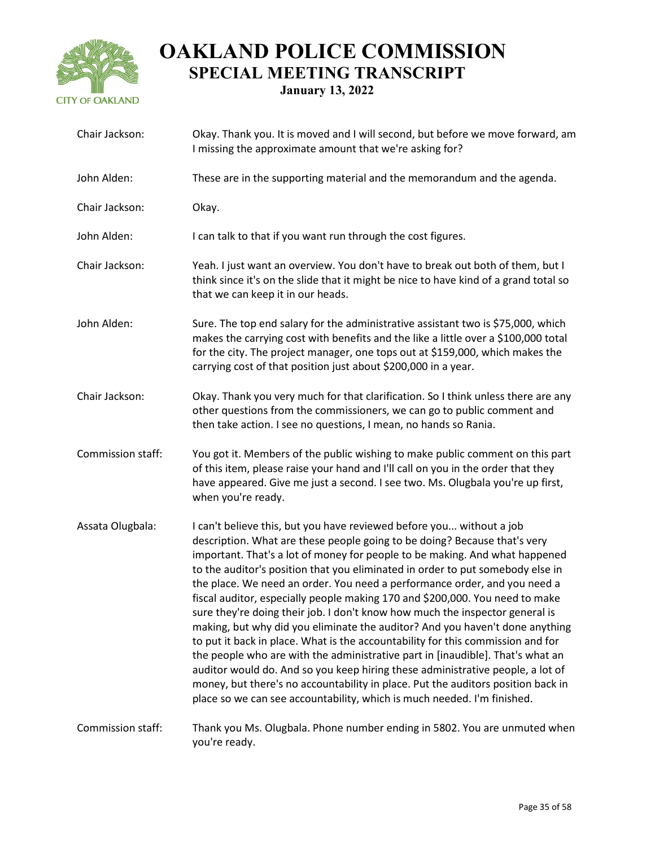

| Chair Jackson:    | Okay. Thank you. It is moved and I will second, but before we move forward, am<br>I missing the approximate amount that we're asking for?                                                                                                                                                                                                                                                                                                                                                                                                                                                                                                                                                                                                                                                                                                                                                                                                                                                                                                                             |
|-------------------|-----------------------------------------------------------------------------------------------------------------------------------------------------------------------------------------------------------------------------------------------------------------------------------------------------------------------------------------------------------------------------------------------------------------------------------------------------------------------------------------------------------------------------------------------------------------------------------------------------------------------------------------------------------------------------------------------------------------------------------------------------------------------------------------------------------------------------------------------------------------------------------------------------------------------------------------------------------------------------------------------------------------------------------------------------------------------|
| John Alden:       | These are in the supporting material and the memorandum and the agenda.                                                                                                                                                                                                                                                                                                                                                                                                                                                                                                                                                                                                                                                                                                                                                                                                                                                                                                                                                                                               |
| Chair Jackson:    | Okay.                                                                                                                                                                                                                                                                                                                                                                                                                                                                                                                                                                                                                                                                                                                                                                                                                                                                                                                                                                                                                                                                 |
| John Alden:       | I can talk to that if you want run through the cost figures.                                                                                                                                                                                                                                                                                                                                                                                                                                                                                                                                                                                                                                                                                                                                                                                                                                                                                                                                                                                                          |
| Chair Jackson:    | Yeah. I just want an overview. You don't have to break out both of them, but I<br>think since it's on the slide that it might be nice to have kind of a grand total so<br>that we can keep it in our heads.                                                                                                                                                                                                                                                                                                                                                                                                                                                                                                                                                                                                                                                                                                                                                                                                                                                           |
| John Alden:       | Sure. The top end salary for the administrative assistant two is \$75,000, which<br>makes the carrying cost with benefits and the like a little over a \$100,000 total<br>for the city. The project manager, one tops out at \$159,000, which makes the<br>carrying cost of that position just about \$200,000 in a year.                                                                                                                                                                                                                                                                                                                                                                                                                                                                                                                                                                                                                                                                                                                                             |
| Chair Jackson:    | Okay. Thank you very much for that clarification. So I think unless there are any<br>other questions from the commissioners, we can go to public comment and<br>then take action. I see no questions, I mean, no hands so Rania.                                                                                                                                                                                                                                                                                                                                                                                                                                                                                                                                                                                                                                                                                                                                                                                                                                      |
| Commission staff: | You got it. Members of the public wishing to make public comment on this part<br>of this item, please raise your hand and I'll call on you in the order that they<br>have appeared. Give me just a second. I see two. Ms. Olugbala you're up first,<br>when you're ready.                                                                                                                                                                                                                                                                                                                                                                                                                                                                                                                                                                                                                                                                                                                                                                                             |
| Assata Olugbala:  | I can't believe this, but you have reviewed before you without a job<br>description. What are these people going to be doing? Because that's very<br>important. That's a lot of money for people to be making. And what happened<br>to the auditor's position that you eliminated in order to put somebody else in<br>the place. We need an order. You need a performance order, and you need a<br>fiscal auditor, especially people making 170 and \$200,000. You need to make<br>sure they're doing their job. I don't know how much the inspector general is<br>making, but why did you eliminate the auditor? And you haven't done anything<br>to put it back in place. What is the accountability for this commission and for<br>the people who are with the administrative part in [inaudible]. That's what an<br>auditor would do. And so you keep hiring these administrative people, a lot of<br>money, but there's no accountability in place. Put the auditors position back in<br>place so we can see accountability, which is much needed. I'm finished. |
| Commission staff: | Thank you Ms. Olugbala. Phone number ending in 5802. You are unmuted when<br>you're ready.                                                                                                                                                                                                                                                                                                                                                                                                                                                                                                                                                                                                                                                                                                                                                                                                                                                                                                                                                                            |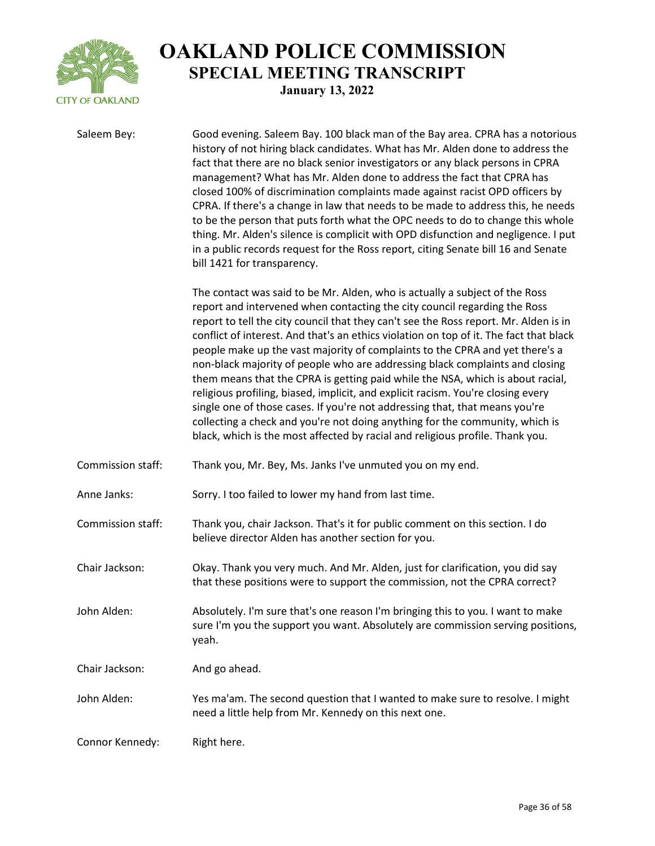

Saleem Bey: Good evening. Saleem Bay. 100 black man of the Bay area. CPRA has a notorious history of not hiring black candidates. What has Mr. Alden done to address the fact that there are no black senior investigators or any black persons in CPRA management? What has Mr. Alden done to address the fact that CPRA has closed 100% of discrimination complaints made against racist OPD officers by CPRA. If there's a change in law that needs to be made to address this, he needs to be the person that puts forth what the OPC needs to do to change this whole thing. Mr. Alden's silence is complicit with OPD disfunction and negligence. I put in a public records request for the Ross report, citing Senate bill 16 and Senate bill 1421 for transparency. The contact was said to be Mr. Alden, who is actually a subject of the Ross report and intervened when contacting the city council regarding the Ross report to tell the city council that they can't see the Ross report. Mr. Alden is in conflict of interest. And that's an ethics violation on top of it. The fact that black people make up the vast majority of complaints to the CPRA and yet there's a non-black majority of people who are addressing black complaints and closing them means that the CPRA is getting paid while the NSA, which is about racial, religious profiling, biased, implicit, and explicit racism. You're closing every single one of those cases. If you're not addressing that, that means you're collecting a check and you're not doing anything for the community, which is black, which is the most affected by racial and religious profile. Thank you. Commission staff: Thank you, Mr. Bey, Ms. Janks I've unmuted you on my end. Anne Janks: Sorry. I too failed to lower my hand from last time. Commission staff: Thank you, chair Jackson. That's it for public comment on this section. I do believe director Alden has another section for you. Chair Jackson: Okay. Thank you very much. And Mr. Alden, just for clarification, you did say that these positions were to support the commission, not the CPRA correct? John Alden: Absolutely. I'm sure that's one reason I'm bringing this to you. I want to make sure I'm you the support you want. Absolutely are commission serving positions, yeah. Chair Jackson: And go ahead. John Alden: Yes ma'am. The second question that I wanted to make sure to resolve. I might need a little help from Mr. Kennedy on this next one. Connor Kennedy: Right here.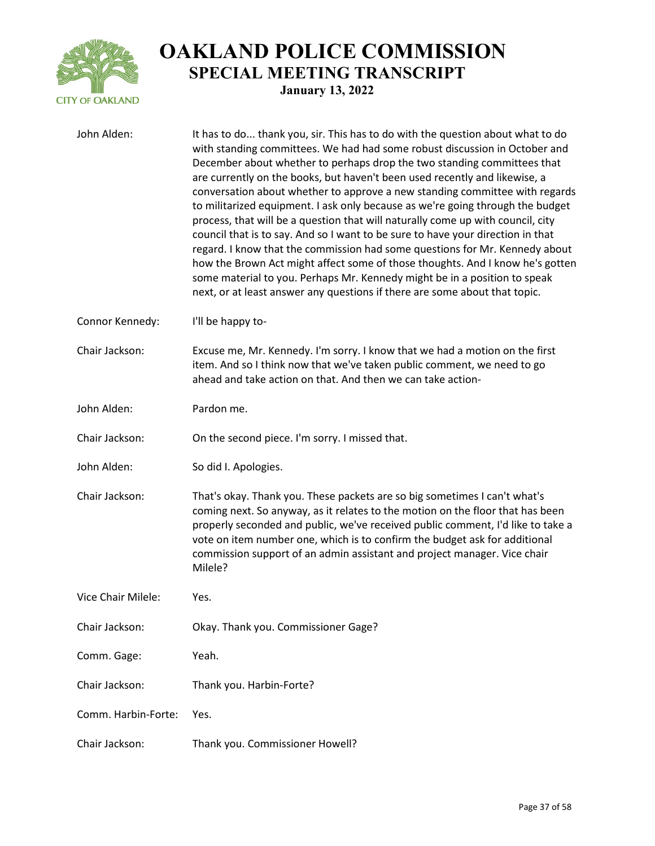

| John Alden:         | It has to do thank you, sir. This has to do with the question about what to do<br>with standing committees. We had had some robust discussion in October and<br>December about whether to perhaps drop the two standing committees that<br>are currently on the books, but haven't been used recently and likewise, a<br>conversation about whether to approve a new standing committee with regards<br>to militarized equipment. I ask only because as we're going through the budget<br>process, that will be a question that will naturally come up with council, city<br>council that is to say. And so I want to be sure to have your direction in that<br>regard. I know that the commission had some questions for Mr. Kennedy about<br>how the Brown Act might affect some of those thoughts. And I know he's gotten<br>some material to you. Perhaps Mr. Kennedy might be in a position to speak<br>next, or at least answer any questions if there are some about that topic. |
|---------------------|-----------------------------------------------------------------------------------------------------------------------------------------------------------------------------------------------------------------------------------------------------------------------------------------------------------------------------------------------------------------------------------------------------------------------------------------------------------------------------------------------------------------------------------------------------------------------------------------------------------------------------------------------------------------------------------------------------------------------------------------------------------------------------------------------------------------------------------------------------------------------------------------------------------------------------------------------------------------------------------------|
| Connor Kennedy:     | I'll be happy to-                                                                                                                                                                                                                                                                                                                                                                                                                                                                                                                                                                                                                                                                                                                                                                                                                                                                                                                                                                       |
| Chair Jackson:      | Excuse me, Mr. Kennedy. I'm sorry. I know that we had a motion on the first<br>item. And so I think now that we've taken public comment, we need to go<br>ahead and take action on that. And then we can take action-                                                                                                                                                                                                                                                                                                                                                                                                                                                                                                                                                                                                                                                                                                                                                                   |
| John Alden:         | Pardon me.                                                                                                                                                                                                                                                                                                                                                                                                                                                                                                                                                                                                                                                                                                                                                                                                                                                                                                                                                                              |
| Chair Jackson:      | On the second piece. I'm sorry. I missed that.                                                                                                                                                                                                                                                                                                                                                                                                                                                                                                                                                                                                                                                                                                                                                                                                                                                                                                                                          |
| John Alden:         | So did I. Apologies.                                                                                                                                                                                                                                                                                                                                                                                                                                                                                                                                                                                                                                                                                                                                                                                                                                                                                                                                                                    |
| Chair Jackson:      | That's okay. Thank you. These packets are so big sometimes I can't what's<br>coming next. So anyway, as it relates to the motion on the floor that has been<br>properly seconded and public, we've received public comment, I'd like to take a<br>vote on item number one, which is to confirm the budget ask for additional<br>commission support of an admin assistant and project manager. Vice chair<br>Milele?                                                                                                                                                                                                                                                                                                                                                                                                                                                                                                                                                                     |
| Vice Chair Milele:  | Yes.                                                                                                                                                                                                                                                                                                                                                                                                                                                                                                                                                                                                                                                                                                                                                                                                                                                                                                                                                                                    |
| Chair Jackson:      | Okay. Thank you. Commissioner Gage?                                                                                                                                                                                                                                                                                                                                                                                                                                                                                                                                                                                                                                                                                                                                                                                                                                                                                                                                                     |
| Comm. Gage:         | Yeah.                                                                                                                                                                                                                                                                                                                                                                                                                                                                                                                                                                                                                                                                                                                                                                                                                                                                                                                                                                                   |
| Chair Jackson:      | Thank you. Harbin-Forte?                                                                                                                                                                                                                                                                                                                                                                                                                                                                                                                                                                                                                                                                                                                                                                                                                                                                                                                                                                |
| Comm. Harbin-Forte: | Yes.                                                                                                                                                                                                                                                                                                                                                                                                                                                                                                                                                                                                                                                                                                                                                                                                                                                                                                                                                                                    |
| Chair Jackson:      | Thank you. Commissioner Howell?                                                                                                                                                                                                                                                                                                                                                                                                                                                                                                                                                                                                                                                                                                                                                                                                                                                                                                                                                         |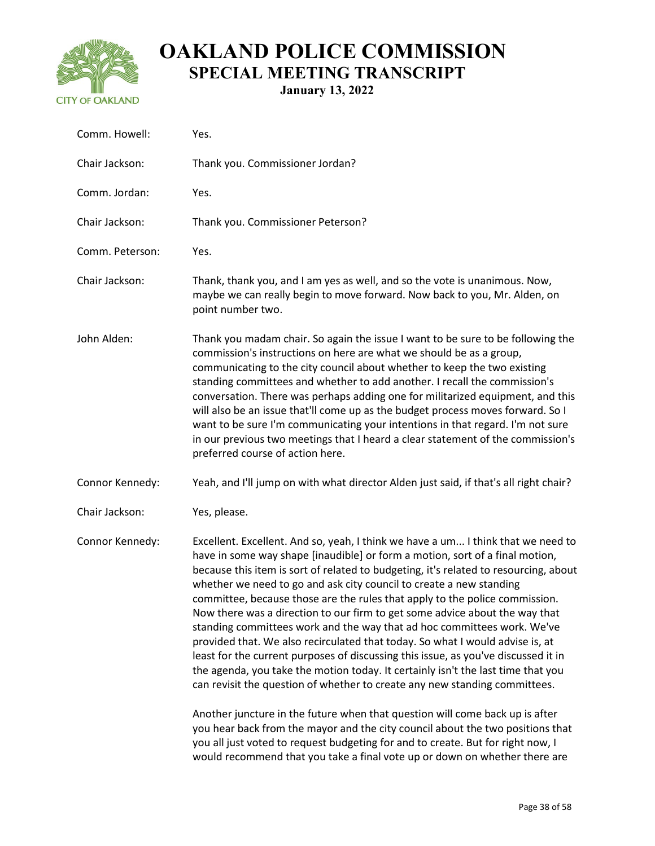

**January 13, 2022**

| Yes.                                                                                                                                                                                                                                                                                                                                                                                                                                                                                                                                                                                                                                                                                                                                                                                                                                                                                                                                                                                                                                                                                                                                                                   |
|------------------------------------------------------------------------------------------------------------------------------------------------------------------------------------------------------------------------------------------------------------------------------------------------------------------------------------------------------------------------------------------------------------------------------------------------------------------------------------------------------------------------------------------------------------------------------------------------------------------------------------------------------------------------------------------------------------------------------------------------------------------------------------------------------------------------------------------------------------------------------------------------------------------------------------------------------------------------------------------------------------------------------------------------------------------------------------------------------------------------------------------------------------------------|
| Thank you. Commissioner Jordan?                                                                                                                                                                                                                                                                                                                                                                                                                                                                                                                                                                                                                                                                                                                                                                                                                                                                                                                                                                                                                                                                                                                                        |
| Yes.                                                                                                                                                                                                                                                                                                                                                                                                                                                                                                                                                                                                                                                                                                                                                                                                                                                                                                                                                                                                                                                                                                                                                                   |
| Thank you. Commissioner Peterson?                                                                                                                                                                                                                                                                                                                                                                                                                                                                                                                                                                                                                                                                                                                                                                                                                                                                                                                                                                                                                                                                                                                                      |
| Yes.                                                                                                                                                                                                                                                                                                                                                                                                                                                                                                                                                                                                                                                                                                                                                                                                                                                                                                                                                                                                                                                                                                                                                                   |
| Thank, thank you, and I am yes as well, and so the vote is unanimous. Now,<br>maybe we can really begin to move forward. Now back to you, Mr. Alden, on<br>point number two.                                                                                                                                                                                                                                                                                                                                                                                                                                                                                                                                                                                                                                                                                                                                                                                                                                                                                                                                                                                           |
| Thank you madam chair. So again the issue I want to be sure to be following the<br>commission's instructions on here are what we should be as a group,<br>communicating to the city council about whether to keep the two existing<br>standing committees and whether to add another. I recall the commission's<br>conversation. There was perhaps adding one for militarized equipment, and this<br>will also be an issue that'll come up as the budget process moves forward. So I<br>want to be sure I'm communicating your intentions in that regard. I'm not sure<br>in our previous two meetings that I heard a clear statement of the commission's<br>preferred course of action here.                                                                                                                                                                                                                                                                                                                                                                                                                                                                          |
| Yeah, and I'll jump on with what director Alden just said, if that's all right chair?                                                                                                                                                                                                                                                                                                                                                                                                                                                                                                                                                                                                                                                                                                                                                                                                                                                                                                                                                                                                                                                                                  |
| Yes, please.                                                                                                                                                                                                                                                                                                                                                                                                                                                                                                                                                                                                                                                                                                                                                                                                                                                                                                                                                                                                                                                                                                                                                           |
| Excellent. Excellent. And so, yeah, I think we have a um I think that we need to<br>have in some way shape [inaudible] or form a motion, sort of a final motion,<br>because this item is sort of related to budgeting, it's related to resourcing, about<br>whether we need to go and ask city council to create a new standing<br>committee, because those are the rules that apply to the police commission.<br>Now there was a direction to our firm to get some advice about the way that<br>standing committees work and the way that ad hoc committees work. We've<br>provided that. We also recirculated that today. So what I would advise is, at<br>least for the current purposes of discussing this issue, as you've discussed it in<br>the agenda, you take the motion today. It certainly isn't the last time that you<br>can revisit the question of whether to create any new standing committees.<br>Another juncture in the future when that question will come back up is after<br>you hear back from the mayor and the city council about the two positions that<br>you all just voted to request budgeting for and to create. But for right now, I |
|                                                                                                                                                                                                                                                                                                                                                                                                                                                                                                                                                                                                                                                                                                                                                                                                                                                                                                                                                                                                                                                                                                                                                                        |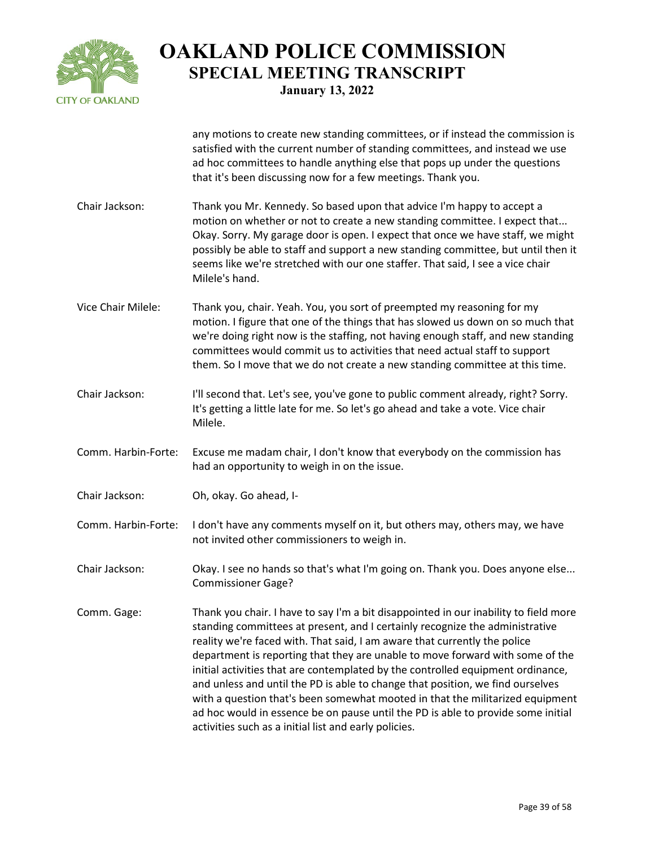

any motions to create new standing committees, or if instead the commission is satisfied with the current number of standing committees, and instead we use

ad hoc committees to handle anything else that pops up under the questions that it's been discussing now for a few meetings. Thank you. Chair Jackson: Thank you Mr. Kennedy. So based upon that advice I'm happy to accept a motion on whether or not to create a new standing committee. I expect that... Okay. Sorry. My garage door is open. I expect that once we have staff, we might possibly be able to staff and support a new standing committee, but until then it seems like we're stretched with our one staffer. That said, I see a vice chair Milele's hand. Vice Chair Milele: Thank you, chair. Yeah. You, you sort of preempted my reasoning for my motion. I figure that one of the things that has slowed us down on so much that we're doing right now is the staffing, not having enough staff, and new standing committees would commit us to activities that need actual staff to support them. So I move that we do not create a new standing committee at this time. Chair Jackson: I'll second that. Let's see, you've gone to public comment already, right? Sorry. It's getting a little late for me. So let's go ahead and take a vote. Vice chair Milele. Comm. Harbin-Forte: Excuse me madam chair, I don't know that everybody on the commission has had an opportunity to weigh in on the issue. Chair Jackson: Oh, okay. Go ahead, I-Comm. Harbin-Forte: I don't have any comments myself on it, but others may, others may, we have not invited other commissioners to weigh in. Chair Jackson: Okay. I see no hands so that's what I'm going on. Thank you. Does anyone else... Commissioner Gage? Comm. Gage: Thank you chair. I have to say I'm a bit disappointed in our inability to field more standing committees at present, and I certainly recognize the administrative reality we're faced with. That said, I am aware that currently the police department is reporting that they are unable to move forward with some of the initial activities that are contemplated by the controlled equipment ordinance, and unless and until the PD is able to change that position, we find ourselves with a question that's been somewhat mooted in that the militarized equipment

ad hoc would in essence be on pause until the PD is able to provide some initial

activities such as a initial list and early policies.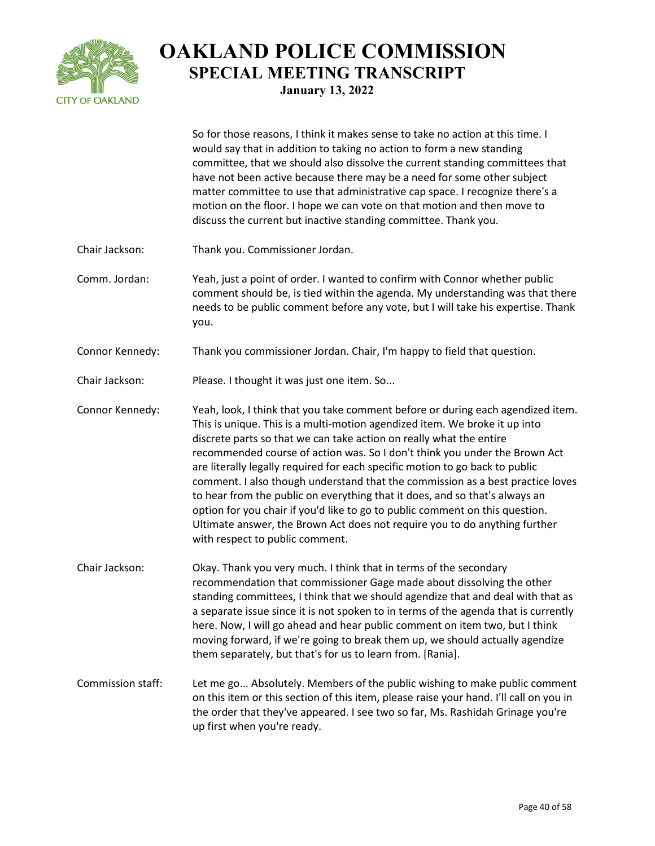

So for those reasons, I think it makes sense to take no action at this time. I would say that in addition to taking no action to form a new standing committee, that we should also dissolve the current standing committees that have not been active because there may be a need for some other subject matter committee to use that administrative cap space. I recognize there's a motion on the floor. I hope we can vote on that motion and then move to discuss the current but inactive standing committee. Thank you.

- Chair Jackson: Thank you. Commissioner Jordan.
- Comm. Jordan: Yeah, just a point of order. I wanted to confirm with Connor whether public comment should be, is tied within the agenda. My understanding was that there needs to be public comment before any vote, but I will take his expertise. Thank you.
- Connor Kennedy: Thank you commissioner Jordan. Chair, I'm happy to field that question.
- Chair Jackson: Please. I thought it was just one item. So...
- Connor Kennedy: Yeah, look, I think that you take comment before or during each agendized item. This is unique. This is a multi-motion agendized item. We broke it up into discrete parts so that we can take action on really what the entire recommended course of action was. So I don't think you under the Brown Act are literally legally required for each specific motion to go back to public comment. I also though understand that the commission as a best practice loves to hear from the public on everything that it does, and so that's always an option for you chair if you'd like to go to public comment on this question. Ultimate answer, the Brown Act does not require you to do anything further with respect to public comment.
- Chair Jackson: Okay. Thank you very much. I think that in terms of the secondary recommendation that commissioner Gage made about dissolving the other standing committees, I think that we should agendize that and deal with that as a separate issue since it is not spoken to in terms of the agenda that is currently here. Now, I will go ahead and hear public comment on item two, but I think moving forward, if we're going to break them up, we should actually agendize them separately, but that's for us to learn from. [Rania].
- Commission staff: Let me go... Absolutely. Members of the public wishing to make public comment on this item or this section of this item, please raise your hand. I'll call on you in the order that they've appeared. I see two so far, Ms. Rashidah Grinage you're up first when you're ready.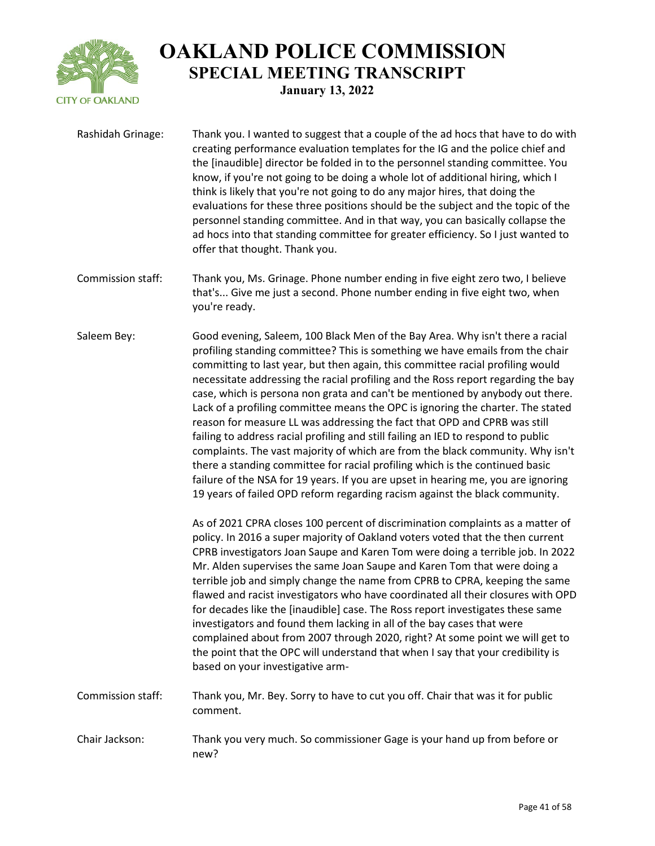

| Rashidah Grinage: | Thank you. I wanted to suggest that a couple of the ad hocs that have to do with<br>creating performance evaluation templates for the IG and the police chief and<br>the [inaudible] director be folded in to the personnel standing committee. You<br>know, if you're not going to be doing a whole lot of additional hiring, which I<br>think is likely that you're not going to do any major hires, that doing the<br>evaluations for these three positions should be the subject and the topic of the<br>personnel standing committee. And in that way, you can basically collapse the<br>ad hocs into that standing committee for greater efficiency. So I just wanted to<br>offer that thought. Thank you.                                                                                                                                                                                                                                                                                                                                                                                                                                                                                                                                                                                                                                                                                                                                                                                                                                                                                                                                                                                                                                                                                                                                                                          |
|-------------------|-------------------------------------------------------------------------------------------------------------------------------------------------------------------------------------------------------------------------------------------------------------------------------------------------------------------------------------------------------------------------------------------------------------------------------------------------------------------------------------------------------------------------------------------------------------------------------------------------------------------------------------------------------------------------------------------------------------------------------------------------------------------------------------------------------------------------------------------------------------------------------------------------------------------------------------------------------------------------------------------------------------------------------------------------------------------------------------------------------------------------------------------------------------------------------------------------------------------------------------------------------------------------------------------------------------------------------------------------------------------------------------------------------------------------------------------------------------------------------------------------------------------------------------------------------------------------------------------------------------------------------------------------------------------------------------------------------------------------------------------------------------------------------------------------------------------------------------------------------------------------------------------|
| Commission staff: | Thank you, Ms. Grinage. Phone number ending in five eight zero two, I believe<br>that's Give me just a second. Phone number ending in five eight two, when<br>you're ready.                                                                                                                                                                                                                                                                                                                                                                                                                                                                                                                                                                                                                                                                                                                                                                                                                                                                                                                                                                                                                                                                                                                                                                                                                                                                                                                                                                                                                                                                                                                                                                                                                                                                                                               |
| Saleem Bey:       | Good evening, Saleem, 100 Black Men of the Bay Area. Why isn't there a racial<br>profiling standing committee? This is something we have emails from the chair<br>committing to last year, but then again, this committee racial profiling would<br>necessitate addressing the racial profiling and the Ross report regarding the bay<br>case, which is persona non grata and can't be mentioned by anybody out there.<br>Lack of a profiling committee means the OPC is ignoring the charter. The stated<br>reason for measure LL was addressing the fact that OPD and CPRB was still<br>failing to address racial profiling and still failing an IED to respond to public<br>complaints. The vast majority of which are from the black community. Why isn't<br>there a standing committee for racial profiling which is the continued basic<br>failure of the NSA for 19 years. If you are upset in hearing me, you are ignoring<br>19 years of failed OPD reform regarding racism against the black community.<br>As of 2021 CPRA closes 100 percent of discrimination complaints as a matter of<br>policy. In 2016 a super majority of Oakland voters voted that the then current<br>CPRB investigators Joan Saupe and Karen Tom were doing a terrible job. In 2022<br>Mr. Alden supervises the same Joan Saupe and Karen Tom that were doing a<br>terrible job and simply change the name from CPRB to CPRA, keeping the same<br>flawed and racist investigators who have coordinated all their closures with OPD<br>for decades like the [inaudible] case. The Ross report investigates these same<br>investigators and found them lacking in all of the bay cases that were<br>complained about from 2007 through 2020, right? At some point we will get to<br>the point that the OPC will understand that when I say that your credibility is<br>based on your investigative arm- |
| Commission staff: | Thank you, Mr. Bey. Sorry to have to cut you off. Chair that was it for public<br>comment.                                                                                                                                                                                                                                                                                                                                                                                                                                                                                                                                                                                                                                                                                                                                                                                                                                                                                                                                                                                                                                                                                                                                                                                                                                                                                                                                                                                                                                                                                                                                                                                                                                                                                                                                                                                                |
| Chair Jackson:    | Thank you very much. So commissioner Gage is your hand up from before or<br>new?                                                                                                                                                                                                                                                                                                                                                                                                                                                                                                                                                                                                                                                                                                                                                                                                                                                                                                                                                                                                                                                                                                                                                                                                                                                                                                                                                                                                                                                                                                                                                                                                                                                                                                                                                                                                          |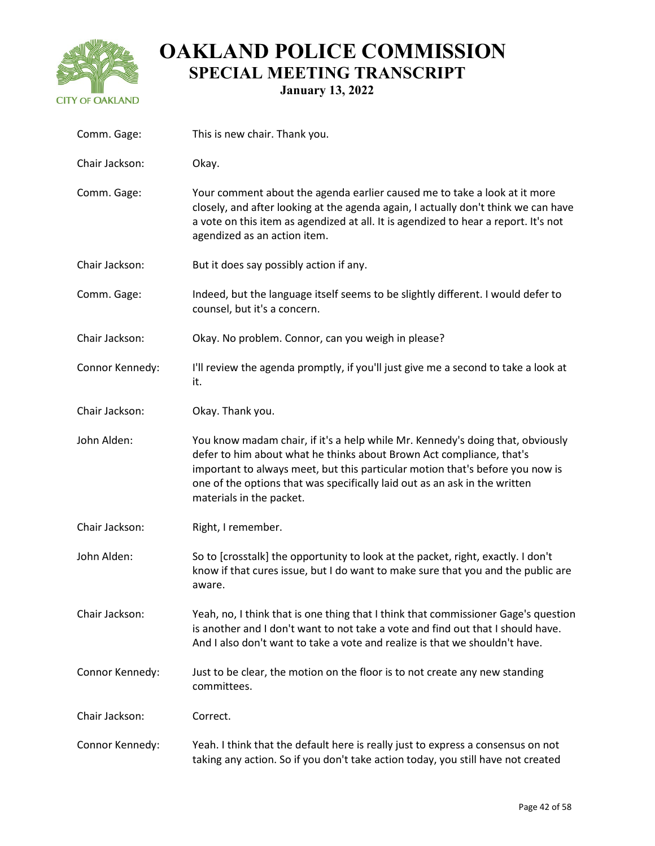

| Comm. Gage:     | This is new chair. Thank you.                                                                                                                                                                                                                                                                                                                     |
|-----------------|---------------------------------------------------------------------------------------------------------------------------------------------------------------------------------------------------------------------------------------------------------------------------------------------------------------------------------------------------|
| Chair Jackson:  | Okay.                                                                                                                                                                                                                                                                                                                                             |
| Comm. Gage:     | Your comment about the agenda earlier caused me to take a look at it more<br>closely, and after looking at the agenda again, I actually don't think we can have<br>a vote on this item as agendized at all. It is agendized to hear a report. It's not<br>agendized as an action item.                                                            |
| Chair Jackson:  | But it does say possibly action if any.                                                                                                                                                                                                                                                                                                           |
| Comm. Gage:     | Indeed, but the language itself seems to be slightly different. I would defer to<br>counsel, but it's a concern.                                                                                                                                                                                                                                  |
| Chair Jackson:  | Okay. No problem. Connor, can you weigh in please?                                                                                                                                                                                                                                                                                                |
| Connor Kennedy: | I'll review the agenda promptly, if you'll just give me a second to take a look at<br>it.                                                                                                                                                                                                                                                         |
| Chair Jackson:  | Okay. Thank you.                                                                                                                                                                                                                                                                                                                                  |
| John Alden:     | You know madam chair, if it's a help while Mr. Kennedy's doing that, obviously<br>defer to him about what he thinks about Brown Act compliance, that's<br>important to always meet, but this particular motion that's before you now is<br>one of the options that was specifically laid out as an ask in the written<br>materials in the packet. |
| Chair Jackson:  | Right, I remember.                                                                                                                                                                                                                                                                                                                                |
| John Alden:     | So to [crosstalk] the opportunity to look at the packet, right, exactly. I don't<br>know if that cures issue, but I do want to make sure that you and the public are<br>aware.                                                                                                                                                                    |
| Chair Jackson:  | Yeah, no, I think that is one thing that I think that commissioner Gage's question<br>is another and I don't want to not take a vote and find out that I should have.<br>And I also don't want to take a vote and realize is that we shouldn't have.                                                                                              |
| Connor Kennedy: | Just to be clear, the motion on the floor is to not create any new standing<br>committees.                                                                                                                                                                                                                                                        |
| Chair Jackson:  | Correct.                                                                                                                                                                                                                                                                                                                                          |
| Connor Kennedy: | Yeah. I think that the default here is really just to express a consensus on not<br>taking any action. So if you don't take action today, you still have not created                                                                                                                                                                              |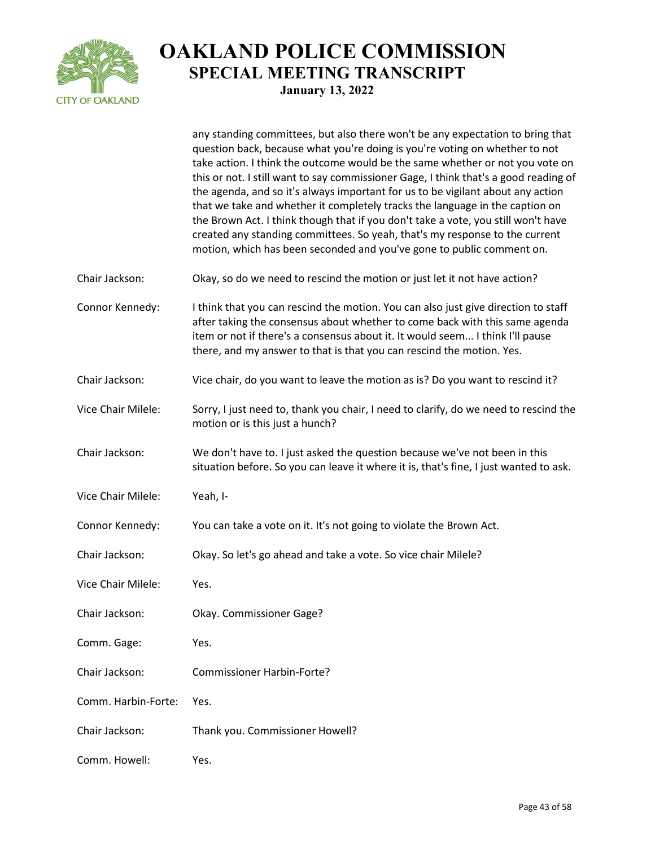

|                     | any standing committees, but also there won't be any expectation to bring that<br>question back, because what you're doing is you're voting on whether to not<br>take action. I think the outcome would be the same whether or not you vote on<br>this or not. I still want to say commissioner Gage, I think that's a good reading of<br>the agenda, and so it's always important for us to be vigilant about any action<br>that we take and whether it completely tracks the language in the caption on<br>the Brown Act. I think though that if you don't take a vote, you still won't have<br>created any standing committees. So yeah, that's my response to the current<br>motion, which has been seconded and you've gone to public comment on. |
|---------------------|--------------------------------------------------------------------------------------------------------------------------------------------------------------------------------------------------------------------------------------------------------------------------------------------------------------------------------------------------------------------------------------------------------------------------------------------------------------------------------------------------------------------------------------------------------------------------------------------------------------------------------------------------------------------------------------------------------------------------------------------------------|
| Chair Jackson:      | Okay, so do we need to rescind the motion or just let it not have action?                                                                                                                                                                                                                                                                                                                                                                                                                                                                                                                                                                                                                                                                              |
| Connor Kennedy:     | I think that you can rescind the motion. You can also just give direction to staff<br>after taking the consensus about whether to come back with this same agenda<br>item or not if there's a consensus about it. It would seem I think I'll pause<br>there, and my answer to that is that you can rescind the motion. Yes.                                                                                                                                                                                                                                                                                                                                                                                                                            |
| Chair Jackson:      | Vice chair, do you want to leave the motion as is? Do you want to rescind it?                                                                                                                                                                                                                                                                                                                                                                                                                                                                                                                                                                                                                                                                          |
| Vice Chair Milele:  | Sorry, I just need to, thank you chair, I need to clarify, do we need to rescind the<br>motion or is this just a hunch?                                                                                                                                                                                                                                                                                                                                                                                                                                                                                                                                                                                                                                |
| Chair Jackson:      | We don't have to. I just asked the question because we've not been in this<br>situation before. So you can leave it where it is, that's fine, I just wanted to ask.                                                                                                                                                                                                                                                                                                                                                                                                                                                                                                                                                                                    |
| Vice Chair Milele:  | Yeah, I-                                                                                                                                                                                                                                                                                                                                                                                                                                                                                                                                                                                                                                                                                                                                               |
| Connor Kennedy:     | You can take a vote on it. It's not going to violate the Brown Act.                                                                                                                                                                                                                                                                                                                                                                                                                                                                                                                                                                                                                                                                                    |
| Chair Jackson:      | Okay. So let's go ahead and take a vote. So vice chair Milele?                                                                                                                                                                                                                                                                                                                                                                                                                                                                                                                                                                                                                                                                                         |
| Vice Chair Milele:  | Yes.                                                                                                                                                                                                                                                                                                                                                                                                                                                                                                                                                                                                                                                                                                                                                   |
| Chair Jackson:      | Okay. Commissioner Gage?                                                                                                                                                                                                                                                                                                                                                                                                                                                                                                                                                                                                                                                                                                                               |
| Comm. Gage:         | Yes.                                                                                                                                                                                                                                                                                                                                                                                                                                                                                                                                                                                                                                                                                                                                                   |
| Chair Jackson:      | <b>Commissioner Harbin-Forte?</b>                                                                                                                                                                                                                                                                                                                                                                                                                                                                                                                                                                                                                                                                                                                      |
| Comm. Harbin-Forte: | Yes.                                                                                                                                                                                                                                                                                                                                                                                                                                                                                                                                                                                                                                                                                                                                                   |
| Chair Jackson:      | Thank you. Commissioner Howell?                                                                                                                                                                                                                                                                                                                                                                                                                                                                                                                                                                                                                                                                                                                        |
| Comm. Howell:       | Yes.                                                                                                                                                                                                                                                                                                                                                                                                                                                                                                                                                                                                                                                                                                                                                   |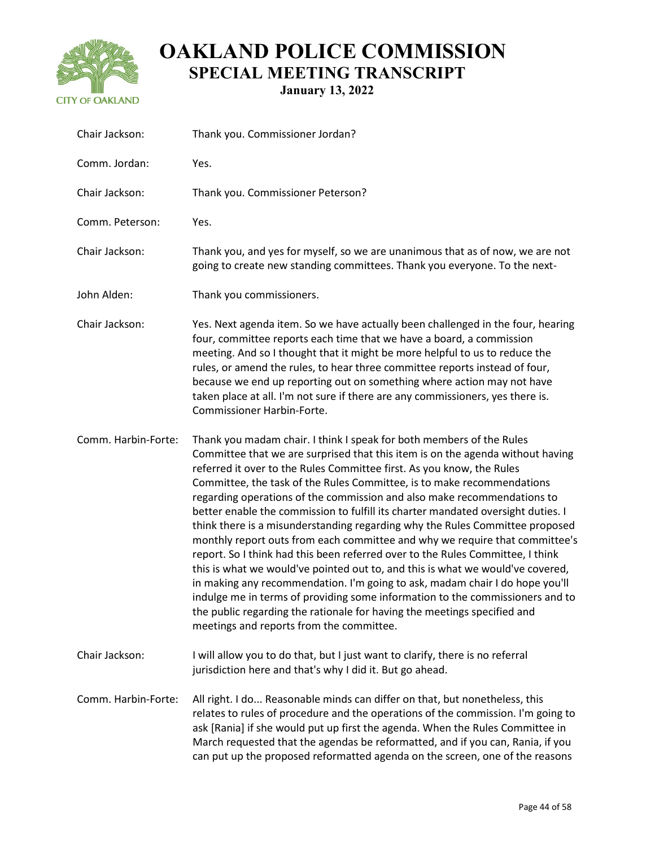

**January 13, 2022**

| Chair Jackson:      | Thank you. Commissioner Jordan?                                                                                                                                                                                                                                                                                                                                                                                                                                                                                                                                                                                                                                                                                                                                                                                                                                                                                                                                                                                                                                                                      |
|---------------------|------------------------------------------------------------------------------------------------------------------------------------------------------------------------------------------------------------------------------------------------------------------------------------------------------------------------------------------------------------------------------------------------------------------------------------------------------------------------------------------------------------------------------------------------------------------------------------------------------------------------------------------------------------------------------------------------------------------------------------------------------------------------------------------------------------------------------------------------------------------------------------------------------------------------------------------------------------------------------------------------------------------------------------------------------------------------------------------------------|
| Comm. Jordan:       | Yes.                                                                                                                                                                                                                                                                                                                                                                                                                                                                                                                                                                                                                                                                                                                                                                                                                                                                                                                                                                                                                                                                                                 |
| Chair Jackson:      | Thank you. Commissioner Peterson?                                                                                                                                                                                                                                                                                                                                                                                                                                                                                                                                                                                                                                                                                                                                                                                                                                                                                                                                                                                                                                                                    |
| Comm. Peterson:     | Yes.                                                                                                                                                                                                                                                                                                                                                                                                                                                                                                                                                                                                                                                                                                                                                                                                                                                                                                                                                                                                                                                                                                 |
| Chair Jackson:      | Thank you, and yes for myself, so we are unanimous that as of now, we are not<br>going to create new standing committees. Thank you everyone. To the next-                                                                                                                                                                                                                                                                                                                                                                                                                                                                                                                                                                                                                                                                                                                                                                                                                                                                                                                                           |
| John Alden:         | Thank you commissioners.                                                                                                                                                                                                                                                                                                                                                                                                                                                                                                                                                                                                                                                                                                                                                                                                                                                                                                                                                                                                                                                                             |
| Chair Jackson:      | Yes. Next agenda item. So we have actually been challenged in the four, hearing<br>four, committee reports each time that we have a board, a commission<br>meeting. And so I thought that it might be more helpful to us to reduce the<br>rules, or amend the rules, to hear three committee reports instead of four,<br>because we end up reporting out on something where action may not have<br>taken place at all. I'm not sure if there are any commissioners, yes there is.<br>Commissioner Harbin-Forte.                                                                                                                                                                                                                                                                                                                                                                                                                                                                                                                                                                                      |
| Comm. Harbin-Forte: | Thank you madam chair. I think I speak for both members of the Rules<br>Committee that we are surprised that this item is on the agenda without having<br>referred it over to the Rules Committee first. As you know, the Rules<br>Committee, the task of the Rules Committee, is to make recommendations<br>regarding operations of the commission and also make recommendations to<br>better enable the commission to fulfill its charter mandated oversight duties. I<br>think there is a misunderstanding regarding why the Rules Committee proposed<br>monthly report outs from each committee and why we require that committee's<br>report. So I think had this been referred over to the Rules Committee, I think<br>this is what we would've pointed out to, and this is what we would've covered,<br>in making any recommendation. I'm going to ask, madam chair I do hope you'll<br>indulge me in terms of providing some information to the commissioners and to<br>the public regarding the rationale for having the meetings specified and<br>meetings and reports from the committee. |
| Chair Jackson:      | I will allow you to do that, but I just want to clarify, there is no referral<br>jurisdiction here and that's why I did it. But go ahead.                                                                                                                                                                                                                                                                                                                                                                                                                                                                                                                                                                                                                                                                                                                                                                                                                                                                                                                                                            |
| Comm. Harbin-Forte: | All right. I do Reasonable minds can differ on that, but nonetheless, this<br>relates to rules of procedure and the operations of the commission. I'm going to<br>ask [Rania] if she would put up first the agenda. When the Rules Committee in<br>March requested that the agendas be reformatted, and if you can, Rania, if you<br>can put up the proposed reformatted agenda on the screen, one of the reasons                                                                                                                                                                                                                                                                                                                                                                                                                                                                                                                                                                                                                                                                                    |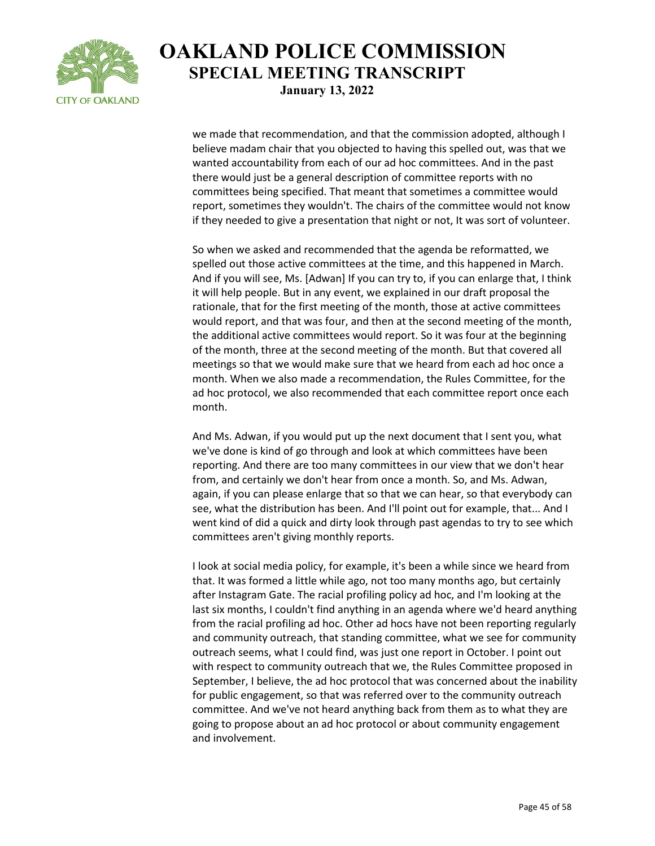

we made that recommendation, and that the commission adopted, although I believe madam chair that you objected to having this spelled out, was that we wanted accountability from each of our ad hoc committees. And in the past there would just be a general description of committee reports with no committees being specified. That meant that sometimes a committee would report, sometimes they wouldn't. The chairs of the committee would not know if they needed to give a presentation that night or not, It was sort of volunteer.

So when we asked and recommended that the agenda be reformatted, we spelled out those active committees at the time, and this happened in March. And if you will see, Ms. [Adwan] If you can try to, if you can enlarge that, I think it will help people. But in any event, we explained in our draft proposal the rationale, that for the first meeting of the month, those at active committees would report, and that was four, and then at the second meeting of the month, the additional active committees would report. So it was four at the beginning of the month, three at the second meeting of the month. But that covered all meetings so that we would make sure that we heard from each ad hoc once a month. When we also made a recommendation, the Rules Committee, for the ad hoc protocol, we also recommended that each committee report once each month.

And Ms. Adwan, if you would put up the next document that I sent you, what we've done is kind of go through and look at which committees have been reporting. And there are too many committees in our view that we don't hear from, and certainly we don't hear from once a month. So, and Ms. Adwan, again, if you can please enlarge that so that we can hear, so that everybody can see, what the distribution has been. And I'll point out for example, that... And I went kind of did a quick and dirty look through past agendas to try to see which committees aren't giving monthly reports.

I look at social media policy, for example, it's been a while since we heard from that. It was formed a little while ago, not too many months ago, but certainly after Instagram Gate. The racial profiling policy ad hoc, and I'm looking at the last six months, I couldn't find anything in an agenda where we'd heard anything from the racial profiling ad hoc. Other ad hocs have not been reporting regularly and community outreach, that standing committee, what we see for community outreach seems, what I could find, was just one report in October. I point out with respect to community outreach that we, the Rules Committee proposed in September, I believe, the ad hoc protocol that was concerned about the inability for public engagement, so that was referred over to the community outreach committee. And we've not heard anything back from them as to what they are going to propose about an ad hoc protocol or about community engagement and involvement.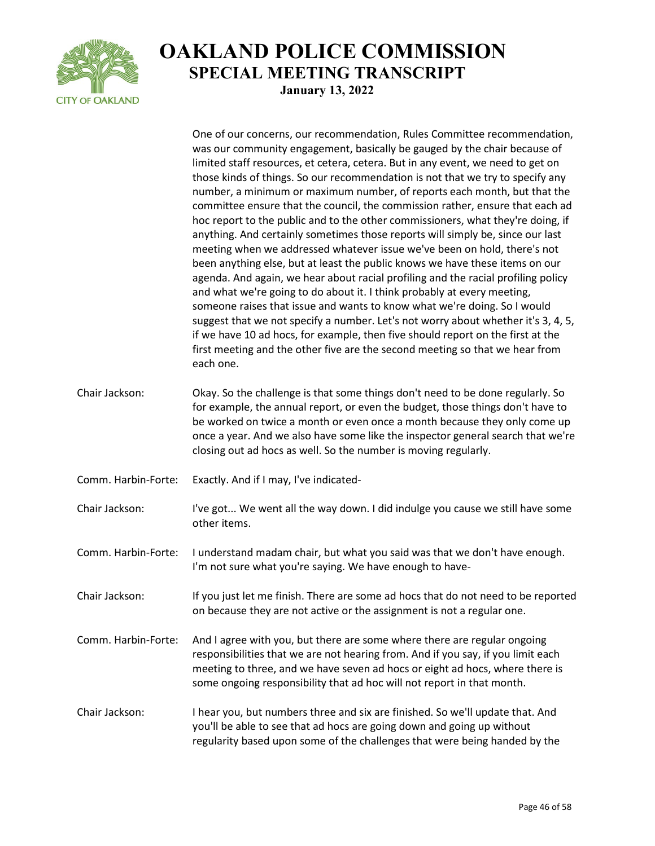

|                     | One of our concerns, our recommendation, Rules Committee recommendation,<br>was our community engagement, basically be gauged by the chair because of<br>limited staff resources, et cetera, cetera. But in any event, we need to get on<br>those kinds of things. So our recommendation is not that we try to specify any<br>number, a minimum or maximum number, of reports each month, but that the<br>committee ensure that the council, the commission rather, ensure that each ad<br>hoc report to the public and to the other commissioners, what they're doing, if<br>anything. And certainly sometimes those reports will simply be, since our last<br>meeting when we addressed whatever issue we've been on hold, there's not<br>been anything else, but at least the public knows we have these items on our<br>agenda. And again, we hear about racial profiling and the racial profiling policy<br>and what we're going to do about it. I think probably at every meeting,<br>someone raises that issue and wants to know what we're doing. So I would<br>suggest that we not specify a number. Let's not worry about whether it's 3, 4, 5,<br>if we have 10 ad hocs, for example, then five should report on the first at the<br>first meeting and the other five are the second meeting so that we hear from<br>each one. |
|---------------------|-------------------------------------------------------------------------------------------------------------------------------------------------------------------------------------------------------------------------------------------------------------------------------------------------------------------------------------------------------------------------------------------------------------------------------------------------------------------------------------------------------------------------------------------------------------------------------------------------------------------------------------------------------------------------------------------------------------------------------------------------------------------------------------------------------------------------------------------------------------------------------------------------------------------------------------------------------------------------------------------------------------------------------------------------------------------------------------------------------------------------------------------------------------------------------------------------------------------------------------------------------------------------------------------------------------------------------------------|
| Chair Jackson:      | Okay. So the challenge is that some things don't need to be done regularly. So<br>for example, the annual report, or even the budget, those things don't have to<br>be worked on twice a month or even once a month because they only come up<br>once a year. And we also have some like the inspector general search that we're<br>closing out ad hocs as well. So the number is moving regularly.                                                                                                                                                                                                                                                                                                                                                                                                                                                                                                                                                                                                                                                                                                                                                                                                                                                                                                                                       |
| Comm. Harbin-Forte: | Exactly. And if I may, I've indicated-                                                                                                                                                                                                                                                                                                                                                                                                                                                                                                                                                                                                                                                                                                                                                                                                                                                                                                                                                                                                                                                                                                                                                                                                                                                                                                    |
| Chair Jackson:      | I've got We went all the way down. I did indulge you cause we still have some<br>other items.                                                                                                                                                                                                                                                                                                                                                                                                                                                                                                                                                                                                                                                                                                                                                                                                                                                                                                                                                                                                                                                                                                                                                                                                                                             |
| Comm. Harbin-Forte: | I understand madam chair, but what you said was that we don't have enough.<br>I'm not sure what you're saying. We have enough to have-                                                                                                                                                                                                                                                                                                                                                                                                                                                                                                                                                                                                                                                                                                                                                                                                                                                                                                                                                                                                                                                                                                                                                                                                    |
| Chair Jackson:      | If you just let me finish. There are some ad hocs that do not need to be reported<br>on because they are not active or the assignment is not a regular one.                                                                                                                                                                                                                                                                                                                                                                                                                                                                                                                                                                                                                                                                                                                                                                                                                                                                                                                                                                                                                                                                                                                                                                               |
| Comm. Harbin-Forte: | And I agree with you, but there are some where there are regular ongoing<br>responsibilities that we are not hearing from. And if you say, if you limit each<br>meeting to three, and we have seven ad hocs or eight ad hocs, where there is<br>some ongoing responsibility that ad hoc will not report in that month.                                                                                                                                                                                                                                                                                                                                                                                                                                                                                                                                                                                                                                                                                                                                                                                                                                                                                                                                                                                                                    |
| Chair Jackson:      | I hear you, but numbers three and six are finished. So we'll update that. And<br>you'll be able to see that ad hocs are going down and going up without<br>regularity based upon some of the challenges that were being handed by the                                                                                                                                                                                                                                                                                                                                                                                                                                                                                                                                                                                                                                                                                                                                                                                                                                                                                                                                                                                                                                                                                                     |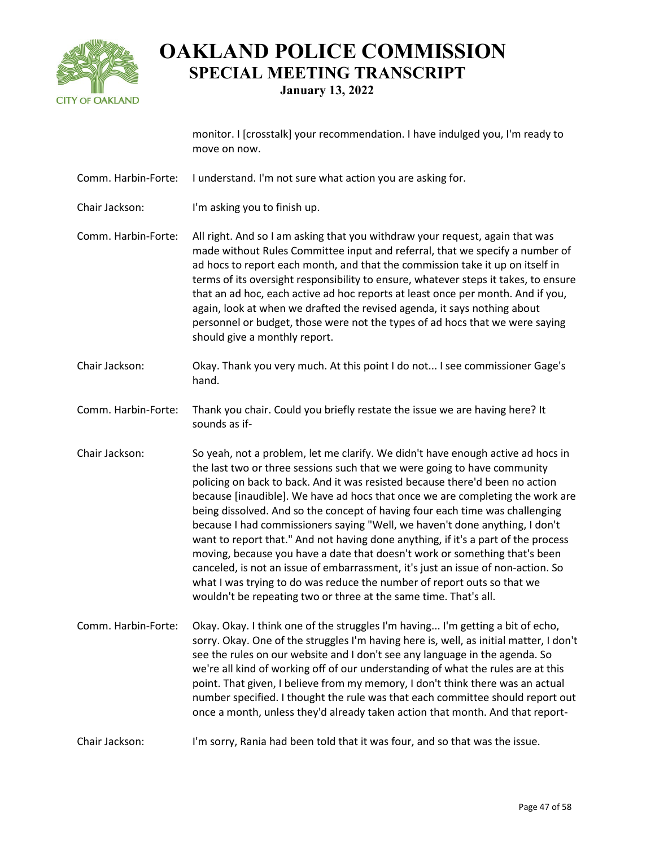

**January 13, 2022**

monitor. I [crosstalk] your recommendation. I have indulged you, I'm ready to move on now.

- Comm. Harbin-Forte: I understand. I'm not sure what action you are asking for.
- Chair Jackson: I'm asking you to finish up.

Comm. Harbin-Forte: All right. And so I am asking that you withdraw your request, again that was made without Rules Committee input and referral, that we specify a number of ad hocs to report each month, and that the commission take it up on itself in terms of its oversight responsibility to ensure, whatever steps it takes, to ensure that an ad hoc, each active ad hoc reports at least once per month. And if you, again, look at when we drafted the revised agenda, it says nothing about personnel or budget, those were not the types of ad hocs that we were saying should give a monthly report.

- Chair Jackson: Okay. Thank you very much. At this point I do not... I see commissioner Gage's hand.
- Comm. Harbin-Forte: Thank you chair. Could you briefly restate the issue we are having here? It sounds as if-
- Chair Jackson: So yeah, not a problem, let me clarify. We didn't have enough active ad hocs in the last two or three sessions such that we were going to have community policing on back to back. And it was resisted because there'd been no action because [inaudible]. We have ad hocs that once we are completing the work are being dissolved. And so the concept of having four each time was challenging because I had commissioners saying "Well, we haven't done anything, I don't want to report that." And not having done anything, if it's a part of the process moving, because you have a date that doesn't work or something that's been canceled, is not an issue of embarrassment, it's just an issue of non-action. So what I was trying to do was reduce the number of report outs so that we wouldn't be repeating two or three at the same time. That's all.
- Comm. Harbin-Forte: Okay. Okay. I think one of the struggles I'm having... I'm getting a bit of echo, sorry. Okay. One of the struggles I'm having here is, well, as initial matter, I don't see the rules on our website and I don't see any language in the agenda. So we're all kind of working off of our understanding of what the rules are at this point. That given, I believe from my memory, I don't think there was an actual number specified. I thought the rule was that each committee should report out once a month, unless they'd already taken action that month. And that report-
- Chair Jackson: I'm sorry, Rania had been told that it was four, and so that was the issue.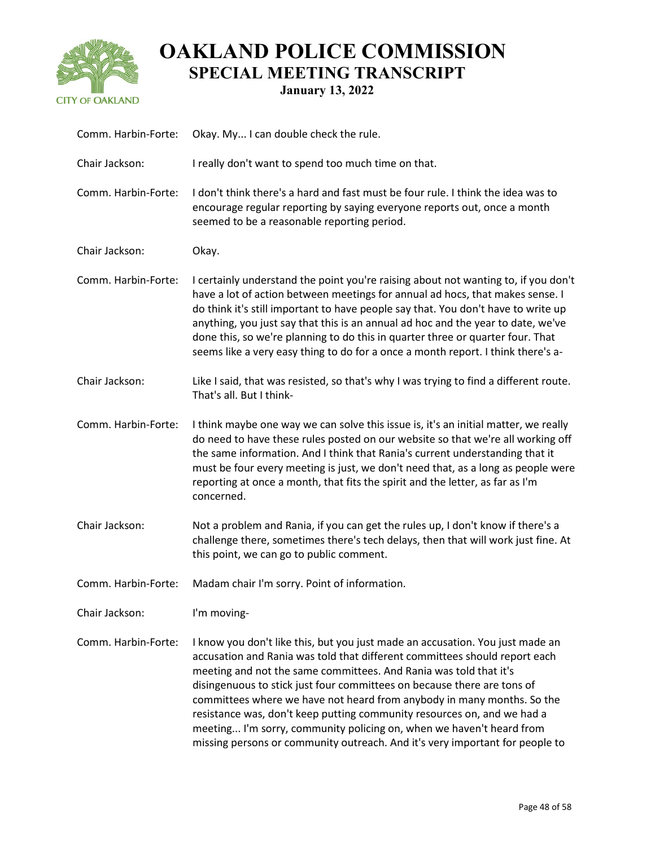

| Comm. Harbin-Forte: | Okay. My I can double check the rule.                                                                                                                                                                                                                                                                                                                                                                                                                                                                                                                                                                                    |
|---------------------|--------------------------------------------------------------------------------------------------------------------------------------------------------------------------------------------------------------------------------------------------------------------------------------------------------------------------------------------------------------------------------------------------------------------------------------------------------------------------------------------------------------------------------------------------------------------------------------------------------------------------|
| Chair Jackson:      | I really don't want to spend too much time on that.                                                                                                                                                                                                                                                                                                                                                                                                                                                                                                                                                                      |
| Comm. Harbin-Forte: | I don't think there's a hard and fast must be four rule. I think the idea was to<br>encourage regular reporting by saying everyone reports out, once a month<br>seemed to be a reasonable reporting period.                                                                                                                                                                                                                                                                                                                                                                                                              |
| Chair Jackson:      | Okay.                                                                                                                                                                                                                                                                                                                                                                                                                                                                                                                                                                                                                    |
| Comm. Harbin-Forte: | I certainly understand the point you're raising about not wanting to, if you don't<br>have a lot of action between meetings for annual ad hocs, that makes sense. I<br>do think it's still important to have people say that. You don't have to write up<br>anything, you just say that this is an annual ad hoc and the year to date, we've<br>done this, so we're planning to do this in quarter three or quarter four. That<br>seems like a very easy thing to do for a once a month report. I think there's a-                                                                                                       |
| Chair Jackson:      | Like I said, that was resisted, so that's why I was trying to find a different route.<br>That's all. But I think-                                                                                                                                                                                                                                                                                                                                                                                                                                                                                                        |
| Comm. Harbin-Forte: | I think maybe one way we can solve this issue is, it's an initial matter, we really<br>do need to have these rules posted on our website so that we're all working off<br>the same information. And I think that Rania's current understanding that it<br>must be four every meeting is just, we don't need that, as a long as people were<br>reporting at once a month, that fits the spirit and the letter, as far as I'm<br>concerned.                                                                                                                                                                                |
| Chair Jackson:      | Not a problem and Rania, if you can get the rules up, I don't know if there's a<br>challenge there, sometimes there's tech delays, then that will work just fine. At<br>this point, we can go to public comment.                                                                                                                                                                                                                                                                                                                                                                                                         |
| Comm. Harbin-Forte: | Madam chair I'm sorry. Point of information.                                                                                                                                                                                                                                                                                                                                                                                                                                                                                                                                                                             |
| Chair Jackson:      | I'm moving-                                                                                                                                                                                                                                                                                                                                                                                                                                                                                                                                                                                                              |
| Comm. Harbin-Forte: | I know you don't like this, but you just made an accusation. You just made an<br>accusation and Rania was told that different committees should report each<br>meeting and not the same committees. And Rania was told that it's<br>disingenuous to stick just four committees on because there are tons of<br>committees where we have not heard from anybody in many months. So the<br>resistance was, don't keep putting community resources on, and we had a<br>meeting I'm sorry, community policing on, when we haven't heard from<br>missing persons or community outreach. And it's very important for people to |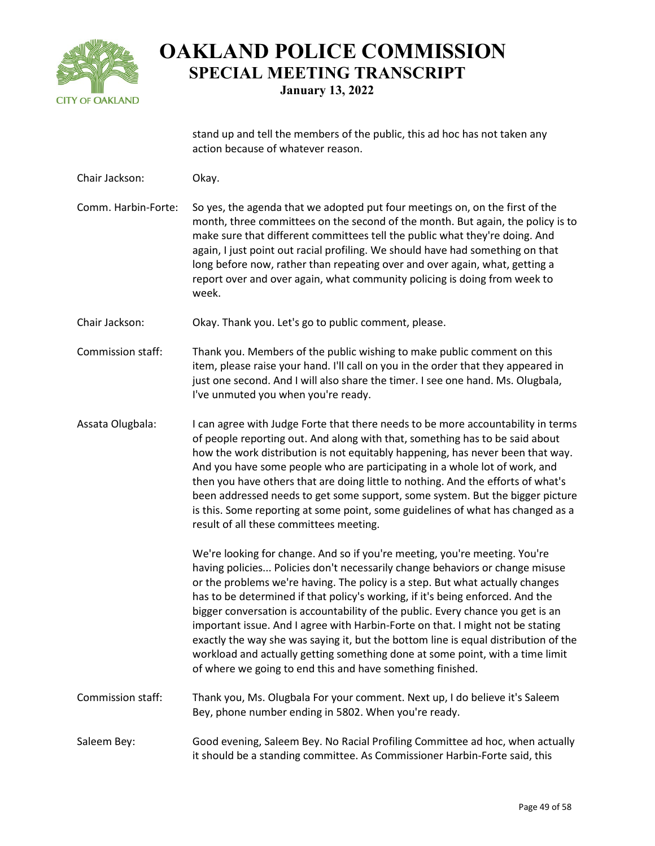

stand up and tell the members of the public, this ad hoc has not taken any action because of whatever reason.

Chair Jackson: Okay. Comm. Harbin-Forte: So yes, the agenda that we adopted put four meetings on, on the first of the month, three committees on the second of the month. But again, the policy is to make sure that different committees tell the public what they're doing. And again, I just point out racial profiling. We should have had something on that long before now, rather than repeating over and over again, what, getting a report over and over again, what community policing is doing from week to week. Chair Jackson: Okay. Thank you. Let's go to public comment, please. Commission staff: Thank you. Members of the public wishing to make public comment on this item, please raise your hand. I'll call on you in the order that they appeared in just one second. And I will also share the timer. I see one hand. Ms. Olugbala, I've unmuted you when you're ready. Assata Olugbala: I can agree with Judge Forte that there needs to be more accountability in terms of people reporting out. And along with that, something has to be said about how the work distribution is not equitably happening, has never been that way. And you have some people who are participating in a whole lot of work, and then you have others that are doing little to nothing. And the efforts of what's been addressed needs to get some support, some system. But the bigger picture is this. Some reporting at some point, some guidelines of what has changed as a result of all these committees meeting. We're looking for change. And so if you're meeting, you're meeting. You're having policies... Policies don't necessarily change behaviors or change misuse or the problems we're having. The policy is a step. But what actually changes has to be determined if that policy's working, if it's being enforced. And the bigger conversation is accountability of the public. Every chance you get is an important issue. And I agree with Harbin-Forte on that. I might not be stating exactly the way she was saying it, but the bottom line is equal distribution of the workload and actually getting something done at some point, with a time limit of where we going to end this and have something finished. Commission staff: Thank you, Ms. Olugbala For your comment. Next up, I do believe it's Saleem Bey, phone number ending in 5802. When you're ready. Saleem Bey: Good evening, Saleem Bey. No Racial Profiling Committee ad hoc, when actually it should be a standing committee. As Commissioner Harbin-Forte said, this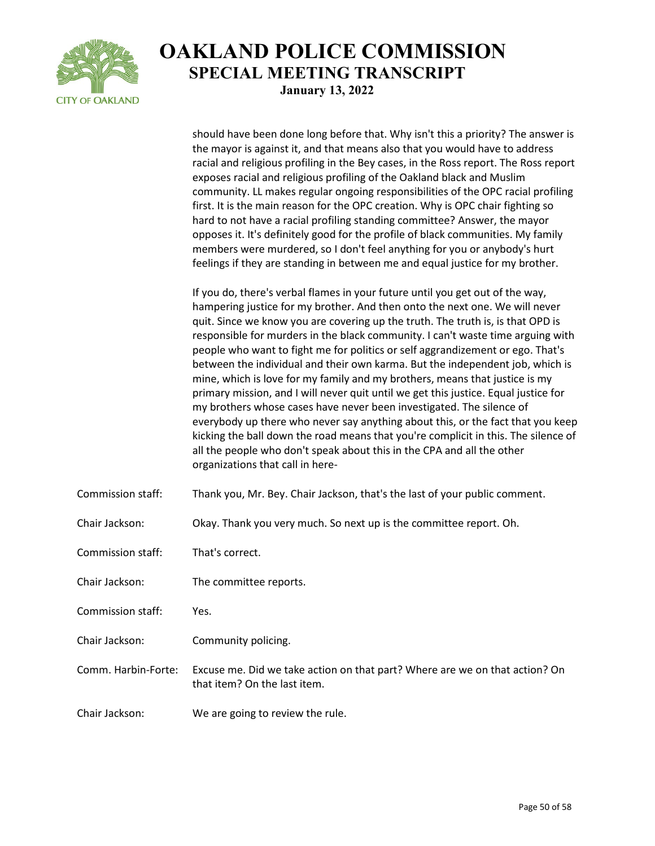

should have been done long before that. Why isn't this a priority? The answer is the mayor is against it, and that means also that you would have to address racial and religious profiling in the Bey cases, in the Ross report. The Ross report exposes racial and religious profiling of the Oakland black and Muslim community. LL makes regular ongoing responsibilities of the OPC racial profiling first. It is the main reason for the OPC creation. Why is OPC chair fighting so hard to not have a racial profiling standing committee? Answer, the mayor opposes it. It's definitely good for the profile of black communities. My family members were murdered, so I don't feel anything for you or anybody's hurt feelings if they are standing in between me and equal justice for my brother. If you do, there's verbal flames in your future until you get out of the way, hampering justice for my brother. And then onto the next one. We will never quit. Since we know you are covering up the truth. The truth is, is that OPD is responsible for murders in the black community. I can't waste time arguing with people who want to fight me for politics or self aggrandizement or ego. That's between the individual and their own karma. But the independent job, which is mine, which is love for my family and my brothers, means that justice is my primary mission, and I will never quit until we get this justice. Equal justice for my brothers whose cases have never been investigated. The silence of everybody up there who never say anything about this, or the fact that you keep kicking the ball down the road means that you're complicit in this. The silence of all the people who don't speak about this in the CPA and all the other organizations that call in here-Commission staff: Thank you, Mr. Bey. Chair Jackson, that's the last of your public comment. Chair Jackson: Okay. Thank you very much. So next up is the committee report. Oh. Commission staff: That's correct. Chair Jackson: The committee reports. Commission staff: Yes. Chair Jackson: Community policing. Comm. Harbin-Forte: Excuse me. Did we take action on that part? Where are we on that action? On that item? On the last item. Chair Jackson: We are going to review the rule.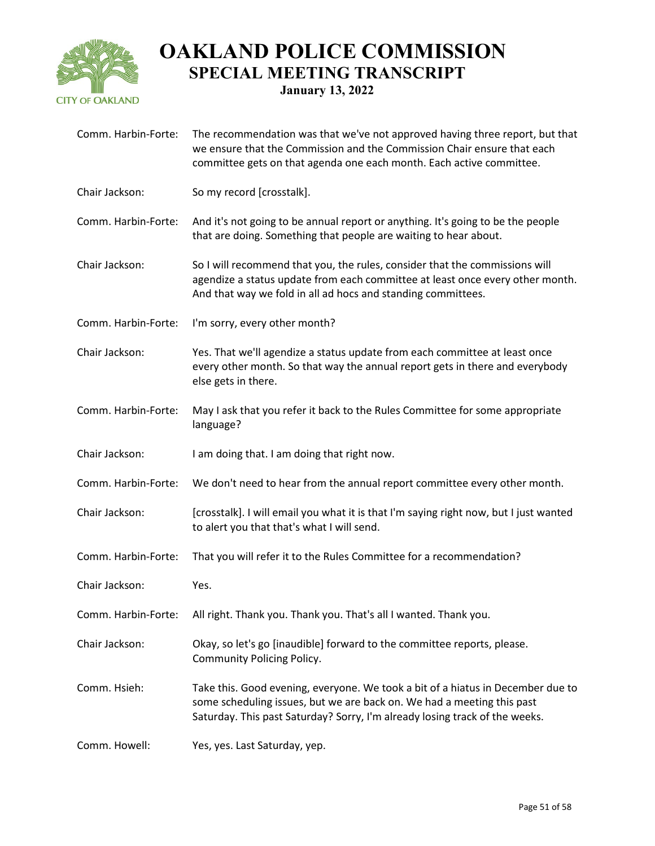

**January 13, 2022**

| Comm. Harbin-Forte: | The recommendation was that we've not approved having three report, but that<br>we ensure that the Commission and the Commission Chair ensure that each<br>committee gets on that agenda one each month. Each active committee.          |
|---------------------|------------------------------------------------------------------------------------------------------------------------------------------------------------------------------------------------------------------------------------------|
| Chair Jackson:      | So my record [crosstalk].                                                                                                                                                                                                                |
| Comm. Harbin-Forte: | And it's not going to be annual report or anything. It's going to be the people<br>that are doing. Something that people are waiting to hear about.                                                                                      |
| Chair Jackson:      | So I will recommend that you, the rules, consider that the commissions will<br>agendize a status update from each committee at least once every other month.<br>And that way we fold in all ad hocs and standing committees.             |
| Comm. Harbin-Forte: | I'm sorry, every other month?                                                                                                                                                                                                            |
| Chair Jackson:      | Yes. That we'll agendize a status update from each committee at least once<br>every other month. So that way the annual report gets in there and everybody<br>else gets in there.                                                        |
| Comm. Harbin-Forte: | May I ask that you refer it back to the Rules Committee for some appropriate<br>language?                                                                                                                                                |
| Chair Jackson:      | I am doing that. I am doing that right now.                                                                                                                                                                                              |
| Comm. Harbin-Forte: | We don't need to hear from the annual report committee every other month.                                                                                                                                                                |
| Chair Jackson:      | [crosstalk]. I will email you what it is that I'm saying right now, but I just wanted                                                                                                                                                    |
|                     | to alert you that that's what I will send.                                                                                                                                                                                               |
| Comm. Harbin-Forte: | That you will refer it to the Rules Committee for a recommendation?                                                                                                                                                                      |
| Chair Jackson:      | Yes.                                                                                                                                                                                                                                     |
| Comm. Harbin-Forte: | All right. Thank you. Thank you. That's all I wanted. Thank you.                                                                                                                                                                         |
| Chair Jackson:      | Okay, so let's go [inaudible] forward to the committee reports, please.<br><b>Community Policing Policy.</b>                                                                                                                             |
| Comm. Hsieh:        | Take this. Good evening, everyone. We took a bit of a hiatus in December due to<br>some scheduling issues, but we are back on. We had a meeting this past<br>Saturday. This past Saturday? Sorry, I'm already losing track of the weeks. |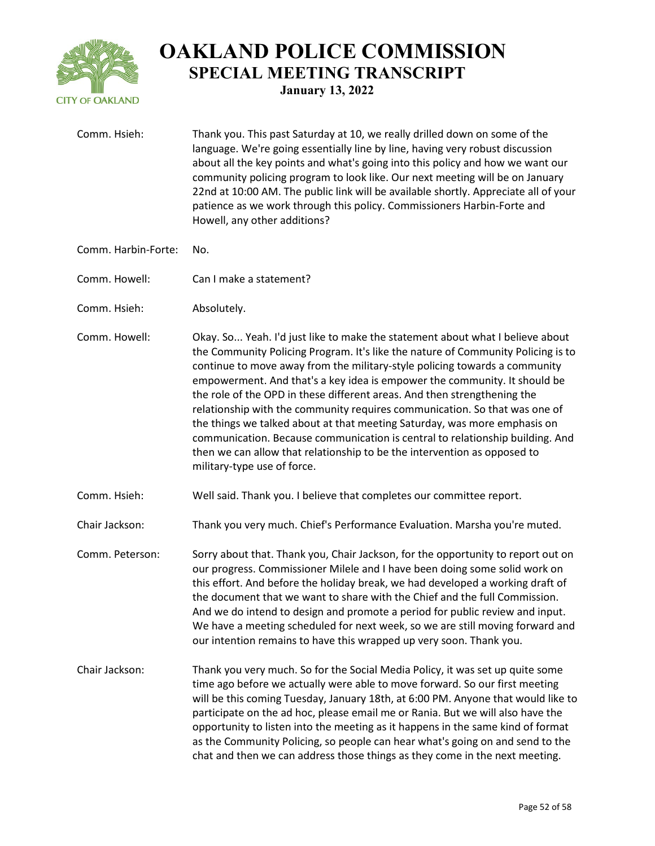

Comm. Hsieh: Thank you. This past Saturday at 10, we really drilled down on some of the language. We're going essentially line by line, having very robust discussion about all the key points and what's going into this policy and how we want our community policing program to look like. Our next meeting will be on January 22nd at 10:00 AM. The public link will be available shortly. Appreciate all of your patience as we work through this policy. Commissioners Harbin-Forte and Howell, any other additions? Comm. Harbin-Forte: No. Comm. Howell: Can I make a statement? Comm. Hsieh: Absolutely. Comm. Howell: Okay. So... Yeah. I'd just like to make the statement about what I believe about the Community Policing Program. It's like the nature of Community Policing is to continue to move away from the military-style policing towards a community empowerment. And that's a key idea is empower the community. It should be the role of the OPD in these different areas. And then strengthening the relationship with the community requires communication. So that was one of the things we talked about at that meeting Saturday, was more emphasis on communication. Because communication is central to relationship building. And then we can allow that relationship to be the intervention as opposed to military-type use of force. Comm. Hsieh: Well said. Thank you. I believe that completes our committee report. Chair Jackson: Thank you very much. Chief's Performance Evaluation. Marsha you're muted. Comm. Peterson: Sorry about that. Thank you, Chair Jackson, for the opportunity to report out on our progress. Commissioner Milele and I have been doing some solid work on this effort. And before the holiday break, we had developed a working draft of the document that we want to share with the Chief and the full Commission. And we do intend to design and promote a period for public review and input. We have a meeting scheduled for next week, so we are still moving forward and our intention remains to have this wrapped up very soon. Thank you. Chair Jackson: Thank you very much. So for the Social Media Policy, it was set up quite some time ago before we actually were able to move forward. So our first meeting will be this coming Tuesday, January 18th, at 6:00 PM. Anyone that would like to participate on the ad hoc, please email me or Rania. But we will also have the opportunity to listen into the meeting as it happens in the same kind of format as the Community Policing, so people can hear what's going on and send to the chat and then we can address those things as they come in the next meeting.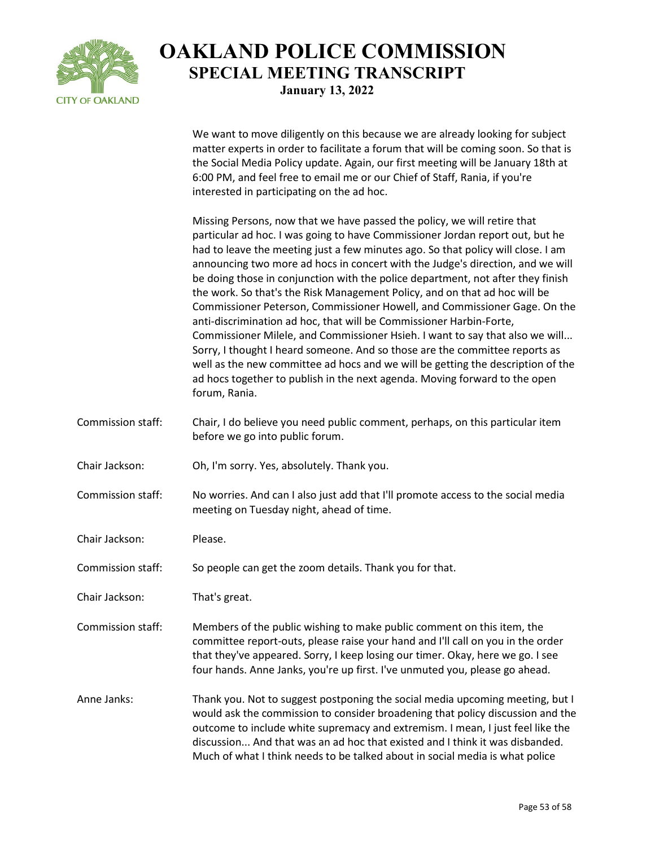

We want to move diligently on this because we are already looking for subject matter experts in order to facilitate a forum that will be coming soon. So that is the Social Media Policy update. Again, our first meeting will be January 18th at 6:00 PM, and feel free to email me or our Chief of Staff, Rania, if you're interested in participating on the ad hoc.

Missing Persons, now that we have passed the policy, we will retire that particular ad hoc. I was going to have Commissioner Jordan report out, but he had to leave the meeting just a few minutes ago. So that policy will close. I am announcing two more ad hocs in concert with the Judge's direction, and we will be doing those in conjunction with the police department, not after they finish the work. So that's the Risk Management Policy, and on that ad hoc will be Commissioner Peterson, Commissioner Howell, and Commissioner Gage. On the anti-discrimination ad hoc, that will be Commissioner Harbin-Forte, Commissioner Milele, and Commissioner Hsieh. I want to say that also we will... Sorry, I thought I heard someone. And so those are the committee reports as well as the new committee ad hocs and we will be getting the description of the ad hocs together to publish in the next agenda. Moving forward to the open forum, Rania.

- Commission staff: Chair, I do believe you need public comment, perhaps, on this particular item before we go into public forum.
- Chair Jackson: Oh, I'm sorry. Yes, absolutely. Thank you.

Commission staff: No worries. And can I also just add that I'll promote access to the social media meeting on Tuesday night, ahead of time.

Chair Jackson: Please.

Commission staff: So people can get the zoom details. Thank you for that.

Chair Jackson: That's great.

Commission staff: Members of the public wishing to make public comment on this item, the committee report-outs, please raise your hand and I'll call on you in the order that they've appeared. Sorry, I keep losing our timer. Okay, here we go. I see four hands. Anne Janks, you're up first. I've unmuted you, please go ahead.

Anne Janks: Thank you. Not to suggest postponing the social media upcoming meeting, but I would ask the commission to consider broadening that policy discussion and the outcome to include white supremacy and extremism. I mean, I just feel like the discussion... And that was an ad hoc that existed and I think it was disbanded. Much of what I think needs to be talked about in social media is what police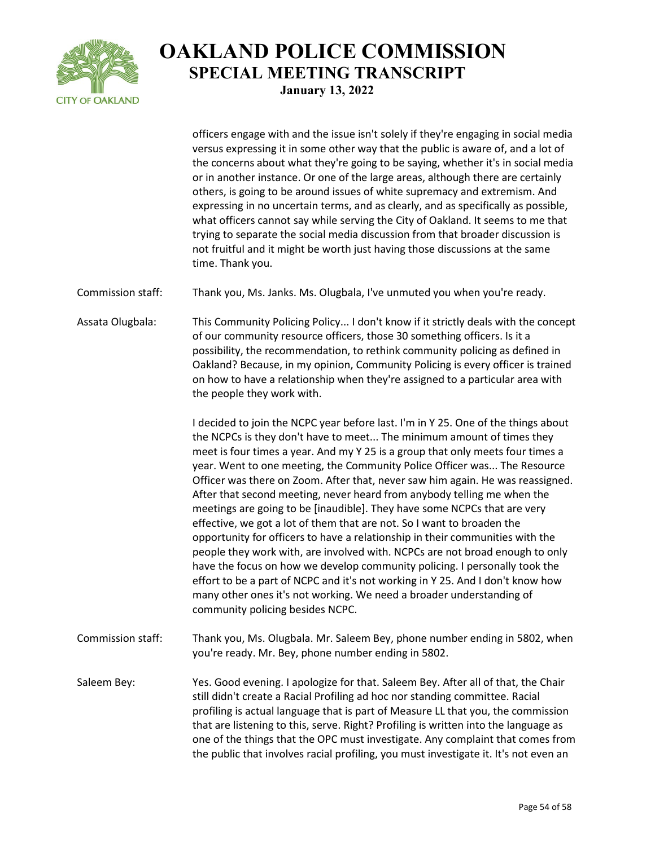

officers engage with and the issue isn't solely if they're engaging in social media versus expressing it in some other way that the public is aware of, and a lot of the concerns about what they're going to be saying, whether it's in social media or in another instance. Or one of the large areas, although there are certainly others, is going to be around issues of white supremacy and extremism. And expressing in no uncertain terms, and as clearly, and as specifically as possible, what officers cannot say while serving the City of Oakland. It seems to me that trying to separate the social media discussion from that broader discussion is not fruitful and it might be worth just having those discussions at the same time. Thank you.

Commission staff: Thank you, Ms. Janks. Ms. Olugbala, I've unmuted you when you're ready.

Assata Olugbala: This Community Policing Policy... I don't know if it strictly deals with the concept of our community resource officers, those 30 something officers. Is it a possibility, the recommendation, to rethink community policing as defined in Oakland? Because, in my opinion, Community Policing is every officer is trained on how to have a relationship when they're assigned to a particular area with the people they work with.

> I decided to join the NCPC year before last. I'm in Y 25. One of the things about the NCPCs is they don't have to meet... The minimum amount of times they meet is four times a year. And my Y 25 is a group that only meets four times a year. Went to one meeting, the Community Police Officer was... The Resource Officer was there on Zoom. After that, never saw him again. He was reassigned. After that second meeting, never heard from anybody telling me when the meetings are going to be [inaudible]. They have some NCPCs that are very effective, we got a lot of them that are not. So I want to broaden the opportunity for officers to have a relationship in their communities with the people they work with, are involved with. NCPCs are not broad enough to only have the focus on how we develop community policing. I personally took the effort to be a part of NCPC and it's not working in Y 25. And I don't know how many other ones it's not working. We need a broader understanding of community policing besides NCPC.

Commission staff: Thank you, Ms. Olugbala. Mr. Saleem Bey, phone number ending in 5802, when you're ready. Mr. Bey, phone number ending in 5802.

Saleem Bey: Yes. Good evening. I apologize for that. Saleem Bey. After all of that, the Chair still didn't create a Racial Profiling ad hoc nor standing committee. Racial profiling is actual language that is part of Measure LL that you, the commission that are listening to this, serve. Right? Profiling is written into the language as one of the things that the OPC must investigate. Any complaint that comes from the public that involves racial profiling, you must investigate it. It's not even an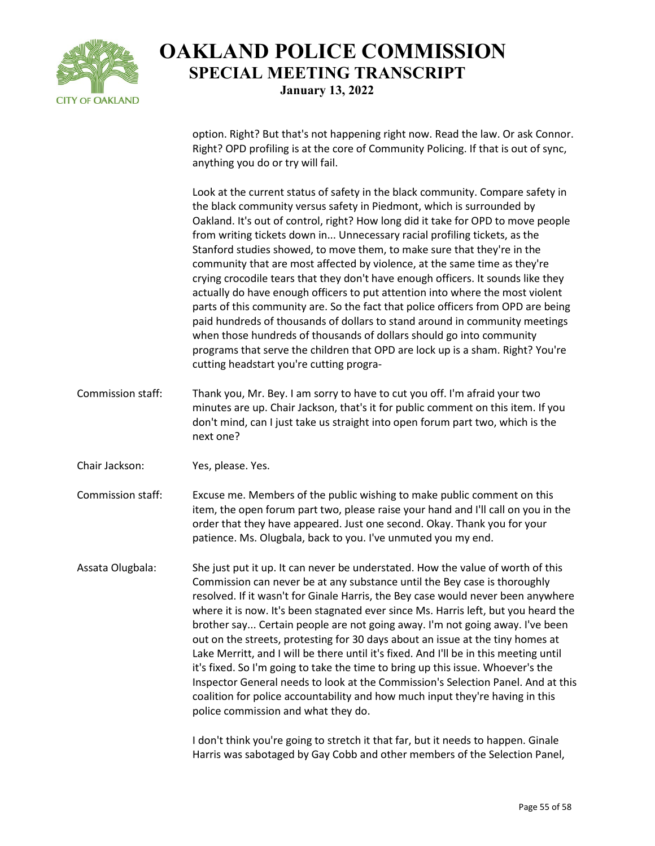

option. Right? But that's not happening right now. Read the law. Or ask Connor. Right? OPD profiling is at the core of Community Policing. If that is out of sync, anything you do or try will fail.

Look at the current status of safety in the black community. Compare safety in the black community versus safety in Piedmont, which is surrounded by Oakland. It's out of control, right? How long did it take for OPD to move people from writing tickets down in... Unnecessary racial profiling tickets, as the Stanford studies showed, to move them, to make sure that they're in the community that are most affected by violence, at the same time as they're crying crocodile tears that they don't have enough officers. It sounds like they actually do have enough officers to put attention into where the most violent parts of this community are. So the fact that police officers from OPD are being paid hundreds of thousands of dollars to stand around in community meetings when those hundreds of thousands of dollars should go into community programs that serve the children that OPD are lock up is a sham. Right? You're cutting headstart you're cutting progra-

Commission staff: Thank you, Mr. Bey. I am sorry to have to cut you off. I'm afraid your two minutes are up. Chair Jackson, that's it for public comment on this item. If you don't mind, can I just take us straight into open forum part two, which is the next one?

Chair Jackson: Yes, please. Yes.

Commission staff: Excuse me. Members of the public wishing to make public comment on this item, the open forum part two, please raise your hand and I'll call on you in the order that they have appeared. Just one second. Okay. Thank you for your patience. Ms. Olugbala, back to you. I've unmuted you my end.

Assata Olugbala: She just put it up. It can never be understated. How the value of worth of this Commission can never be at any substance until the Bey case is thoroughly resolved. If it wasn't for Ginale Harris, the Bey case would never been anywhere where it is now. It's been stagnated ever since Ms. Harris left, but you heard the brother say... Certain people are not going away. I'm not going away. I've been out on the streets, protesting for 30 days about an issue at the tiny homes at Lake Merritt, and I will be there until it's fixed. And I'll be in this meeting until it's fixed. So I'm going to take the time to bring up this issue. Whoever's the Inspector General needs to look at the Commission's Selection Panel. And at this coalition for police accountability and how much input they're having in this police commission and what they do.

> I don't think you're going to stretch it that far, but it needs to happen. Ginale Harris was sabotaged by Gay Cobb and other members of the Selection Panel,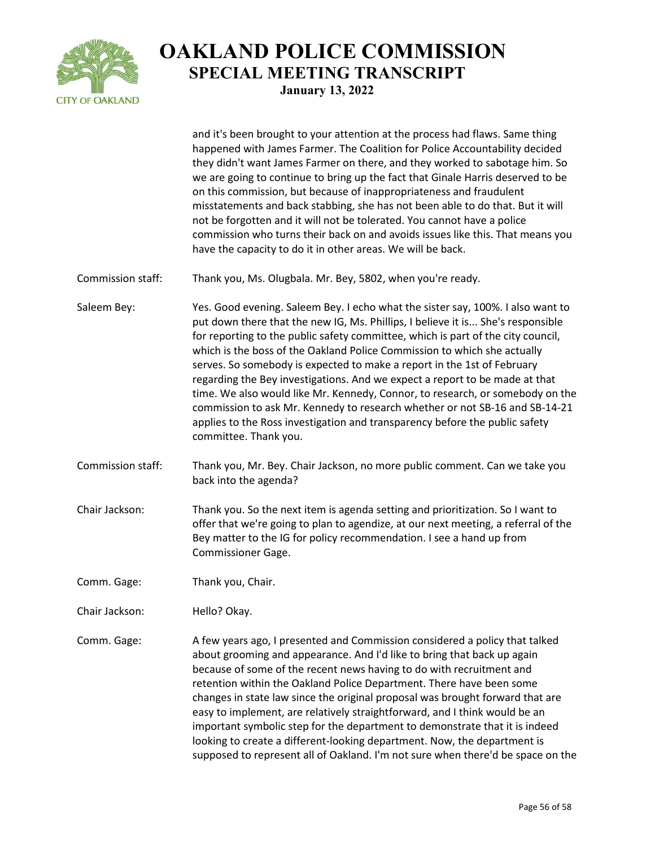

and it's been brought to your attention at the process had flaws. Same thing happened with James Farmer. The Coalition for Police Accountability decided they didn't want James Farmer on there, and they worked to sabotage him. So we are going to continue to bring up the fact that Ginale Harris deserved to be on this commission, but because of inappropriateness and fraudulent misstatements and back stabbing, she has not been able to do that. But it will not be forgotten and it will not be tolerated. You cannot have a police commission who turns their back on and avoids issues like this. That means you have the capacity to do it in other areas. We will be back.

- Commission staff: Thank you, Ms. Olugbala. Mr. Bey, 5802, when you're ready.
- Saleem Bey: Yes. Good evening. Saleem Bey. I echo what the sister say, 100%. I also want to put down there that the new IG, Ms. Phillips, I believe it is... She's responsible for reporting to the public safety committee, which is part of the city council, which is the boss of the Oakland Police Commission to which she actually serves. So somebody is expected to make a report in the 1st of February regarding the Bey investigations. And we expect a report to be made at that time. We also would like Mr. Kennedy, Connor, to research, or somebody on the commission to ask Mr. Kennedy to research whether or not SB-16 and SB-14-21 applies to the Ross investigation and transparency before the public safety committee. Thank you.
- Commission staff: Thank you, Mr. Bey. Chair Jackson, no more public comment. Can we take you back into the agenda?
- Chair Jackson: Thank you. So the next item is agenda setting and prioritization. So I want to offer that we're going to plan to agendize, at our next meeting, a referral of the Bey matter to the IG for policy recommendation. I see a hand up from Commissioner Gage.
- Comm. Gage: Thank you, Chair.
- Chair Jackson: Hello? Okay.
- Comm. Gage: A few years ago, I presented and Commission considered a policy that talked about grooming and appearance. And I'd like to bring that back up again because of some of the recent news having to do with recruitment and retention within the Oakland Police Department. There have been some changes in state law since the original proposal was brought forward that are easy to implement, are relatively straightforward, and I think would be an important symbolic step for the department to demonstrate that it is indeed looking to create a different-looking department. Now, the department is supposed to represent all of Oakland. I'm not sure when there'd be space on the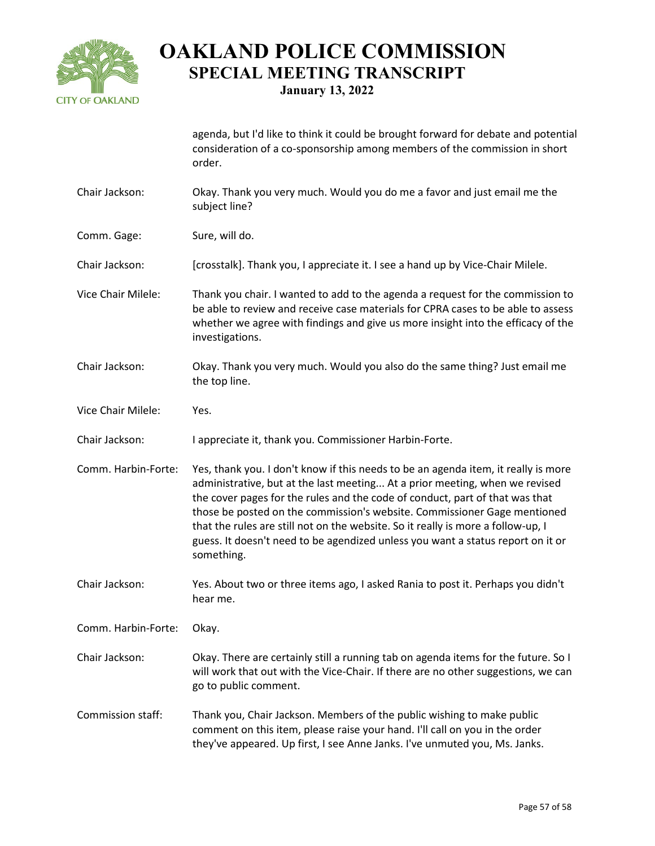

agenda, but I'd like to think it could be brought forward for debate and potential consideration of a co-sponsorship among members of the commission in short

- Chair Jackson: Okay. Thank you very much. Would you do me a favor and just email me the subject line?
- Comm. Gage: Sure, will do.

order.

- Chair Jackson: [crosstalk]. Thank you, I appreciate it. I see a hand up by Vice-Chair Milele.
- Vice Chair Milele: Thank you chair. I wanted to add to the agenda a request for the commission to be able to review and receive case materials for CPRA cases to be able to assess whether we agree with findings and give us more insight into the efficacy of the investigations.
- Chair Jackson: Okay. Thank you very much. Would you also do the same thing? Just email me the top line.
- Vice Chair Milele: Yes.
- Chair Jackson: I appreciate it, thank you. Commissioner Harbin-Forte.
- Comm. Harbin-Forte: Yes, thank you. I don't know if this needs to be an agenda item, it really is more administrative, but at the last meeting... At a prior meeting, when we revised the cover pages for the rules and the code of conduct, part of that was that those be posted on the commission's website. Commissioner Gage mentioned that the rules are still not on the website. So it really is more a follow-up, I guess. It doesn't need to be agendized unless you want a status report on it or something.
- Chair Jackson: Yes. About two or three items ago, I asked Rania to post it. Perhaps you didn't hear me.

Comm. Harbin-Forte: Okay.

- Chair Jackson: Okay. There are certainly still a running tab on agenda items for the future. So I will work that out with the Vice-Chair. If there are no other suggestions, we can go to public comment.
- Commission staff: Thank you, Chair Jackson. Members of the public wishing to make public comment on this item, please raise your hand. I'll call on you in the order they've appeared. Up first, I see Anne Janks. I've unmuted you, Ms. Janks.